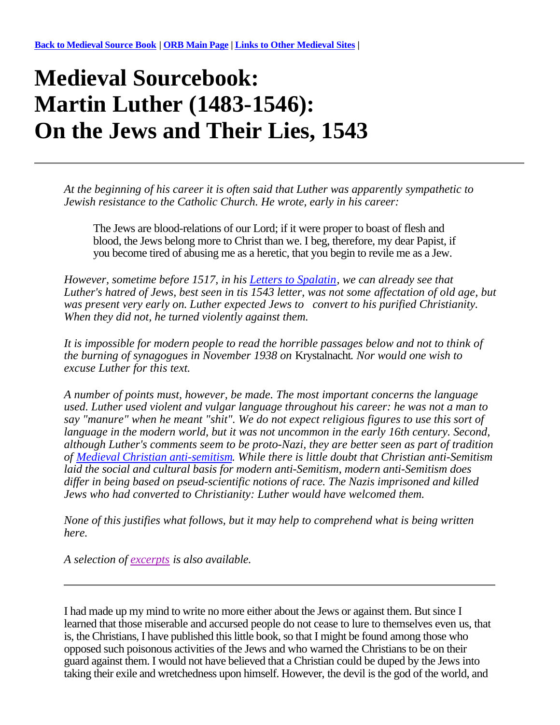## **Medieval Sourcebook: Martin Luther (1483-1546): On the Jews and Their Lies, 1543**

*At the beginning of his career it is often said that Luther was apparently sympathetic to Jewish resistance to the Catholic Church. He wrote, early in his career:*

The Jews are blood-relations of our Lord; if it were proper to boast of flesh and blood, the Jews belong more to Christ than we. I beg, therefore, my dear Papist, if you become tired of abusing me as a heretic, that you begin to revile me as a Jew.

However, sometime before 1517, in his *Letters to Spalatin*, we can already see that *Luther's hatred of Jews, best seen in tis 1543 letter, was not some affectation of old age, but was present very early on. Luther expected Jews to convert to his purified Christianity. When they did not, he turned violently against them.*

the burning of synagogues in November 1938 on Krystalnacht. Nor would one wish to It is impossible for modern people to read the horrible passages below and not to think of *excuse Luther for this text.* 

*A number of points must, however, be made. The most important concerns the language used. Luther used violent and vulgar language throughout his career: he was not a man to say "manure" when he meant "shit". We do not expect religious figures to use this sort of language in the modern world, but it was not uncommon in the early 16th century. Second, although Luther's comments seem to be proto-Nazi, they are better seen as part of tradition*  of *Medieval Christian anti-semitism*. While there is little doubt that Christian anti-Semitism *laid the social and cultural basis for modern anti-Semitism, modern anti-Semitism does differ in being based on pseud-scientific notions of race. The Nazis imprisoned and killed Jews who had converted to Christianity: Luther would have welcomed them.* 

*None of this justifies what follows, but it may help to comprehend what is being written here.*

*A selection of excerpts is also available.*

I had made up my mind to write no more either about the Jews or against them. But since I learned that those miserable and accursed people do not cease to lure to themselves even us, that is, the Christians, I have published this little book, so that I might be found among those who opposed such poisonous activities of the Jews and who warned the Christians to be on their guard against them. I would not have believed that a Christian could be duped by the Jews into taking their exile and wretchedness upon himself. However, the devil is the god of the world, and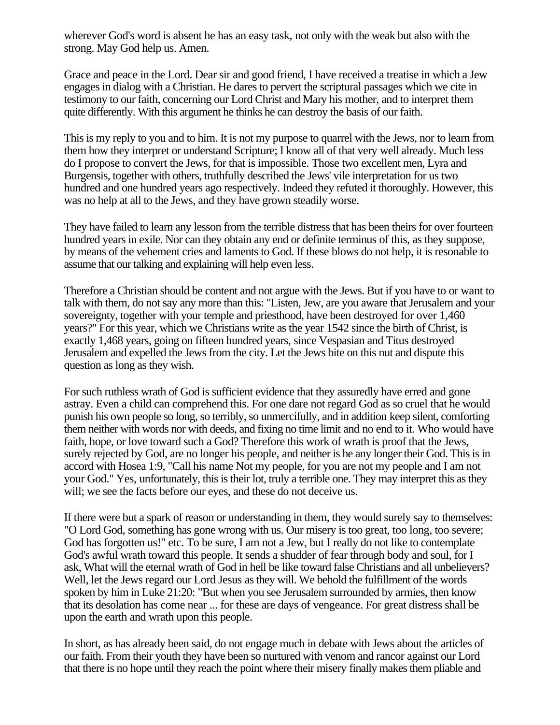wherever God's word is absent he has an easy task, not only with the weak but also with the strong. May God help us. Amen.

Grace and peace in the Lord. Dear sir and good friend, I have received a treatise in which a Jew engages in dialog with a Christian. He dares to pervert the scriptural passages which we cite in testimony to our faith, concerning our Lord Christ and Mary his mother, and to interpret them quite differently. With this argument he thinks he can destroy the basis of our faith.

This is my reply to you and to him. It is not my purpose to quarrel with the Jews, nor to learn from them how they interpret or understand Scripture; I know all of that very well already. Much less do I propose to convert the Jews, for that is impossible. Those two excellent men, Lyra and Burgensis, together with others, truthfully described the Jews' vile interpretation for us two hundred and one hundred years ago respectively. Indeed they refuted it thoroughly. However, this was no help at all to the Jews, and they have grown steadily worse.

They have failed to learn any lesson from the terrible distress that has been theirs for over fourteen hundred years in exile. Nor can they obtain any end or definite terminus of this, as they suppose, by means of the vehement cries and laments to God. If these blows do not help, it is resonable to assume that our talking and explaining will help even less.

Therefore a Christian should be content and not argue with the Jews. But if you have to or want to talk with them, do not say any more than this: "Listen, Jew, are you aware that Jerusalem and your sovereignty, together with your temple and priesthood, have been destroyed for over 1,460 years?" For this year, which we Christians write as the year 1542 since the birth of Christ, is exactly 1,468 years, going on fifteen hundred years, since Vespasian and Titus destroyed Jerusalem and expelled the Jews from the city. Let the Jews bite on this nut and dispute this question as long as they wish.

For such ruthless wrath of God is sufficient evidence that they assuredly have erred and gone astray. Even a child can comprehend this. For one dare not regard God as so cruel that he would punish his own people so long, so terribly, so unmercifully, and in addition keep silent, comforting them neither with words nor with deeds, and fixing no time limit and no end to it. Who would have faith, hope, or love toward such a God? Therefore this work of wrath is proof that the Jews, surely rejected by God, are no longer his people, and neither is he any longer their God. This is in accord with Hosea 1:9, "Call his name Not my people, for you are not my people and I am not your God." Yes, unfortunately, this is their lot, truly a terrible one. They may interpret this as they will; we see the facts before our eyes, and these do not deceive us.

If there were but a spark of reason or understanding in them, they would surely say to themselves: "O Lord God, something has gone wrong with us. Our misery is too great, too long, too severe; God has forgotten us!" etc. To be sure, I am not a Jew, but I really do not like to contemplate God's awful wrath toward this people. It sends a shudder of fear through body and soul, for I ask, What will the eternal wrath of God in hell be like toward false Christians and all unbelievers? Well, let the Jews regard our Lord Jesus as they will. We behold the fulfillment of the words spoken by him in Luke 21:20: "But when you see Jerusalem surrounded by armies, then know that its desolation has come near ... for these are days of vengeance. For great distress shall be upon the earth and wrath upon this people.

In short, as has already been said, do not engage much in debate with Jews about the articles of our faith. From their youth they have been so nurtured with venom and rancor against our Lord that there is no hope until they reach the point where their misery finally makes them pliable and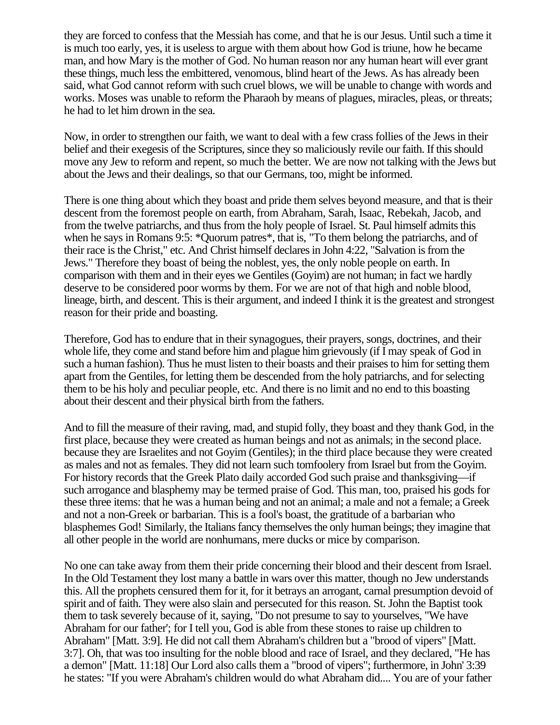they are forced to confess that the Messiah has come, and that he is our Jesus. Until such a time it is much too early, yes, it is useless to argue with them about how God is triune, how he became man, and how Mary is the mother of God. No human reason nor any human heart will ever grant these things, much less the embittered, venomous, blind heart of the Jews. As has already been said, what God cannot reform with such cruel blows, we will be unable to change with words and works. Moses was unable to reform the Pharaoh by means of plagues, miracles, pleas, or threats; he had to let him drown in the sea.

Now, in order to strengthen our faith, we want to deal with a few crass follies of the Jews in their belief and their exegesis of the Scriptures, since they so maliciously revile our faith. If this should move any Jew to reform and repent, so much the better. We are now not talking with the Jews but about the Jews and their dealings, so that our Germans, too, might be informed.

There is one thing about which they boast and pride them selves beyond measure, and that is their descent from the foremost people on earth, from Abraham, Sarah, Isaac, Rebekah, Jacob, and from the twelve patriarchs, and thus from the holy people of Israel. St. Paul himself admits this when he says in Romans 9:5: \*Quorum patres\*, that is, "To them belong the patriarchs, and of their race is the Christ," etc. And Christ himself declares in John 4:22, "Salvation is from the Jews." Therefore they boast of being the noblest, yes, the only noble people on earth. In comparison with them and in their eyes we Gentiles (Goyim) are not human; in fact we hardly deserve to be considered poor worms by them. For we are not of that high and noble blood, lineage, birth, and descent. This is their argument, and indeed I think it is the greatest and strongest reason for their pride and boasting.

Therefore, God has to endure that in their synagogues, their prayers, songs, doctrines, and their whole life, they come and stand before him and plague him grievously (if I may speak of God in such a human fashion). Thus he must listen to their boasts and their praises to him for setting them apart from the Gentiles, for letting them be descended from the holy patriarchs, and for selecting them to be his holy and peculiar people, etc. And there is no limit and no end to this boasting about their descent and their physical birth from the fathers.

And to fill the measure of their raving, mad, and stupid folly, they boast and they thank God, in the first place, because they were created as human beings and not as animals; in the second place. because they are Israelites and not Goyim (Gentiles); in the third place because they were created as males and not as females. They did not learn such tomfoolery from Israel but from the Goyim. For history records that the Greek Plato daily accorded God such praise and thanksgiving—if such arrogance and blasphemy may be termed praise of God. This man, too, praised his gods for these three items: that he was a human being and not an animal; a male and not a female; a Greek and not a non-Greek or barbarian. This is a fool's boast, the gratitude of a barbarian who blasphemes God! Similarly, the Italians fancy themselves the only human beings; they imagine that all other people in the world are nonhumans, mere ducks or mice by comparison.

No one can take away from them their pride concerning their blood and their descent from Israel. In the Old Testament they lost many a battle in wars over this matter, though no Jew understands this. All the prophets censured them for it, for it betrays an arrogant, carnal presumption devoid of spirit and of faith. They were also slain and persecuted for this reason. St. John the Baptist took them to task severely because of it, saying, "Do not presume to say to yourselves, "We have Abraham for our father'; for I tell you, God is able from these stones to raise up children to Abraham" [Matt. 3:9]. He did not call them Abraham's children but a "brood of vipers" [Matt. 3:7]. Oh, that was too insulting for the noble blood and race of Israel, and they declared, "He has a demon" [Matt. 11:18] Our Lord also calls them a "brood of vipers"; furthermore, in John' 3:39 he states: "If you were Abraham's children would do what Abraham did.... You are of your father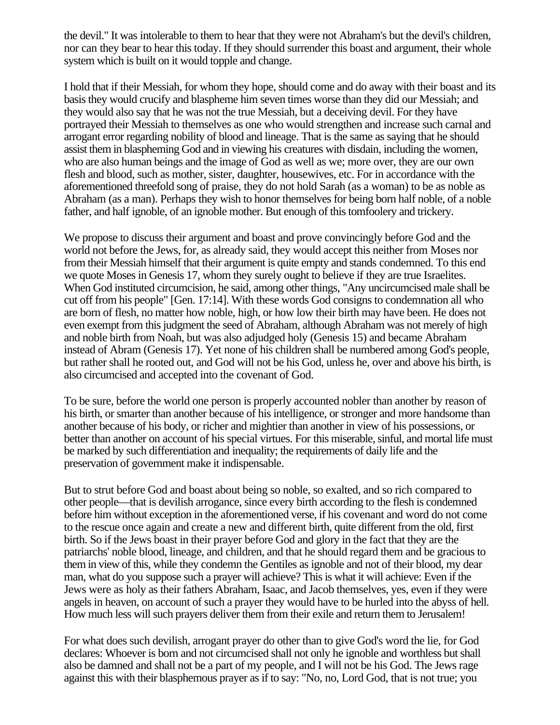the devil." It was intolerable to them to hear that they were not Abraham's but the devil's children, nor can they bear to hear this today. If they should surrender this boast and argument, their whole system which is built on it would topple and change.

I hold that if their Messiah, for whom they hope, should come and do away with their boast and its basis they would crucify and blaspheme him seven times worse than they did our Messiah; and they would also say that he was not the true Messiah, but a deceiving devil. For they have portrayed their Messiah to themselves as one who would strengthen and increase such carnal and arrogant error regarding nobility of blood and lineage. That is the same as saying that he should assist them in blaspheming God and in viewing his creatures with disdain, including the women, who are also human beings and the image of God as well as we; more over, they are our own flesh and blood, such as mother, sister, daughter, housewives, etc. For in accordance with the aforementioned threefold song of praise, they do not hold Sarah (as a woman) to be as noble as Abraham (as a man). Perhaps they wish to honor themselves for being born half noble, of a noble father, and half ignoble, of an ignoble mother. But enough of this tomfoolery and trickery.

We propose to discuss their argument and boast and prove convincingly before God and the world not before the Jews, for, as already said, they would accept this neither from Moses nor from their Messiah himself that their argument is quite empty and stands condemned. To this end we quote Moses in Genesis 17, whom they surely ought to believe if they are true Israelites. When God instituted circumcision, he said, among other things, "Any uncircumcised male shall be cut off from his people" [Gen. 17:14]. With these words God consigns to condemnation all who are born of flesh, no matter how noble, high, or how low their birth may have been. He does not even exempt from this judgment the seed of Abraham, although Abraham was not merely of high and noble birth from Noah, but was also adjudged holy (Genesis 15) and became Abraham instead of Abram (Genesis 17). Yet none of his children shall be numbered among God's people, but rather shall he rooted out, and God will not be his God, unless he, over and above his birth, is also circumcised and accepted into the covenant of God.

To be sure, before the world one person is properly accounted nobler than another by reason of his birth, or smarter than another because of his intelligence, or stronger and more handsome than another because of his body, or richer and mightier than another in view of his possessions, or better than another on account of his special virtues. For this miserable, sinful, and mortal life must be marked by such differentiation and inequality; the requirements of daily life and the preservation of government make it indispensable.

But to strut before God and boast about being so noble, so exalted, and so rich compared to other people—that is devilish arrogance, since every birth according to the flesh is condemned before him without exception in the aforementioned verse, if his covenant and word do not come to the rescue once again and create a new and different birth, quite different from the old, first birth. So if the Jews boast in their prayer before God and glory in the fact that they are the patriarchs' noble blood, lineage, and children, and that he should regard them and be gracious to them in view of this, while they condemn the Gentiles as ignoble and not of their blood, my dear man, what do you suppose such a prayer will achieve? This is what it will achieve: Even if the Jews were as holy as their fathers Abraham, Isaac, and Jacob themselves, yes, even if they were angels in heaven, on account of such a prayer they would have to be hurled into the abyss of hell. How much less will such prayers deliver them from their exile and return them to Jerusalem!

For what does such devilish, arrogant prayer do other than to give God's word the lie, for God declares: Whoever is born and not circumcised shall not only he ignoble and worthless but shall also be damned and shall not be a part of my people, and I will not be his God. The Jews rage against this with their blasphemous prayer as if to say: "No, no, Lord God, that is not true; you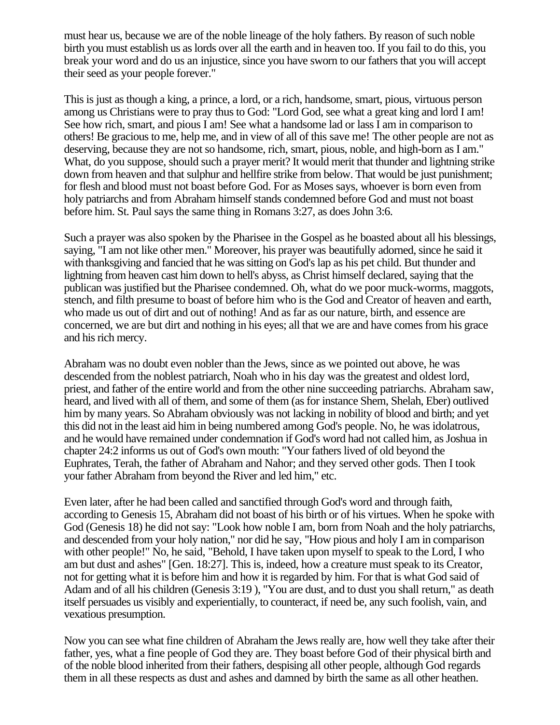must hear us, because we are of the noble lineage of the holy fathers. By reason of such noble birth you must establish us as lords over all the earth and in heaven too. If you fail to do this, you break your word and do us an injustice, since you have sworn to our fathers that you will accept their seed as your people forever."

This is just as though a king, a prince, a lord, or a rich, handsome, smart, pious, virtuous person among us Christians were to pray thus to God: "Lord God, see what a great king and lord I am! See how rich, smart, and pious I am! See what a handsome lad or lass I am in comparison to others! Be gracious to me, help me, and in view of all of this save me! The other people are not as deserving, because they are not so handsome, rich, smart, pious, noble, and high-born as I am." What, do you suppose, should such a prayer merit? It would merit that thunder and lightning strike down from heaven and that sulphur and hellfire strike from below. That would be just punishment; for flesh and blood must not boast before God. For as Moses says, whoever is born even from holy patriarchs and from Abraham himself stands condemned before God and must not boast before him. St. Paul says the same thing in Romans 3:27, as does John 3:6.

Such a prayer was also spoken by the Pharisee in the Gospel as he boasted about all his blessings, saying, "I am not like other men." Moreover, his prayer was beautifully adorned, since he said it with thanksgiving and fancied that he was sitting on God's lap as his pet child. But thunder and lightning from heaven cast him down to hell's abyss, as Christ himself declared, saying that the publican was justified but the Pharisee condemned. Oh, what do we poor muck-worms, maggots, stench, and filth presume to boast of before him who is the God and Creator of heaven and earth, who made us out of dirt and out of nothing! And as far as our nature, birth, and essence are concerned, we are but dirt and nothing in his eyes; all that we are and have comes from his grace and his rich mercy.

Abraham was no doubt even nobler than the Jews, since as we pointed out above, he was descended from the noblest patriarch, Noah who in his day was the greatest and oldest lord, priest, and father of the entire world and from the other nine succeeding patriarchs. Abraham saw, heard, and lived with all of them, and some of them (as for instance Shem, Shelah, Eber) outlived him by many years. So Abraham obviously was not lacking in nobility of blood and birth; and yet this did not in the least aid him in being numbered among God's people. No, he was idolatrous, and he would have remained under condemnation if God's word had not called him, as Joshua in chapter 24:2 informs us out of God's own mouth: "Your fathers lived of old beyond the Euphrates, Terah, the father of Abraham and Nahor; and they served other gods. Then I took your father Abraham from beyond the River and led him," etc.

Even later, after he had been called and sanctified through God's word and through faith, according to Genesis 15, Abraham did not boast of his birth or of his virtues. When he spoke with God (Genesis 18) he did not say: "Look how noble I am, born from Noah and the holy patriarchs, and descended from your holy nation," nor did he say, "How pious and holy I am in comparison with other people!" No, he said, "Behold, I have taken upon myself to speak to the Lord, I who am but dust and ashes" [Gen. 18:27]. This is, indeed, how a creature must speak to its Creator, not for getting what it is before him and how it is regarded by him. For that is what God said of Adam and of all his children (Genesis 3:19 ), "You are dust, and to dust you shall return," as death itself persuades us visibly and experientially, to counteract, if need be, any such foolish, vain, and vexatious presumption.

Now you can see what fine children of Abraham the Jews really are, how well they take after their father, yes, what a fine people of God they are. They boast before God of their physical birth and of the noble blood inherited from their fathers, despising all other people, although God regards them in all these respects as dust and ashes and damned by birth the same as all other heathen.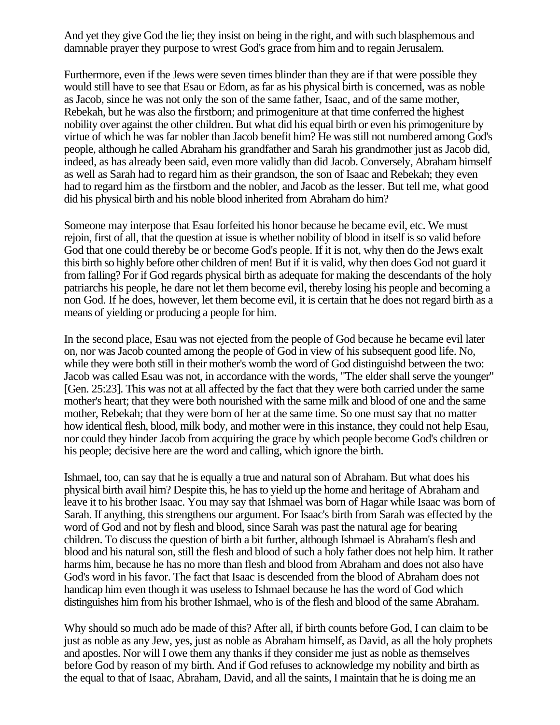And yet they give God the lie; they insist on being in the right, and with such blasphemous and damnable prayer they purpose to wrest God's grace from him and to regain Jerusalem.

Furthermore, even if the Jews were seven times blinder than they are if that were possible they would still have to see that Esau or Edom, as far as his physical birth is concerned, was as noble as Jacob, since he was not only the son of the same father, Isaac, and of the same mother, Rebekah, but he was also the firstborn; and primogeniture at that time conferred the highest nobility over against the other children. But what did his equal birth or even his primogeniture by virtue of which he was far nobler than Jacob benefit him? He was still not numbered among God's people, although he called Abraham his grandfather and Sarah his grandmother just as Jacob did, indeed, as has already been said, even more validly than did Jacob. Conversely, Abraham himself as well as Sarah had to regard him as their grandson, the son of Isaac and Rebekah; they even had to regard him as the firstborn and the nobler, and Jacob as the lesser. But tell me, what good did his physical birth and his noble blood inherited from Abraham do him?

Someone may interpose that Esau forfeited his honor because he became evil, etc. We must rejoin, first of all, that the question at issue is whether nobility of blood in itself is so valid before God that one could thereby be or become God's people. If it is not, why then do the Jews exalt this birth so highly before other children of men! But if it is valid, why then does God not guard it from falling? For if God regards physical birth as adequate for making the descendants of the holy patriarchs his people, he dare not let them become evil, thereby losing his people and becoming a non God. If he does, however, let them become evil, it is certain that he does not regard birth as a means of yielding or producing a people for him.

In the second place, Esau was not ejected from the people of God because he became evil later on, nor was Jacob counted among the people of God in view of his subsequent good life. No, while they were both still in their mother's womb the word of God distinguishd between the two: Jacob was called Esau was not, in accordance with the words, "The elder shall serve the younger" [Gen. 25:23]. This was not at all affected by the fact that they were both carried under the same mother's heart; that they were both nourished with the same milk and blood of one and the same mother, Rebekah; that they were born of her at the same time. So one must say that no matter how identical flesh, blood, milk body, and mother were in this instance, they could not help Esau, nor could they hinder Jacob from acquiring the grace by which people become God's children or his people; decisive here are the word and calling, which ignore the birth.

Ishmael, too, can say that he is equally a true and natural son of Abraham. But what does his physical birth avail him? Despite this, he has to yield up the home and heritage of Abraham and leave it to his brother Isaac. You may say that Ishmael was born of Hagar while Isaac was born of Sarah. If anything, this strengthens our argument. For Isaac's birth from Sarah was effected by the word of God and not by flesh and blood, since Sarah was past the natural age for bearing children. To discuss the question of birth a bit further, although Ishmael is Abraham's flesh and blood and his natural son, still the flesh and blood of such a holy father does not help him. It rather harms him, because he has no more than flesh and blood from Abraham and does not also have God's word in his favor. The fact that Isaac is descended from the blood of Abraham does not handicap him even though it was useless to Ishmael because he has the word of God which distinguishes him from his brother Ishmael, who is of the flesh and blood of the same Abraham.

Why should so much ado be made of this? After all, if birth counts before God, I can claim to be just as noble as any Jew, yes, just as noble as Abraham himself, as David, as all the holy prophets and apostles. Nor will I owe them any thanks if they consider me just as noble as themselves before God by reason of my birth. And if God refuses to acknowledge my nobility and birth as the equal to that of Isaac, Abraham, David, and all the saints, I maintain that he is doing me an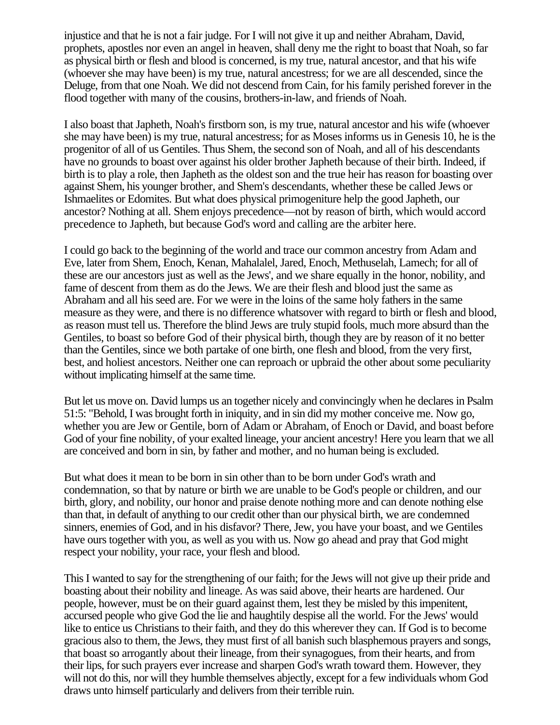injustice and that he is not a fair judge. For I will not give it up and neither Abraham, David, prophets, apostles nor even an angel in heaven, shall deny me the right to boast that Noah, so far as physical birth or flesh and blood is concerned, is my true, natural ancestor, and that his wife (whoever she may have been) is my true, natural ancestress; for we are all descended, since the Deluge, from that one Noah. We did not descend from Cain, for his family perished forever in the flood together with many of the cousins, brothers-in-law, and friends of Noah.

I also boast that Japheth, Noah's firstborn son, is my true, natural ancestor and his wife (whoever she may have been) is my true, natural ancestress; for as Moses informs us in Genesis 10, he is the progenitor of all of us Gentiles. Thus Shem, the second son of Noah, and all of his descendants have no grounds to boast over against his older brother Japheth because of their birth. Indeed, if birth is to play a role, then Japheth as the oldest son and the true heir has reason for boasting over against Shem, his younger brother, and Shem's descendants, whether these be called Jews or Ishmaelites or Edomites. But what does physical primogeniture help the good Japheth, our ancestor? Nothing at all. Shem enjoys precedence—not by reason of birth, which would accord precedence to Japheth, but because God's word and calling are the arbiter here.

I could go back to the beginning of the world and trace our common ancestry from Adam and Eve, later from Shem, Enoch, Kenan, Mahalalel, Jared, Enoch, Methuselah, Lamech; for all of these are our ancestors just as well as the Jews', and we share equally in the honor, nobility, and fame of descent from them as do the Jews. We are their flesh and blood just the same as Abraham and all his seed are. For we were in the loins of the same holy fathers in the same measure as they were, and there is no difference whatsover with regard to birth or flesh and blood, as reason must tell us. Therefore the blind Jews are truly stupid fools, much more absurd than the Gentiles, to boast so before God of their physical birth, though they are by reason of it no better than the Gentiles, since we both partake of one birth, one flesh and blood, from the very first, best, and holiest ancestors. Neither one can reproach or upbraid the other about some peculiarity without implicating himself at the same time.

But let us move on. David lumps us an together nicely and convincingly when he declares in Psalm 51:5: "Behold, I was brought forth in iniquity, and in sin did my mother conceive me. Now go, whether you are Jew or Gentile, born of Adam or Abraham, of Enoch or David, and boast before God of your fine nobility, of your exalted lineage, your ancient ancestry! Here you learn that we all are conceived and born in sin, by father and mother, and no human being is excluded.

But what does it mean to be born in sin other than to be born under God's wrath and condemnation, so that by nature or birth we are unable to be God's people or children, and our birth, glory, and nobility, our honor and praise denote nothing more and can denote nothing else than that, in default of anything to our credit other than our physical birth, we are condemned sinners, enemies of God, and in his disfavor? There, Jew, you have your boast, and we Gentiles have ours together with you, as well as you with us. Now go ahead and pray that God might respect your nobility, your race, your flesh and blood.

This I wanted to say for the strengthening of our faith; for the Jews will not give up their pride and boasting about their nobility and lineage. As was said above, their hearts are hardened. Our people, however, must be on their guard against them, lest they be misled by this impenitent, accursed people who give God the lie and haughtily despise all the world. For the Jews' would like to entice us Christians to their faith, and they do this wherever they can. If God is to become gracious also to them, the Jews, they must first of all banish such blasphemous prayers and songs, that boast so arrogantly about their lineage, from their synagogues, from their hearts, and from their lips, for such prayers ever increase and sharpen God's wrath toward them. However, they will not do this, nor will they humble themselves abjectly, except for a few individuals whom God draws unto himself particularly and delivers from their terrible ruin.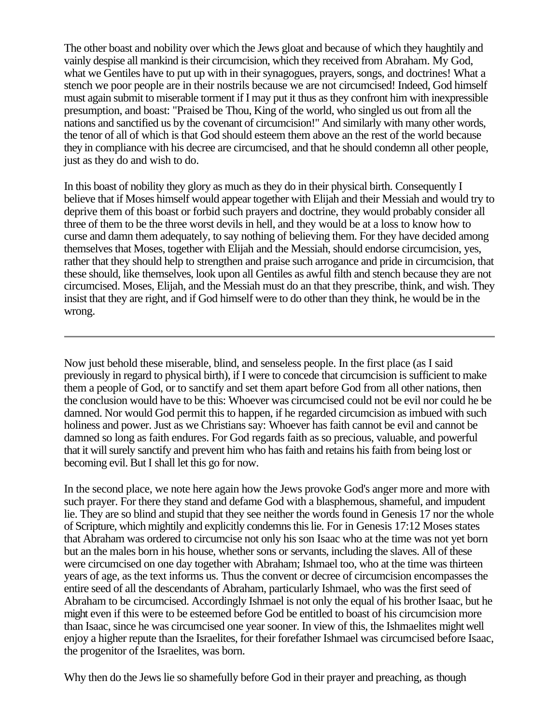The other boast and nobility over which the Jews gloat and because of which they haughtily and vainly despise all mankind is their circumcision, which they received from Abraham. My God, what we Gentiles have to put up with in their synagogues, prayers, songs, and doctrines! What a stench we poor people are in their nostrils because we are not circumcised! Indeed, God himself must again submit to miserable torment if I may put it thus as they confront him with inexpressible presumption, and boast: "Praised be Thou, King of the world, who singled us out from all the nations and sanctified us by the covenant of circumcision!" And similarly with many other words, the tenor of all of which is that God should esteem them above an the rest of the world because they in compliance with his decree are circumcised, and that he should condemn all other people, just as they do and wish to do.

In this boast of nobility they glory as much as they do in their physical birth. Consequently I believe that if Moses himself would appear together with Elijah and their Messiah and would try to deprive them of this boast or forbid such prayers and doctrine, they would probably consider all three of them to be the three worst devils in hell, and they would be at a loss to know how to curse and damn them adequately, to say nothing of believing them. For they have decided among themselves that Moses, together with Elijah and the Messiah, should endorse circumcision, yes, rather that they should help to strengthen and praise such arrogance and pride in circumcision, that these should, like themselves, look upon all Gentiles as awful filth and stench because they are not circumcised. Moses, Elijah, and the Messiah must do an that they prescribe, think, and wish. They insist that they are right, and if God himself were to do other than they think, he would be in the wrong.

Now just behold these miserable, blind, and senseless people. In the first place (as I said previously in regard to physical birth), if I were to concede that circumcision is sufficient to make them a people of God, or to sanctify and set them apart before God from all other nations, then the conclusion would have to be this: Whoever was circumcised could not be evil nor could he be damned. Nor would God permit this to happen, if he regarded circumcision as imbued with such holiness and power. Just as we Christians say: Whoever has faith cannot be evil and cannot be damned so long as faith endures. For God regards faith as so precious, valuable, and powerful that it will surely sanctify and prevent him who has faith and retains his faith from being lost or becoming evil. But I shall let this go for now.

In the second place, we note here again how the Jews provoke God's anger more and more with such prayer. For there they stand and defame God with a blasphemous, shameful, and impudent lie. They are so blind and stupid that they see neither the words found in Genesis 17 nor the whole of Scripture, which mightily and explicitly condemns this lie. For in Genesis 17:12 Moses states that Abraham was ordered to circumcise not only his son Isaac who at the time was not yet born but an the males born in his house, whether sons or servants, including the slaves. All of these were circumcised on one day together with Abraham; Ishmael too, who at the time was thirteen years of age, as the text informs us. Thus the convent or decree of circumcision encompasses the entire seed of all the descendants of Abraham, particularly Ishmael, who was the first seed of Abraham to be circumcised. Accordingly Ishmael is not only the equal of his brother Isaac, but he might even if this were to be esteemed before God be entitled to boast of his circumcision more than Isaac, since he was circumcised one year sooner. In view of this, the Ishmaelites might well enjoy a higher repute than the Israelites, for their forefather Ishmael was circumcised before Isaac, the progenitor of the Israelites, was born.

Why then do the Jews lie so shamefully before God in their prayer and preaching, as though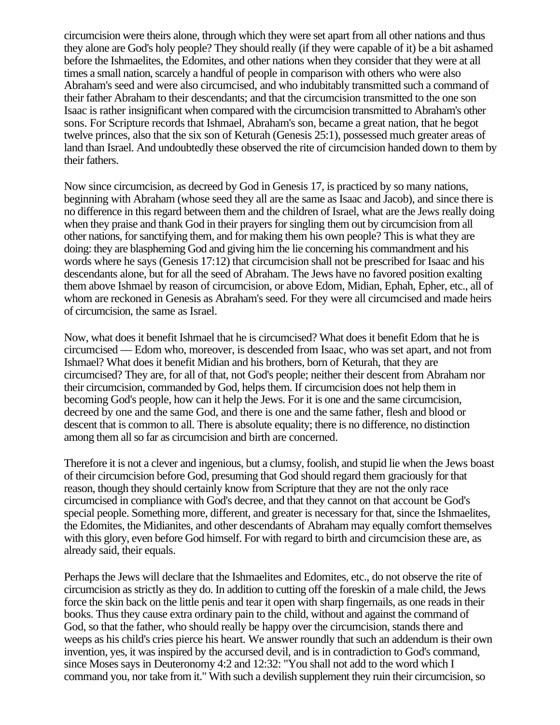circumcision were theirs alone, through which they were set apart from all other nations and thus they alone are God's holy people? They should really (if they were capable of it) be a bit ashamed before the Ishmaelites, the Edomites, and other nations when they consider that they were at all times a small nation, scarcely a handful of people in comparison with others who were also Abraham's seed and were also circumcised, and who indubitably transmitted such a command of their father Abraham to their descendants; and that the circumcision transmitted to the one son Isaac is rather insignificant when compared with the circumcision transmitted to Abraham's other sons. For Scripture records that Ishmael, Abraham's son, became a great nation, that he begot twelve princes, also that the six son of Keturah (Genesis 25:1), possessed much greater areas of land than Israel. And undoubtedly these observed the rite of circumcision handed down to them by their fathers.

Now since circumcision, as decreed by God in Genesis 17, is practiced by so many nations, beginning with Abraham (whose seed they all are the same as Isaac and Jacob), and since there is no difference in this regard between them and the children of Israel, what are the Jews really doing when they praise and thank God in their prayers for singling them out by circumcision from all other nations, for sanctifying them, and for making them his own people? This is what they are doing: they are blaspheming God and giving him the lie concerning his commandment and his words where he says (Genesis 17:12) that circumcision shall not be prescribed for Isaac and his descendants alone, but for all the seed of Abraham. The Jews have no favored position exalting them above Ishmael by reason of circumcision, or above Edom, Midian, Ephah, Epher, etc., all of whom are reckoned in Genesis as Abraham's seed. For they were all circumcised and made heirs of circumcision, the same as Israel.

Now, what does it benefit Ishmael that he is circumcised? What does it benefit Edom that he is circumcised — Edom who, moreover, is descended from Isaac, who was set apart, and not from Ishmael? What does it benefit Midian and his brothers, born of Keturah, that they are circumcised? They are, for all of that, not God's people; neither their descent from Abraham nor their circumcision, commanded by God, helps them. If circumcision does not help them in becoming God's people, how can it help the Jews. For it is one and the same circumcision, decreed by one and the same God, and there is one and the same father, flesh and blood or descent that is common to all. There is absolute equality; there is no difference, no distinction among them all so far as circumcision and birth are concerned.

Therefore it is not a clever and ingenious, but a clumsy, foolish, and stupid lie when the Jews boast of their circumcision before God, presuming that God should regard them graciously for that reason, though they should certainly know from Scripture that they are not the only race circumcised in compliance with God's decree, and that they cannot on that account be God's special people. Something more, different, and greater is necessary for that, since the Ishmaelites, the Edomites, the Midianites, and other descendants of Abraham may equally comfort themselves with this glory, even before God himself. For with regard to birth and circumcision these are, as already said, their equals.

Perhaps the Jews will declare that the Ishmaelites and Edomites, etc., do not observe the rite of circumcision as strictly as they do. In addition to cutting off the foreskin of a male child, the Jews force the skin back on the little penis and tear it open with sharp fingernails, as one reads in their books. Thus they cause extra ordinary pain to the child, without and against the command of God, so that the father, who should really be happy over the circumcision, stands there and weeps as his child's cries pierce his heart. We answer roundly that such an addendum is their own invention, yes, it was inspired by the accursed devil, and is in contradiction to God's command, since Moses says in Deuteronomy 4:2 and 12:32: "You shall not add to the word which I command you, nor take from it." With such a devilish supplement they ruin their circumcision, so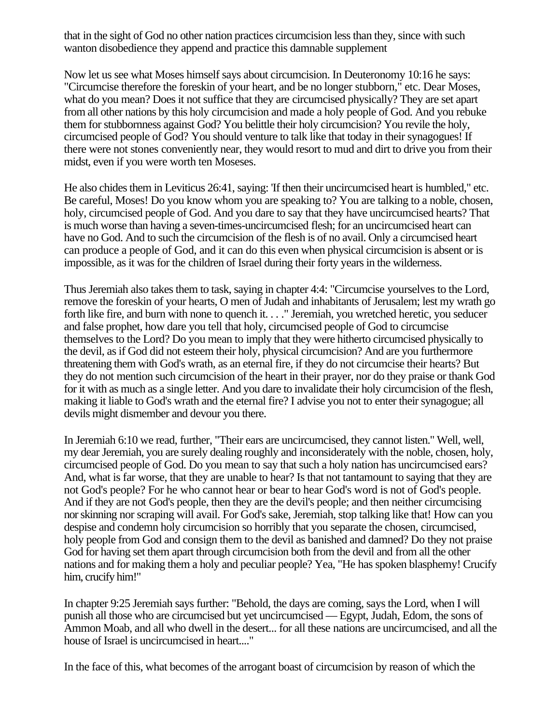that in the sight of God no other nation practices circumcision less than they, since with such wanton disobedience they append and practice this damnable supplement

Now let us see what Moses himself says about circumcision. In Deuteronomy 10:16 he says: "Circumcise therefore the foreskin of your heart, and be no longer stubborn," etc. Dear Moses, what do you mean? Does it not suffice that they are circumcised physically? They are set apart from all other nations by this holy circumcision and made a holy people of God. And you rebuke them for stubbornness against God? You belittle their holy circumcision? You revile the holy, circumcised people of God? You should venture to talk like that today in their synagogues! If there were not stones conveniently near, they would resort to mud and dirt to drive you from their midst, even if you were worth ten Moseses.

He also chides them in Leviticus 26:41, saying: 'If then their uncircumcised heart is humbled," etc. Be careful, Moses! Do you know whom you are speaking to? You are talking to a noble, chosen, holy, circumcised people of God. And you dare to say that they have uncircumcised hearts? That is much worse than having a seven-times-uncircumcised flesh; for an uncircumcised heart can have no God. And to such the circumcision of the flesh is of no avail. Only a circumcised heart can produce a people of God, and it can do this even when physical circumcision is absent or is impossible, as it was for the children of Israel during their forty years in the wilderness.

Thus Jeremiah also takes them to task, saying in chapter 4:4: "Circumcise yourselves to the Lord, remove the foreskin of your hearts, O men of Judah and inhabitants of Jerusalem; lest my wrath go forth like fire, and burn with none to quench it. . . ." Jeremiah, you wretched heretic, you seducer and false prophet, how dare you tell that holy, circumcised people of God to circumcise themselves to the Lord? Do you mean to imply that they were hitherto circumcised physically to the devil, as if God did not esteem their holy, physical circumcision? And are you furthermore threatening them with God's wrath, as an eternal fire, if they do not circumcise their hearts? But they do not mention such circumcision of the heart in their prayer, nor do they praise or thank God for it with as much as a single letter. And you dare to invalidate their holy circumcision of the flesh, making it liable to God's wrath and the eternal fire? I advise you not to enter their synagogue; all devils might dismember and devour you there.

In Jeremiah 6:10 we read, further, "Their ears are uncircumcised, they cannot listen." Well, well, my dear Jeremiah, you are surely dealing roughly and inconsiderately with the noble, chosen, holy, circumcised people of God. Do you mean to say that such a holy nation has uncircumcised ears? And, what is far worse, that they are unable to hear? Is that not tantamount to saying that they are not God's people? For he who cannot hear or bear to hear God's word is not of God's people. And if they are not God's people, then they are the devil's people; and then neither circumcising nor skinning nor scraping will avail. For God's sake, Jeremiah, stop talking like that! How can you despise and condemn holy circumcision so horribly that you separate the chosen, circumcised, holy people from God and consign them to the devil as banished and damned? Do they not praise God for having set them apart through circumcision both from the devil and from all the other nations and for making them a holy and peculiar people? Yea, "He has spoken blasphemy! Crucify him, crucify him!"

In chapter 9:25 Jeremiah says further: "Behold, the days are coming, says the Lord, when I will punish all those who are circumcised but yet uncircumcised — Egypt, Judah, Edom, the sons of Ammon Moab, and all who dwell in the desert... for all these nations are uncircumcised, and all the house of Israel is uncircumcised in heart...."

In the face of this, what becomes of the arrogant boast of circumcision by reason of which the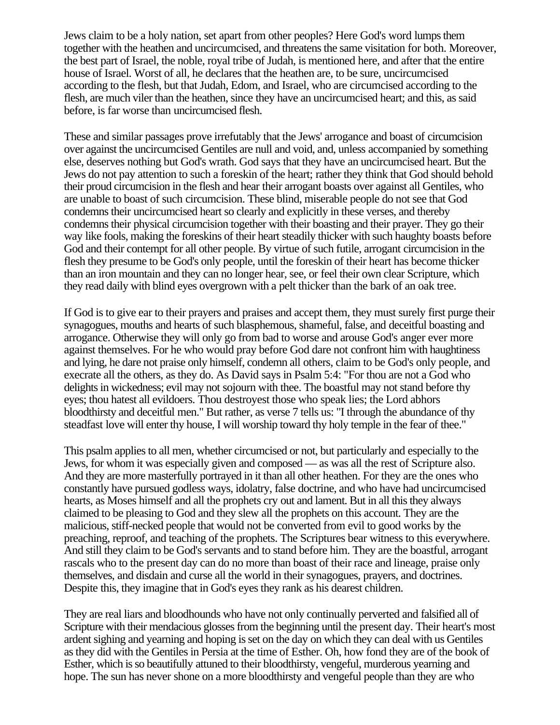Jews claim to be a holy nation, set apart from other peoples? Here God's word lumps them together with the heathen and uncircumcised, and threatens the same visitation for both. Moreover, the best part of Israel, the noble, royal tribe of Judah, is mentioned here, and after that the entire house of Israel. Worst of all, he declares that the heathen are, to be sure, uncircumcised according to the flesh, but that Judah, Edom, and Israel, who are circumcised according to the flesh, are much viler than the heathen, since they have an uncircumcised heart; and this, as said before, is far worse than uncircumcised flesh.

These and similar passages prove irrefutably that the Jews' arrogance and boast of circumcision over against the uncircumcised Gentiles are null and void, and, unless accompanied by something else, deserves nothing but God's wrath. God says that they have an uncircumcised heart. But the Jews do not pay attention to such a foreskin of the heart; rather they think that God should behold their proud circumcision in the flesh and hear their arrogant boasts over against all Gentiles, who are unable to boast of such circumcision. These blind, miserable people do not see that God condemns their uncircumcised heart so clearly and explicitly in these verses, and thereby condemns their physical circumcision together with their boasting and their prayer. They go their way like fools, making the foreskins of their heart steadily thicker with such haughty boasts before God and their contempt for all other people. By virtue of such futile, arrogant circumcision in the flesh they presume to be God's only people, until the foreskin of their heart has become thicker than an iron mountain and they can no longer hear, see, or feel their own clear Scripture, which they read daily with blind eyes overgrown with a pelt thicker than the bark of an oak tree.

If God is to give ear to their prayers and praises and accept them, they must surely first purge their synagogues, mouths and hearts of such blasphemous, shameful, false, and deceitful boasting and arrogance. Otherwise they will only go from bad to worse and arouse God's anger ever more against themselves. For he who would pray before God dare not confront him with haughtiness and lying, he dare not praise only himself, condemn all others, claim to be God's only people, and execrate all the others, as they do. As David says in Psalm 5:4: "For thou are not a God who delights in wickedness; evil may not sojourn with thee. The boastful may not stand before thy eyes; thou hatest all evildoers. Thou destroyest those who speak lies; the Lord abhors bloodthirsty and deceitful men." But rather, as verse 7 tells us: "I through the abundance of thy steadfast love will enter thy house, I will worship toward thy holy temple in the fear of thee."

This psalm applies to all men, whether circumcised or not, but particularly and especially to the Jews, for whom it was especially given and composed — as was all the rest of Scripture also. And they are more masterfully portrayed in it than all other heathen. For they are the ones who constantly have pursued godless ways, idolatry, false doctrine, and who have had uncircumcised hearts, as Moses himself and all the prophets cry out and lament. But in all this they always claimed to be pleasing to God and they slew all the prophets on this account. They are the malicious, stiff-necked people that would not be converted from evil to good works by the preaching, reproof, and teaching of the prophets. The Scriptures bear witness to this everywhere. And still they claim to be God's servants and to stand before him. They are the boastful, arrogant rascals who to the present day can do no more than boast of their race and lineage, praise only themselves, and disdain and curse all the world in their synagogues, prayers, and doctrines. Despite this, they imagine that in God's eyes they rank as his dearest children.

They are real liars and bloodhounds who have not only continually perverted and falsified all of Scripture with their mendacious glosses from the beginning until the present day. Their heart's most ardent sighing and yearning and hoping is set on the day on which they can deal with us Gentiles as they did with the Gentiles in Persia at the time of Esther. Oh, how fond they are of the book of Esther, which is so beautifully attuned to their bloodthirsty, vengeful, murderous yearning and hope. The sun has never shone on a more bloodthirsty and vengeful people than they are who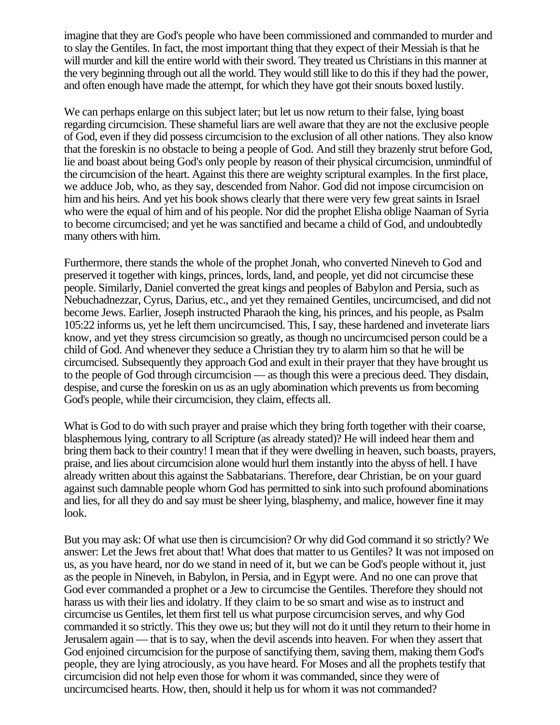imagine that they are God's people who have been commissioned and commanded to murder and to slay the Gentiles. In fact, the most important thing that they expect of their Messiah is that he will murder and kill the entire world with their sword. They treated us Christians in this manner at the very beginning through out all the world. They would still like to do this if they had the power, and often enough have made the attempt, for which they have got their snouts boxed lustily.

We can perhaps enlarge on this subject later; but let us now return to their false, lying boast regarding circumcision. These shameful liars are well aware that they are not the exclusive people of God, even if they did possess circumcision to the exclusion of all other nations. They also know that the foreskin is no obstacle to being a people of God. And still they brazenly strut before God, lie and boast about being God's only people by reason of their physical circumcision, unmindful of the circumcision of the heart. Against this there are weighty scriptural examples. In the first place, we adduce Job, who, as they say, descended from Nahor. God did not impose circumcision on him and his heirs. And yet his book shows clearly that there were very few great saints in Israel who were the equal of him and of his people. Nor did the prophet Elisha oblige Naaman of Syria to become circumcised; and yet he was sanctified and became a child of God, and undoubtedly many others with him.

Furthermore, there stands the whole of the prophet Jonah, who converted Nineveh to God and preserved it together with kings, princes, lords, land, and people, yet did not circumcise these people. Similarly, Daniel converted the great kings and peoples of Babylon and Persia, such as Nebuchadnezzar, Cyrus, Darius, etc., and yet they remained Gentiles, uncircumcised, and did not become Jews. Earlier, Joseph instructed Pharaoh the king, his princes, and his people, as Psalm 105:22 informs us, yet he left them uncircumcised. This, I say, these hardened and inveterate liars know, and yet they stress circumcision so greatly, as though no uncircumcised person could be a child of God. And whenever they seduce a Christian they try to alarm him so that he will be circumcised. Subsequently they approach God and exult in their prayer that they have brought us to the people of God through circumcision — as though this were a precious deed. They disdain, despise, and curse the foreskin on us as an ugly abomination which prevents us from becoming God's people, while their circumcision, they claim, effects all.

What is God to do with such prayer and praise which they bring forth together with their coarse, blasphemous lying, contrary to all Scripture (as already stated)? He will indeed hear them and bring them back to their country! I mean that if they were dwelling in heaven, such boasts, prayers, praise, and lies about circumcision alone would hurl them instantly into the abyss of hell. I have already written about this against the Sabbatarians. Therefore, dear Christian, be on your guard against such damnable people whom God has permitted to sink into such profound abominations and lies, for all they do and say must be sheer lying, blasphemy, and malice, however fine it may look.

But you may ask: Of what use then is circumcision? Or why did God command it so strictly? We answer: Let the Jews fret about that! What does that matter to us Gentiles? It was not imposed on us, as you have heard, nor do we stand in need of it, but we can be God's people without it, just as the people in Nineveh, in Babylon, in Persia, and in Egypt were. And no one can prove that God ever commanded a prophet or a Jew to circumcise the Gentiles. Therefore they should not harass us with their lies and idolatry. If they claim to be so smart and wise as to instruct and circumcise us Gentiles, let them first tell us what purpose circumcision serves, and why God commanded it so strictly. This they owe us; but they will not do it until they return to their home in Jerusalem again — that is to say, when the devil ascends into heaven. For when they assert that God enjoined circumcision for the purpose of sanctifying them, saving them, making them God's people, they are lying atrociously, as you have heard. For Moses and all the prophets testify that circumcision did not help even those for whom it was commanded, since they were of uncircumcised hearts. How, then, should it help us for whom it was not commanded?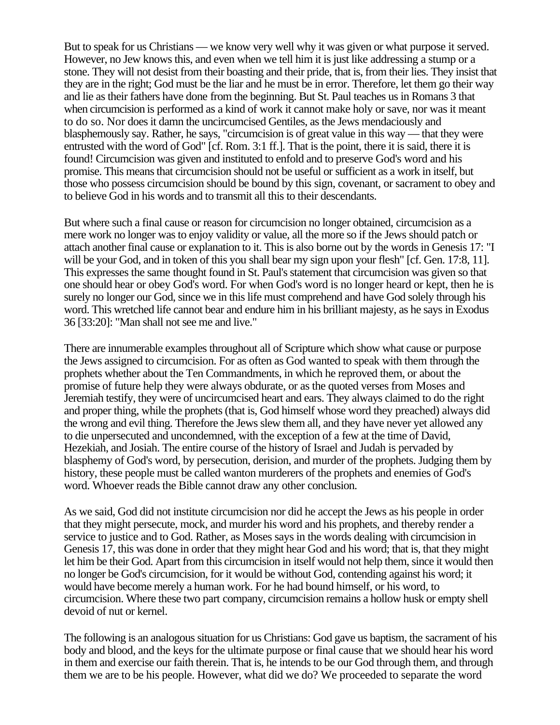But to speak for us Christians — we know very well why it was given or what purpose it served. However, no Jew knows this, and even when we tell him it is just like addressing a stump or a stone. They will not desist from their boasting and their pride, that is, from their lies. They insist that they are in the right; God must be the liar and he must be in error. Therefore, let them go their way and lie as their fathers have done from the beginning. But St. Paul teaches us in Romans 3 that when circumcision is performed as a kind of work it cannot make holy or save, nor was it meant to do so. Nor does it damn the uncircumcised Gentiles, as the Jews mendaciously and blasphemously say. Rather, he says, "circumcision is of great value in this way — that they were entrusted with the word of God" [cf. Rom. 3:1 ff.]. That is the point, there it is said, there it is found! Circumcision was given and instituted to enfold and to preserve God's word and his promise. This means that circumcision should not be useful or sufficient as a work in itself, but those who possess circumcision should be bound by this sign, covenant, or sacrament to obey and to believe God in his words and to transmit all this to their descendants.

But where such a final cause or reason for circumcision no longer obtained, circumcision as a mere work no longer was to enjoy validity or value, all the more so if the Jews should patch or attach another final cause or explanation to it. This is also borne out by the words in Genesis 17: "I will be your God, and in token of this you shall bear my sign upon your flesh" [cf. Gen. 17:8, 11]. This expresses the same thought found in St. Paul's statement that circumcision was given so that one should hear or obey God's word. For when God's word is no longer heard or kept, then he is surely no longer our God, since we in this life must comprehend and have God solely through his word. This wretched life cannot bear and endure him in his brilliant majesty, as he says in Exodus 36 [33:20]: "Man shall not see me and live."

There are innumerable examples throughout all of Scripture which show what cause or purpose the Jews assigned to circumcision. For as often as God wanted to speak with them through the prophets whether about the Ten Commandments, in which he reproved them, or about the promise of future help they were always obdurate, or as the quoted verses from Moses and Jeremiah testify, they were of uncircumcised heart and ears. They always claimed to do the right and proper thing, while the prophets (that is, God himself whose word they preached) always did the wrong and evil thing. Therefore the Jews slew them all, and they have never yet allowed any to die unpersecuted and uncondemned, with the exception of a few at the time of David, Hezekiah, and Josiah. The entire course of the history of Israel and Judah is pervaded by blasphemy of God's word, by persecution, derision, and murder of the prophets. Judging them by history, these people must be called wanton murderers of the prophets and enemies of God's word. Whoever reads the Bible cannot draw any other conclusion.

As we said, God did not institute circumcision nor did he accept the Jews as his people in order that they might persecute, mock, and murder his word and his prophets, and thereby render a service to justice and to God. Rather, as Moses says in the words dealing with circumcision in Genesis 17, this was done in order that they might hear God and his word; that is, that they might let him be their God. Apart from this circumcision in itself would not help them, since it would then no longer be God's circumcision, for it would be without God, contending against his word; it would have become merely a human work. For he had bound himself, or his word, to circumcision. Where these two part company, circumcision remains a hollow husk or empty shell devoid of nut or kernel.

The following is an analogous situation for us Christians: God gave us baptism, the sacrament of his body and blood, and the keys for the ultimate purpose or final cause that we should hear his word in them and exercise our faith therein. That is, he intends to be our God through them, and through them we are to be his people. However, what did we do? We proceeded to separate the word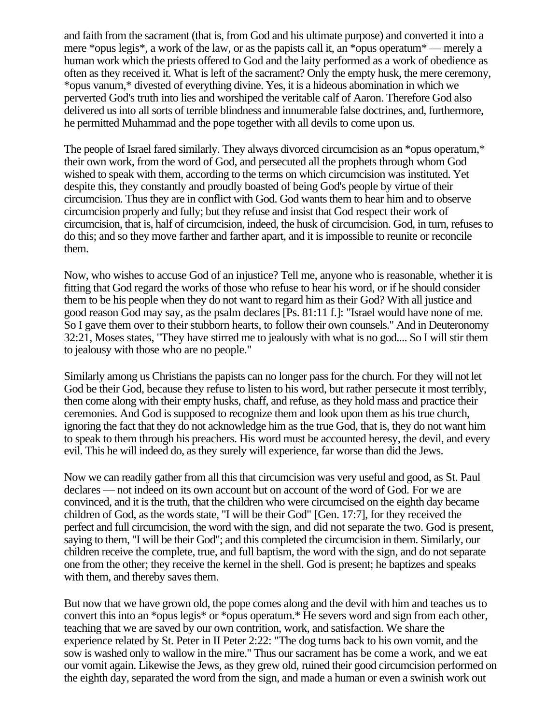and faith from the sacrament (that is, from God and his ultimate purpose) and converted it into a mere \*opus legis\*, a work of the law, or as the papists call it, an \*opus operatum\* — merely a human work which the priests offered to God and the laity performed as a work of obedience as often as they received it. What is left of the sacrament? Only the empty husk, the mere ceremony, \*opus vanum,\* divested of everything divine. Yes, it is a hideous abomination in which we perverted God's truth into lies and worshiped the veritable calf of Aaron. Therefore God also delivered us into all sorts of terrible blindness and innumerable false doctrines, and, furthermore, he permitted Muhammad and the pope together with all devils to come upon us.

The people of Israel fared similarly. They always divorced circumcision as an \*opus operatum,\* their own work, from the word of God, and persecuted all the prophets through whom God wished to speak with them, according to the terms on which circumcision was instituted. Yet despite this, they constantly and proudly boasted of being God's people by virtue of their circumcision. Thus they are in conflict with God. God wants them to hear him and to observe circumcision properly and fully; but they refuse and insist that God respect their work of circumcision, that is, half of circumcision, indeed, the husk of circumcision. God, in turn, refuses to do this; and so they move farther and farther apart, and it is impossible to reunite or reconcile them.

Now, who wishes to accuse God of an injustice? Tell me, anyone who is reasonable, whether it is fitting that God regard the works of those who refuse to hear his word, or if he should consider them to be his people when they do not want to regard him as their God? With all justice and good reason God may say, as the psalm declares [Ps. 81:11 f.]: "Israel would have none of me. So I gave them over to their stubborn hearts, to follow their own counsels." And in Deuteronomy 32:21, Moses states, "They have stirred me to jealously with what is no god.... So I will stir them to jealousy with those who are no people."

Similarly among us Christians the papists can no longer pass for the church. For they will not let God be their God, because they refuse to listen to his word, but rather persecute it most terribly, then come along with their empty husks, chaff, and refuse, as they hold mass and practice their ceremonies. And God is supposed to recognize them and look upon them as his true church, ignoring the fact that they do not acknowledge him as the true God, that is, they do not want him to speak to them through his preachers. His word must be accounted heresy, the devil, and every evil. This he will indeed do, as they surely will experience, far worse than did the Jews.

Now we can readily gather from all this that circumcision was very useful and good, as St. Paul declares — not indeed on its own account but on account of the word of God. For we are convinced, and it is the truth, that the children who were circumcised on the eighth day became children of God, as the words state, "I will be their God" [Gen. 17:7], for they received the perfect and full circumcision, the word with the sign, and did not separate the two. God is present, saying to them, "I will be their God"; and this completed the circumcision in them. Similarly, our children receive the complete, true, and full baptism, the word with the sign, and do not separate one from the other; they receive the kernel in the shell. God is present; he baptizes and speaks with them, and thereby saves them.

But now that we have grown old, the pope comes along and the devil with him and teaches us to convert this into an \*opus legis\* or \*opus operatum.\* He severs word and sign from each other, teaching that we are saved by our own contrition, work, and satisfaction. We share the experience related by St. Peter in II Peter 2:22: "The dog turns back to his own vomit, and the sow is washed only to wallow in the mire." Thus our sacrament has be come a work, and we eat our vomit again. Likewise the Jews, as they grew old, ruined their good circumcision performed on the eighth day, separated the word from the sign, and made a human or even a swinish work out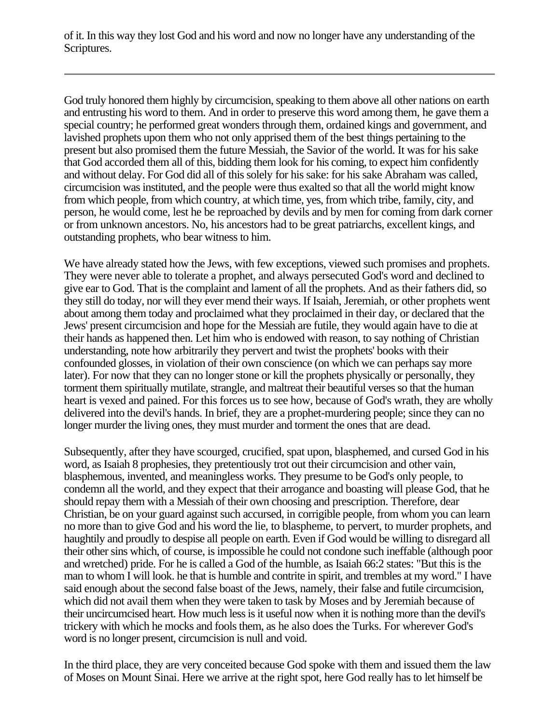of it. In this way they lost God and his word and now no longer have any understanding of the Scriptures.

God truly honored them highly by circumcision, speaking to them above all other nations on earth and entrusting his word to them. And in order to preserve this word among them, he gave them a special country; he performed great wonders through them, ordained kings and government, and lavished prophets upon them who not only apprised them of the best things pertaining to the present but also promised them the future Messiah, the Savior of the world. It was for his sake that God accorded them all of this, bidding them look for his coming, to expect him confidently and without delay. For God did all of this solely for his sake: for his sake Abraham was called, circumcision was instituted, and the people were thus exalted so that all the world might know from which people, from which country, at which time, yes, from which tribe, family, city, and person, he would come, lest he be reproached by devils and by men for coming from dark corner or from unknown ancestors. No, his ancestors had to be great patriarchs, excellent kings, and outstanding prophets, who bear witness to him.

We have already stated how the Jews, with few exceptions, viewed such promises and prophets. They were never able to tolerate a prophet, and always persecuted God's word and declined to give ear to God. That is the complaint and lament of all the prophets. And as their fathers did, so they still do today, nor will they ever mend their ways. If Isaiah, Jeremiah, or other prophets went about among them today and proclaimed what they proclaimed in their day, or declared that the Jews' present circumcision and hope for the Messiah are futile, they would again have to die at their hands as happened then. Let him who is endowed with reason, to say nothing of Christian understanding, note how arbitrarily they pervert and twist the prophets' books with their confounded glosses, in violation of their own conscience (on which we can perhaps say more later). For now that they can no longer stone or kill the prophets physically or personally, they torment them spiritually mutilate, strangle, and maltreat their beautiful verses so that the human heart is vexed and pained. For this forces us to see how, because of God's wrath, they are wholly delivered into the devil's hands. In brief, they are a prophet-murdering people; since they can no longer murder the living ones, they must murder and torment the ones that are dead.

Subsequently, after they have scourged, crucified, spat upon, blasphemed, and cursed God in his word, as Isaiah 8 prophesies, they pretentiously trot out their circumcision and other vain, blasphemous, invented, and meaningless works. They presume to be God's only people, to condemn all the world, and they expect that their arrogance and boasting will please God, that he should repay them with a Messiah of their own choosing and prescription. Therefore, dear Christian, be on your guard against such accursed, in corrigible people, from whom you can learn no more than to give God and his word the lie, to blaspheme, to pervert, to murder prophets, and haughtily and proudly to despise all people on earth. Even if God would be willing to disregard all their other sins which, of course, is impossible he could not condone such ineffable (although poor and wretched) pride. For he is called a God of the humble, as Isaiah 66:2 states: "But this is the man to whom I will look. he that is humble and contrite in spirit, and trembles at my word." I have said enough about the second false boast of the Jews, namely, their false and futile circumcision, which did not avail them when they were taken to task by Moses and by Jeremiah because of their uncircumcised heart. How much less is it useful now when it is nothing more than the devil's trickery with which he mocks and fools them, as he also does the Turks. For wherever God's word is no longer present, circumcision is null and void.

In the third place, they are very conceited because God spoke with them and issued them the law of Moses on Mount Sinai. Here we arrive at the right spot, here God really has to let himself be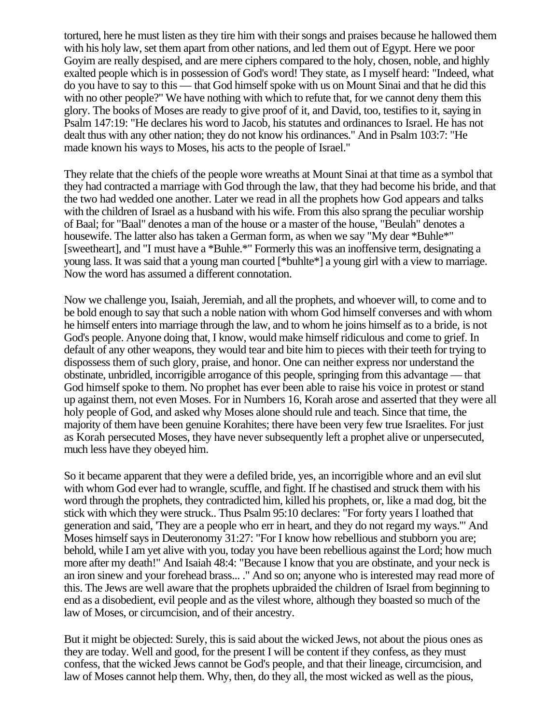tortured, here he must listen as they tire him with their songs and praises because he hallowed them with his holy law, set them apart from other nations, and led them out of Egypt. Here we poor Goyim are really despised, and are mere ciphers compared to the holy, chosen, noble, and highly exalted people which is in possession of God's word! They state, as I myself heard: "Indeed, what do you have to say to this — that God himself spoke with us on Mount Sinai and that he did this with no other people?" We have nothing with which to refute that, for we cannot deny them this glory. The books of Moses are ready to give proof of it, and David, too, testifies to it, saying in Psalm 147:19: "He declares his word to Jacob, his statutes and ordinances to Israel. He has not dealt thus with any other nation; they do not know his ordinances." And in Psalm 103:7: "He made known his ways to Moses, his acts to the people of Israel."

They relate that the chiefs of the people wore wreaths at Mount Sinai at that time as a symbol that they had contracted a marriage with God through the law, that they had become his bride, and that the two had wedded one another. Later we read in all the prophets how God appears and talks with the children of Israel as a husband with his wife. From this also sprang the peculiar worship of Baal; for "Baal" denotes a man of the house or a master of the house, "Beulah" denotes a housewife. The latter also has taken a German form, as when we say "My dear \*Buhle\*" [sweetheart], and "I must have a \*Buhle.\*" Formerly this was an inoffensive term, designating a young lass. It was said that a young man courted [\*buhlte\*] a young girl with a view to marriage. Now the word has assumed a different connotation.

Now we challenge you, Isaiah, Jeremiah, and all the prophets, and whoever will, to come and to be bold enough to say that such a noble nation with whom God himself converses and with whom he himself enters into marriage through the law, and to whom he joins himself as to a bride, is not God's people. Anyone doing that, I know, would make himself ridiculous and come to grief. In default of any other weapons, they would tear and bite him to pieces with their teeth for trying to dispossess them of such glory, praise, and honor. One can neither express nor understand the obstinate, unbridled, incorrigible arrogance of this people, springing from this advantage — that God himself spoke to them. No prophet has ever been able to raise his voice in protest or stand up against them, not even Moses. For in Numbers 16, Korah arose and asserted that they were all holy people of God, and asked why Moses alone should rule and teach. Since that time, the majority of them have been genuine Korahites; there have been very few true Israelites. For just as Korah persecuted Moses, they have never subsequently left a prophet alive or unpersecuted, much less have they obeyed him.

So it became apparent that they were a defiled bride, yes, an incorrigible whore and an evil slut with whom God ever had to wrangle, scuffle, and fight. If he chastised and struck them with his word through the prophets, they contradicted him, killed his prophets, or, like a mad dog, bit the stick with which they were struck.. Thus Psalm 95:10 declares: "For forty years I loathed that generation and said, 'They are a people who err in heart, and they do not regard my ways.'" And Moses himself says in Deuteronomy 31:27: "For I know how rebellious and stubborn you are; behold, while I am yet alive with you, today you have been rebellious against the Lord; how much more after my death!" And Isaiah 48:4: "Because I know that you are obstinate, and your neck is an iron sinew and your forehead brass... ." And so on; anyone who is interested may read more of this. The Jews are well aware that the prophets upbraided the children of Israel from beginning to end as a disobedient, evil people and as the vilest whore, although they boasted so much of the law of Moses, or circumcision, and of their ancestry.

But it might be objected: Surely, this is said about the wicked Jews, not about the pious ones as they are today. Well and good, for the present I will be content if they confess, as they must confess, that the wicked Jews cannot be God's people, and that their lineage, circumcision, and law of Moses cannot help them. Why, then, do they all, the most wicked as well as the pious,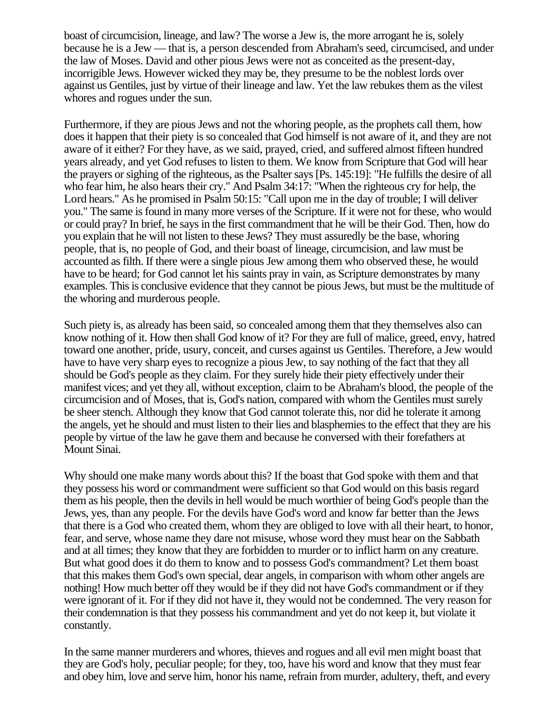boast of circumcision, lineage, and law? The worse a Jew is, the more arrogant he is, solely because he is a Jew — that is, a person descended from Abraham's seed, circumcised, and under the law of Moses. David and other pious Jews were not as conceited as the present-day, incorrigible Jews. However wicked they may be, they presume to be the noblest lords over against us Gentiles, just by virtue of their lineage and law. Yet the law rebukes them as the vilest whores and rogues under the sun.

Furthermore, if they are pious Jews and not the whoring people, as the prophets call them, how does it happen that their piety is so concealed that God himself is not aware of it, and they are not aware of it either? For they have, as we said, prayed, cried, and suffered almost fifteen hundred years already, and yet God refuses to listen to them. We know from Scripture that God will hear the prayers or sighing of the righteous, as the Psalter says [Ps. 145:19]: "He fulfills the desire of all who fear him, he also hears their cry." And Psalm 34:17: "When the righteous cry for help, the Lord hears." As he promised in Psalm 50:15: "Call upon me in the day of trouble; I will deliver you." The same is found in many more verses of the Scripture. If it were not for these, who would or could pray? In brief, he says in the first commandment that he will be their God. Then, how do you explain that he will not listen to these Jews? They must assuredly be the base, whoring people, that is, no people of God, and their boast of lineage, circumcision, and law must be accounted as filth. If there were a single pious Jew among them who observed these, he would have to be heard; for God cannot let his saints pray in vain, as Scripture demonstrates by many examples. This is conclusive evidence that they cannot be pious Jews, but must be the multitude of the whoring and murderous people.

Such piety is, as already has been said, so concealed among them that they themselves also can know nothing of it. How then shall God know of it? For they are full of malice, greed, envy, hatred toward one another, pride, usury, conceit, and curses against us Gentiles. Therefore, a Jew would have to have very sharp eyes to recognize a pious Jew, to say nothing of the fact that they all should be God's people as they claim. For they surely hide their piety effectively under their manifest vices; and yet they all, without exception, claim to be Abraham's blood, the people of the circumcision and of Moses, that is, God's nation, compared with whom the Gentiles must surely be sheer stench. Although they know that God cannot tolerate this, nor did he tolerate it among the angels, yet he should and must listen to their lies and blasphemies to the effect that they are his people by virtue of the law he gave them and because he conversed with their forefathers at Mount Sinai.

Why should one make many words about this? If the boast that God spoke with them and that they possess his word or commandment were sufficient so that God would on this basis regard them as his people, then the devils in hell would be much worthier of being God's people than the Jews, yes, than any people. For the devils have God's word and know far better than the Jews that there is a God who created them, whom they are obliged to love with all their heart, to honor, fear, and serve, whose name they dare not misuse, whose word they must hear on the Sabbath and at all times; they know that they are forbidden to murder or to inflict harm on any creature. But what good does it do them to know and to possess God's commandment? Let them boast that this makes them God's own special, dear angels, in comparison with whom other angels are nothing! How much better off they would be if they did not have God's commandment or if they were ignorant of it. For if they did not have it, they would not be condemned. The very reason for their condemnation is that they possess his commandment and yet do not keep it, but violate it constantly.

In the same manner murderers and whores, thieves and rogues and all evil men might boast that they are God's holy, peculiar people; for they, too, have his word and know that they must fear and obey him, love and serve him, honor his name, refrain from murder, adultery, theft, and every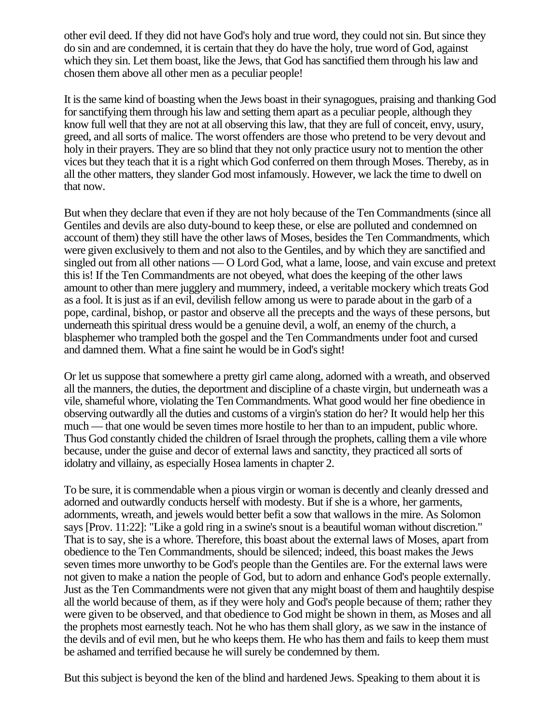other evil deed. If they did not have God's holy and true word, they could not sin. But since they do sin and are condemned, it is certain that they do have the holy, true word of God, against which they sin. Let them boast, like the Jews, that God has sanctified them through his law and chosen them above all other men as a peculiar people!

It is the same kind of boasting when the Jews boast in their synagogues, praising and thanking God for sanctifying them through his law and setting them apart as a peculiar people, although they know full well that they are not at all observing this law, that they are full of conceit, envy, usury, greed, and all sorts of malice. The worst offenders are those who pretend to be very devout and holy in their prayers. They are so blind that they not only practice usury not to mention the other vices but they teach that it is a right which God conferred on them through Moses. Thereby, as in all the other matters, they slander God most infamously. However, we lack the time to dwell on that now.

But when they declare that even if they are not holy because of the Ten Commandments (since all Gentiles and devils are also duty-bound to keep these, or else are polluted and condemned on account of them) they still have the other laws of Moses, besides the Ten Commandments, which were given exclusively to them and not also to the Gentiles, and by which they are sanctified and singled out from all other nations — O Lord God, what a lame, loose, and vain excuse and pretext this is! If the Ten Commandments are not obeyed, what does the keeping of the other laws amount to other than mere jugglery and mummery, indeed, a veritable mockery which treats God as a fool. It is just as if an evil, devilish fellow among us were to parade about in the garb of a pope, cardinal, bishop, or pastor and observe all the precepts and the ways of these persons, but underneath this spiritual dress would be a genuine devil, a wolf, an enemy of the church, a blasphemer who trampled both the gospel and the Ten Commandments under foot and cursed and damned them. What a fine saint he would be in God's sight!

Or let us suppose that somewhere a pretty girl came along, adorned with a wreath, and observed all the manners, the duties, the deportment and discipline of a chaste virgin, but underneath was a vile, shameful whore, violating the Ten Commandments. What good would her fine obedience in observing outwardly all the duties and customs of a virgin's station do her? It would help her this much — that one would be seven times more hostile to her than to an impudent, public whore. Thus God constantly chided the children of Israel through the prophets, calling them a vile whore because, under the guise and decor of external laws and sanctity, they practiced all sorts of idolatry and villainy, as especially Hosea laments in chapter 2.

To be sure, it is commendable when a pious virgin or woman is decently and cleanly dressed and adorned and outwardly conducts herself with modesty. But if she is a whore, her garments, adornments, wreath, and jewels would better befit a sow that wallows in the mire. As Solomon says [Prov. 11:22]: "Like a gold ring in a swine's snout is a beautiful woman without discretion." That is to say, she is a whore. Therefore, this boast about the external laws of Moses, apart from obedience to the Ten Commandments, should be silenced; indeed, this boast makes the Jews seven times more unworthy to be God's people than the Gentiles are. For the external laws were not given to make a nation the people of God, but to adorn and enhance God's people externally. Just as the Ten Commandments were not given that any might boast of them and haughtily despise all the world because of them, as if they were holy and God's people because of them; rather they were given to be observed, and that obedience to God might be shown in them, as Moses and all the prophets most earnestly teach. Not he who has them shall glory, as we saw in the instance of the devils and of evil men, but he who keeps them. He who has them and fails to keep them must be ashamed and terrified because he will surely be condemned by them.

But this subject is beyond the ken of the blind and hardened Jews. Speaking to them about it is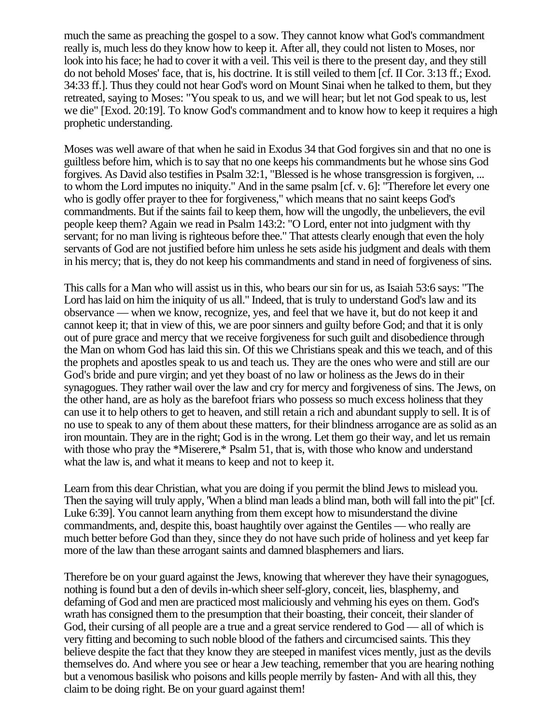much the same as preaching the gospel to a sow. They cannot know what God's commandment really is, much less do they know how to keep it. After all, they could not listen to Moses, nor look into his face; he had to cover it with a veil. This veil is there to the present day, and they still do not behold Moses' face, that is, his doctrine. It is still veiled to them [cf. II Cor. 3:13 ff.; Exod. 34:33 ff.]. Thus they could not hear God's word on Mount Sinai when he talked to them, but they retreated, saying to Moses: "You speak to us, and we will hear; but let not God speak to us, lest we die" [Exod. 20:19]. To know God's commandment and to know how to keep it requires a high prophetic understanding.

Moses was well aware of that when he said in Exodus 34 that God forgives sin and that no one is guiltless before him, which is to say that no one keeps his commandments but he whose sins God forgives. As David also testifies in Psalm 32:1, "Blessed is he whose transgression is forgiven, ... to whom the Lord imputes no iniquity." And in the same psalm [cf. v. 6]: "Therefore let every one who is godly offer prayer to thee for forgiveness," which means that no saint keeps God's commandments. But if the saints fail to keep them, how will the ungodly, the unbelievers, the evil people keep them? Again we read in Psalm 143:2: "O Lord, enter not into judgment with thy servant; for no man living is righteous before thee." That attests clearly enough that even the holy servants of God are not justified before him unless he sets aside his judgment and deals with them in his mercy; that is, they do not keep his commandments and stand in need of forgiveness of sins.

This calls for a Man who will assist us in this, who bears our sin for us, as Isaiah 53:6 says: "The Lord has laid on him the iniquity of us all." Indeed, that is truly to understand God's law and its observance — when we know, recognize, yes, and feel that we have it, but do not keep it and cannot keep it; that in view of this, we are poor sinners and guilty before God; and that it is only out of pure grace and mercy that we receive forgiveness for such guilt and disobedience through the Man on whom God has laid this sin. Of this we Christians speak and this we teach, and of this the prophets and apostles speak to us and teach us. They are the ones who were and still are our God's bride and pure virgin; and yet they boast of no law or holiness as the Jews do in their synagogues. They rather wail over the law and cry for mercy and forgiveness of sins. The Jews, on the other hand, are as holy as the barefoot friars who possess so much excess holiness that they can use it to help others to get to heaven, and still retain a rich and abundant supply to sell. It is of no use to speak to any of them about these matters, for their blindness arrogance are as solid as an iron mountain. They are in the right; God is in the wrong. Let them go their way, and let us remain with those who pray the \*Miserere,\* Psalm 51, that is, with those who know and understand what the law is, and what it means to keep and not to keep it.

Learn from this dear Christian, what you are doing if you permit the blind Jews to mislead you. Then the saying will truly apply, 'When a blind man leads a blind man, both will fall into the pit" [cf. Luke 6:39]. You cannot learn anything from them except how to misunderstand the divine commandments, and, despite this, boast haughtily over against the Gentiles — who really are much better before God than they, since they do not have such pride of holiness and yet keep far more of the law than these arrogant saints and damned blasphemers and liars.

Therefore be on your guard against the Jews, knowing that wherever they have their synagogues, nothing is found but a den of devils in-which sheer self-glory, conceit, lies, blasphemy, and defaming of God and men are practiced most maliciously and vehming his eyes on them. God's wrath has consigned them to the presumption that their boasting, their conceit, their slander of God, their cursing of all people are a true and a great service rendered to God — all of which is very fitting and becoming to such noble blood of the fathers and circumcised saints. This they believe despite the fact that they know they are steeped in manifest vices mently, just as the devils themselves do. And where you see or hear a Jew teaching, remember that you are hearing nothing but a venomous basilisk who poisons and kills people merrily by fasten- And with all this, they claim to be doing right. Be on your guard against them!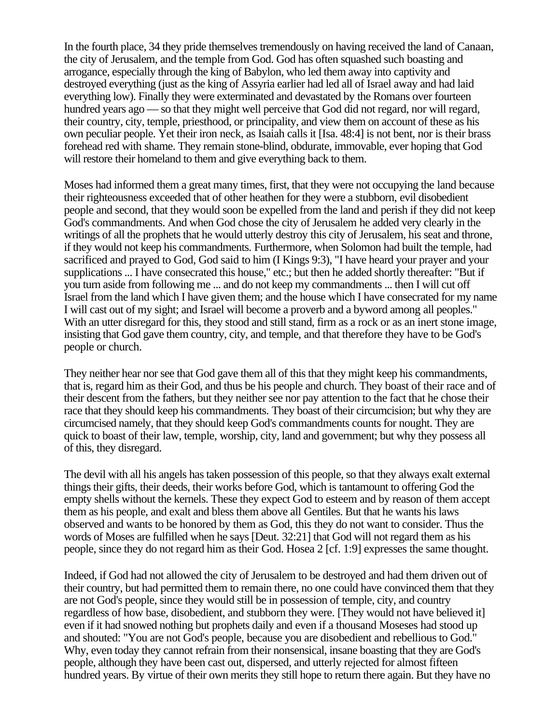In the fourth place, 34 they pride themselves tremendously on having received the land of Canaan, the city of Jerusalem, and the temple from God. God has often squashed such boasting and arrogance, especially through the king of Babylon, who led them away into captivity and destroyed everything (just as the king of Assyria earlier had led all of Israel away and had laid everything low). Finally they were exterminated and devastated by the Romans over fourteen hundred years ago — so that they might well perceive that God did not regard, nor will regard, their country, city, temple, priesthood, or principality, and view them on account of these as his own peculiar people. Yet their iron neck, as Isaiah calls it [Isa. 48:4] is not bent, nor is their brass forehead red with shame. They remain stone-blind, obdurate, immovable, ever hoping that God will restore their homeland to them and give everything back to them.

Moses had informed them a great many times, first, that they were not occupying the land because their righteousness exceeded that of other heathen for they were a stubborn, evil disobedient people and second, that they would soon be expelled from the land and perish if they did not keep God's commandments. And when God chose the city of Jerusalem he added very clearly in the writings of all the prophets that he would utterly destroy this city of Jerusalem, his seat and throne, if they would not keep his commandments. Furthermore, when Solomon had built the temple, had sacrificed and prayed to God, God said to him (I Kings 9:3), "I have heard your prayer and your supplications ... I have consecrated this house," etc.; but then he added shortly thereafter: "But if you turn aside from following me ... and do not keep my commandments ... then I will cut off Israel from the land which I have given them; and the house which I have consecrated for my name I will cast out of my sight; and Israel will become a proverb and a byword among all peoples." With an utter disregard for this, they stood and still stand, firm as a rock or as an inert stone image, insisting that God gave them country, city, and temple, and that therefore they have to be God's people or church.

They neither hear nor see that God gave them all of this that they might keep his commandments, that is, regard him as their God, and thus be his people and church. They boast of their race and of their descent from the fathers, but they neither see nor pay attention to the fact that he chose their race that they should keep his commandments. They boast of their circumcision; but why they are circumcised namely, that they should keep God's commandments counts for nought. They are quick to boast of their law, temple, worship, city, land and government; but why they possess all of this, they disregard.

The devil with all his angels has taken possession of this people, so that they always exalt external things their gifts, their deeds, their works before God, which is tantamount to offering God the empty shells without the kernels. These they expect God to esteem and by reason of them accept them as his people, and exalt and bless them above all Gentiles. But that he wants his laws observed and wants to be honored by them as God, this they do not want to consider. Thus the words of Moses are fulfilled when he says [Deut. 32:21] that God will not regard them as his people, since they do not regard him as their God. Hosea 2 [cf. 1:9] expresses the same thought.

Indeed, if God had not allowed the city of Jerusalem to be destroyed and had them driven out of their country, but had permitted them to remain there, no one could have convinced them that they are not God's people, since they would still be in possession of temple, city, and country regardless of how base, disobedient, and stubborn they were. [They would not have believed it] even if it had snowed nothing but prophets daily and even if a thousand Moseses had stood up and shouted: "You are not God's people, because you are disobedient and rebellious to God." Why, even today they cannot refrain from their nonsensical, insane boasting that they are God's people, although they have been cast out, dispersed, and utterly rejected for almost fifteen hundred years. By virtue of their own merits they still hope to return there again. But they have no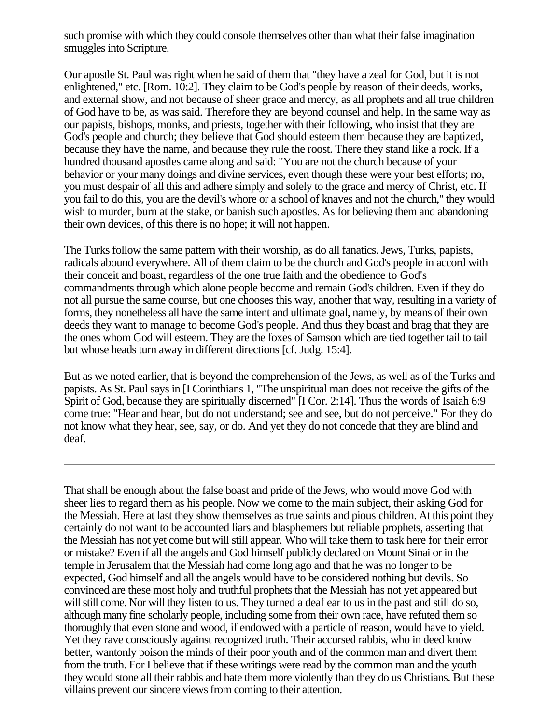such promise with which they could console themselves other than what their false imagination smuggles into Scripture.

Our apostle St. Paul was right when he said of them that "they have a zeal for God, but it is not enlightened," etc. [Rom. 10:2]. They claim to be God's people by reason of their deeds, works, and external show, and not because of sheer grace and mercy, as all prophets and all true children of God have to be, as was said. Therefore they are beyond counsel and help. In the same way as our papists, bishops, monks, and priests, together with their following, who insist that they are God's people and church; they believe that God should esteem them because they are baptized, because they have the name, and because they rule the roost. There they stand like a rock. If a hundred thousand apostles came along and said: "You are not the church because of your behavior or your many doings and divine services, even though these were your best efforts; no, you must despair of all this and adhere simply and solely to the grace and mercy of Christ, etc. If you fail to do this, you are the devil's whore or a school of knaves and not the church," they would wish to murder, burn at the stake, or banish such apostles. As for believing them and abandoning their own devices, of this there is no hope; it will not happen.

The Turks follow the same pattern with their worship, as do all fanatics. Jews, Turks, papists, radicals abound everywhere. All of them claim to be the church and God's people in accord with their conceit and boast, regardless of the one true faith and the obedience to God's commandments through which alone people become and remain God's children. Even if they do not all pursue the same course, but one chooses this way, another that way, resulting in a variety of forms, they nonetheless all have the same intent and ultimate goal, namely, by means of their own deeds they want to manage to become God's people. And thus they boast and brag that they are the ones whom God will esteem. They are the foxes of Samson which are tied together tail to tail but whose heads turn away in different directions [cf. Judg. 15:4].

But as we noted earlier, that is beyond the comprehension of the Jews, as well as of the Turks and papists. As St. Paul says in [I Corinthians 1, "The unspiritual man does not receive the gifts of the Spirit of God, because they are spiritually discerned" [I Cor. 2:14]. Thus the words of Isaiah 6:9 come true: "Hear and hear, but do not understand; see and see, but do not perceive." For they do not know what they hear, see, say, or do. And yet they do not concede that they are blind and deaf.

That shall be enough about the false boast and pride of the Jews, who would move God with sheer lies to regard them as his people. Now we come to the main subject, their asking God for the Messiah. Here at last they show themselves as true saints and pious children. At this point they certainly do not want to be accounted liars and blasphemers but reliable prophets, asserting that the Messiah has not yet come but will still appear. Who will take them to task here for their error or mistake? Even if all the angels and God himself publicly declared on Mount Sinai or in the temple in Jerusalem that the Messiah had come long ago and that he was no longer to be expected, God himself and all the angels would have to be considered nothing but devils. So convinced are these most holy and truthful prophets that the Messiah has not yet appeared but will still come. Nor will they listen to us. They turned a deaf ear to us in the past and still do so, although many fine scholarly people, including some from their own race, have refuted them so thoroughly that even stone and wood, if endowed with a particle of reason, would have to yield. Yet they rave consciously against recognized truth. Their accursed rabbis, who in deed know better, wantonly poison the minds of their poor youth and of the common man and divert them from the truth. For I believe that if these writings were read by the common man and the youth they would stone all their rabbis and hate them more violently than they do us Christians. But these villains prevent our sincere views from coming to their attention.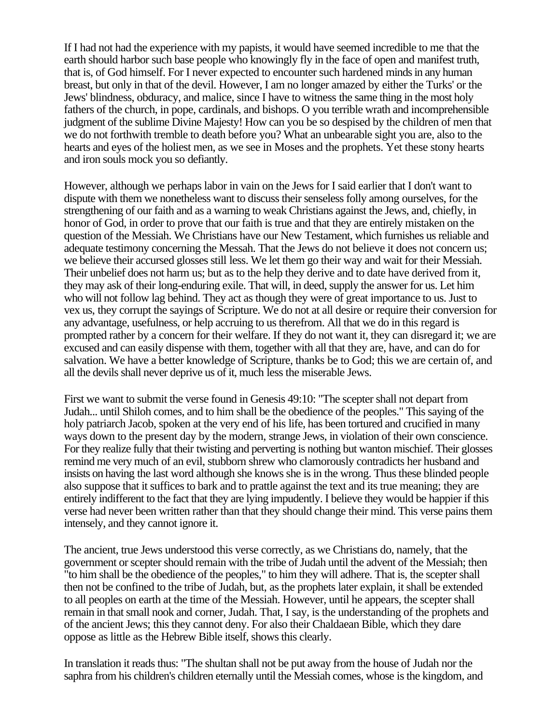If I had not had the experience with my papists, it would have seemed incredible to me that the earth should harbor such base people who knowingly fly in the face of open and manifest truth, that is, of God himself. For I never expected to encounter such hardened minds in any human breast, but only in that of the devil. However, I am no longer amazed by either the Turks' or the Jews' blindness, obduracy, and malice, since I have to witness the same thing in the most holy fathers of the church, in pope, cardinals, and bishops. O you terrible wrath and incomprehensible judgment of the sublime Divine Majesty! How can you be so despised by the children of men that we do not forthwith tremble to death before you? What an unbearable sight you are, also to the hearts and eyes of the holiest men, as we see in Moses and the prophets. Yet these stony hearts and iron souls mock you so defiantly.

However, although we perhaps labor in vain on the Jews for I said earlier that I don't want to dispute with them we nonetheless want to discuss their senseless folly among ourselves, for the strengthening of our faith and as a warning to weak Christians against the Jews, and, chiefly, in honor of God, in order to prove that our faith is true and that they are entirely mistaken on the question of the Messiah. We Christians have our New Testament, which furnishes us reliable and adequate testimony concerning the Messah. That the Jews do not believe it does not concern us; we believe their accursed glosses still less. We let them go their way and wait for their Messiah. Their unbelief does not harm us; but as to the help they derive and to date have derived from it, they may ask of their long-enduring exile. That will, in deed, supply the answer for us. Let him who will not follow lag behind. They act as though they were of great importance to us. Just to vex us, they corrupt the sayings of Scripture. We do not at all desire or require their conversion for any advantage, usefulness, or help accruing to us therefrom. All that we do in this regard is prompted rather by a concern for their welfare. If they do not want it, they can disregard it; we are excused and can easily dispense with them, together with all that they are, have, and can do for salvation. We have a better knowledge of Scripture, thanks be to God; this we are certain of, and all the devils shall never deprive us of it, much less the miserable Jews.

First we want to submit the verse found in Genesis 49:10: "The scepter shall not depart from Judah... until Shiloh comes, and to him shall be the obedience of the peoples." This saying of the holy patriarch Jacob, spoken at the very end of his life, has been tortured and crucified in many ways down to the present day by the modern, strange Jews, in violation of their own conscience. For they realize fully that their twisting and perverting is nothing but wanton mischief. Their glosses remind me very much of an evil, stubborn shrew who clamorously contradicts her husband and insists on having the last word although she knows she is in the wrong. Thus these blinded people also suppose that it suffices to bark and to prattle against the text and its true meaning; they are entirely indifferent to the fact that they are lying impudently. I believe they would be happier if this verse had never been written rather than that they should change their mind. This verse pains them intensely, and they cannot ignore it.

The ancient, true Jews understood this verse correctly, as we Christians do, namely, that the government or scepter should remain with the tribe of Judah until the advent of the Messiah; then "to him shall be the obedience of the peoples," to him they will adhere. That is, the scepter shall then not be confined to the tribe of Judah, but, as the prophets later explain, it shall be extended to all peoples on earth at the time of the Messiah. However, until he appears, the scepter shall remain in that small nook and corner, Judah. That, I say, is the understanding of the prophets and of the ancient Jews; this they cannot deny. For also their Chaldaean Bible, which they dare oppose as little as the Hebrew Bible itself, shows this clearly.

In translation it reads thus: "The shultan shall not be put away from the house of Judah nor the saphra from his children's children eternally until the Messiah comes, whose is the kingdom, and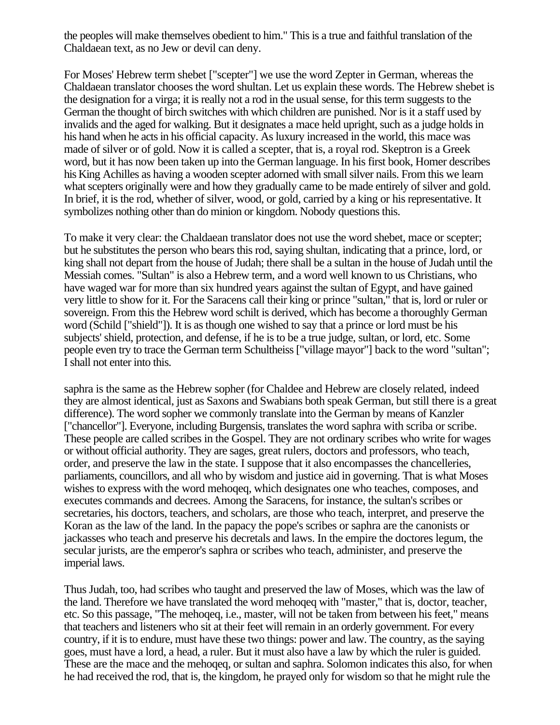the peoples will make themselves obedient to him." This is a true and faithful translation of the Chaldaean text, as no Jew or devil can deny.

For Moses' Hebrew term shebet ["scepter"] we use the word Zepter in German, whereas the Chaldaean translator chooses the word shultan. Let us explain these words. The Hebrew shebet is the designation for a virga; it is really not a rod in the usual sense, for this term suggests to the German the thought of birch switches with which children are punished. Nor is it a staff used by invalids and the aged for walking. But it designates a mace held upright, such as a judge holds in his hand when he acts in his official capacity. As luxury increased in the world, this mace was made of silver or of gold. Now it is called a scepter, that is, a royal rod. Skeptron is a Greek word, but it has now been taken up into the German language. In his first book, Homer describes his King Achilles as having a wooden scepter adorned with small silver nails. From this we learn what scepters originally were and how they gradually came to be made entirely of silver and gold. In brief, it is the rod, whether of silver, wood, or gold, carried by a king or his representative. It symbolizes nothing other than do minion or kingdom. Nobody questions this.

To make it very clear: the Chaldaean translator does not use the word shebet, mace or scepter; but he substitutes the person who bears this rod, saying shultan, indicating that a prince, lord, or king shall not depart from the house of Judah; there shall be a sultan in the house of Judah until the Messiah comes. "Sultan" is also a Hebrew term, and a word well known to us Christians, who have waged war for more than six hundred years against the sultan of Egypt, and have gained very little to show for it. For the Saracens call their king or prince "sultan," that is, lord or ruler or sovereign. From this the Hebrew word schilt is derived, which has become a thoroughly German word (Schild ["shield"]). It is as though one wished to say that a prince or lord must be his subjects' shield, protection, and defense, if he is to be a true judge, sultan, or lord, etc. Some people even try to trace the German term Schultheiss ["village mayor"] back to the word "sultan"; I shall not enter into this.

saphra is the same as the Hebrew sopher (for Chaldee and Hebrew are closely related, indeed they are almost identical, just as Saxons and Swabians both speak German, but still there is a great difference). The word sopher we commonly translate into the German by means of Kanzler ["chancellor"]. Everyone, including Burgensis, translates the word saphra with scriba or scribe. These people are called scribes in the Gospel. They are not ordinary scribes who write for wages or without official authority. They are sages, great rulers, doctors and professors, who teach, order, and preserve the law in the state. I suppose that it also encompasses the chancelleries, parliaments, councillors, and all who by wisdom and justice aid in governing. That is what Moses wishes to express with the word mehoqeq, which designates one who teaches, composes, and executes commands and decrees. Among the Saracens, for instance, the sultan's scribes or secretaries, his doctors, teachers, and scholars, are those who teach, interpret, and preserve the Koran as the law of the land. In the papacy the pope's scribes or saphra are the canonists or jackasses who teach and preserve his decretals and laws. In the empire the doctores legum, the secular jurists, are the emperor's saphra or scribes who teach, administer, and preserve the imperial laws.

Thus Judah, too, had scribes who taught and preserved the law of Moses, which was the law of the land. Therefore we have translated the word mehoqeq with "master," that is, doctor, teacher, etc. So this passage, "The mehoqeq, i.e., master, will not be taken from between his feet," means that teachers and listeners who sit at their feet will remain in an orderly government. For every country, if it is to endure, must have these two things: power and law. The country, as the saying goes, must have a lord, a head, a ruler. But it must also have a law by which the ruler is guided. These are the mace and the mehoqeq, or sultan and saphra. Solomon indicates this also, for when he had received the rod, that is, the kingdom, he prayed only for wisdom so that he might rule the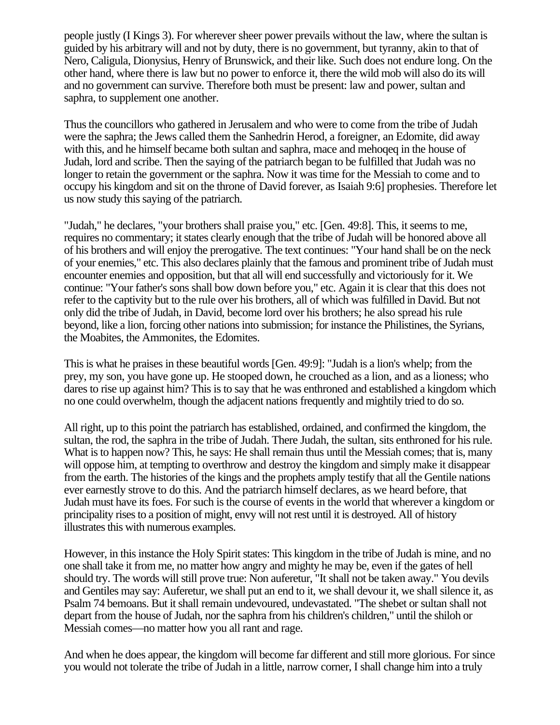people justly (I Kings 3). For wherever sheer power prevails without the law, where the sultan is guided by his arbitrary will and not by duty, there is no government, but tyranny, akin to that of Nero, Caligula, Dionysius, Henry of Brunswick, and their like. Such does not endure long. On the other hand, where there is law but no power to enforce it, there the wild mob will also do its will and no government can survive. Therefore both must be present: law and power, sultan and saphra, to supplement one another.

Thus the councillors who gathered in Jerusalem and who were to come from the tribe of Judah were the saphra; the Jews called them the Sanhedrin Herod, a foreigner, an Edomite, did away with this, and he himself became both sultan and saphra, mace and mehoqeq in the house of Judah, lord and scribe. Then the saying of the patriarch began to be fulfilled that Judah was no longer to retain the government or the saphra. Now it was time for the Messiah to come and to occupy his kingdom and sit on the throne of David forever, as Isaiah 9:6] prophesies. Therefore let us now study this saying of the patriarch.

"Judah," he declares, "your brothers shall praise you," etc. [Gen. 49:8]. This, it seems to me, requires no commentary; it states clearly enough that the tribe of Judah will be honored above all of his brothers and will enjoy the prerogative. The text continues: "Your hand shall be on the neck of your enemies," etc. This also declares plainly that the famous and prominent tribe of Judah must encounter enemies and opposition, but that all will end successfully and victoriously for it. We continue: "Your father's sons shall bow down before you," etc. Again it is clear that this does not refer to the captivity but to the rule over his brothers, all of which was fulfilled in David. But not only did the tribe of Judah, in David, become lord over his brothers; he also spread his rule beyond, like a lion, forcing other nations into submission; for instance the Philistines, the Syrians, the Moabites, the Ammonites, the Edomites.

This is what he praises in these beautiful words [Gen. 49:9]: "Judah is a lion's whelp; from the prey, my son, you have gone up. He stooped down, he crouched as a lion, and as a lioness; who dares to rise up against him? This is to say that he was enthroned and established a kingdom which no one could overwhelm, though the adjacent nations frequently and mightily tried to do so.

All right, up to this point the patriarch has established, ordained, and confirmed the kingdom, the sultan, the rod, the saphra in the tribe of Judah. There Judah, the sultan, sits enthroned for his rule. What is to happen now? This, he says: He shall remain thus until the Messiah comes; that is, many will oppose him, at tempting to overthrow and destroy the kingdom and simply make it disappear from the earth. The histories of the kings and the prophets amply testify that all the Gentile nations ever earnestly strove to do this. And the patriarch himself declares, as we heard before, that Judah must have its foes. For such is the course of events in the world that wherever a kingdom or principality rises to a position of might, envy will not rest until it is destroyed. All of history illustrates this with numerous examples.

However, in this instance the Holy Spirit states: This kingdom in the tribe of Judah is mine, and no one shall take it from me, no matter how angry and mighty he may be, even if the gates of hell should try. The words will still prove true: Non auferetur, "It shall not be taken away." You devils and Gentiles may say: Auferetur, we shall put an end to it, we shall devour it, we shall silence it, as Psalm 74 bemoans. But it shall remain undevoured, undevastated. "The shebet or sultan shall not depart from the house of Judah, nor the saphra from his children's children," until the shiloh or Messiah comes—no matter how you all rant and rage.

And when he does appear, the kingdom will become far different and still more glorious. For since you would not tolerate the tribe of Judah in a little, narrow corner, I shall change him into a truly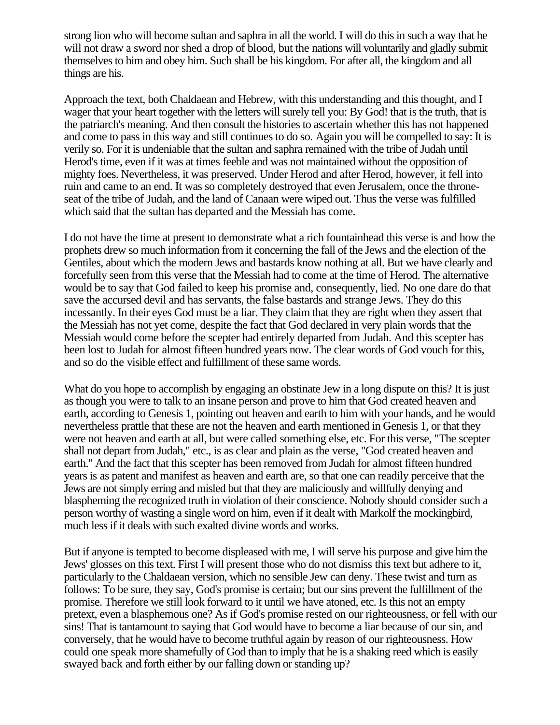strong lion who will become sultan and saphra in all the world. I will do this in such a way that he will not draw a sword nor shed a drop of blood, but the nations will voluntarily and gladly submit themselves to him and obey him. Such shall be his kingdom. For after all, the kingdom and all things are his.

Approach the text, both Chaldaean and Hebrew, with this understanding and this thought, and I wager that your heart together with the letters will surely tell you: By God! that is the truth, that is the patriarch's meaning. And then consult the histories to ascertain whether this has not happened and come to pass in this way and still continues to do so. Again you will be compelled to say: It is verily so. For it is undeniable that the sultan and saphra remained with the tribe of Judah until Herod's time, even if it was at times feeble and was not maintained without the opposition of mighty foes. Nevertheless, it was preserved. Under Herod and after Herod, however, it fell into ruin and came to an end. It was so completely destroyed that even Jerusalem, once the throneseat of the tribe of Judah, and the land of Canaan were wiped out. Thus the verse was fulfilled which said that the sultan has departed and the Messiah has come.

I do not have the time at present to demonstrate what a rich fountainhead this verse is and how the prophets drew so much information from it concerning the fall of the Jews and the election of the Gentiles, about which the modern Jews and bastards know nothing at all. But we have clearly and forcefully seen from this verse that the Messiah had to come at the time of Herod. The alternative would be to say that God failed to keep his promise and, consequently, lied. No one dare do that save the accursed devil and has servants, the false bastards and strange Jews. They do this incessantly. In their eyes God must be a liar. They claim that they are right when they assert that the Messiah has not yet come, despite the fact that God declared in very plain words that the Messiah would come before the scepter had entirely departed from Judah. And this scepter has been lost to Judah for almost fifteen hundred years now. The clear words of God vouch for this, and so do the visible effect and fulfillment of these same words.

What do you hope to accomplish by engaging an obstinate Jew in a long dispute on this? It is just as though you were to talk to an insane person and prove to him that God created heaven and earth, according to Genesis 1, pointing out heaven and earth to him with your hands, and he would nevertheless prattle that these are not the heaven and earth mentioned in Genesis 1, or that they were not heaven and earth at all, but were called something else, etc. For this verse, "The scepter shall not depart from Judah," etc., is as clear and plain as the verse, "God created heaven and earth." And the fact that this scepter has been removed from Judah for almost fifteen hundred years is as patent and manifest as heaven and earth are, so that one can readily perceive that the Jews are not simply erring and misled but that they are maliciously and willfully denying and blaspheming the recognized truth in violation of their conscience. Nobody should consider such a person worthy of wasting a single word on him, even if it dealt with Markolf the mockingbird, much less if it deals with such exalted divine words and works.

But if anyone is tempted to become displeased with me, I will serve his purpose and give him the Jews' glosses on this text. First I will present those who do not dismiss this text but adhere to it, particularly to the Chaldaean version, which no sensible Jew can deny. These twist and turn as follows: To be sure, they say, God's promise is certain; but our sins prevent the fulfillment of the promise. Therefore we still look forward to it until we have atoned, etc. Is this not an empty pretext, even a blasphemous one? As if God's promise rested on our righteousness, or fell with our sins! That is tantamount to saying that God would have to become a liar because of our sin, and conversely, that he would have to become truthful again by reason of our righteousness. How could one speak more shamefully of God than to imply that he is a shaking reed which is easily swayed back and forth either by our falling down or standing up?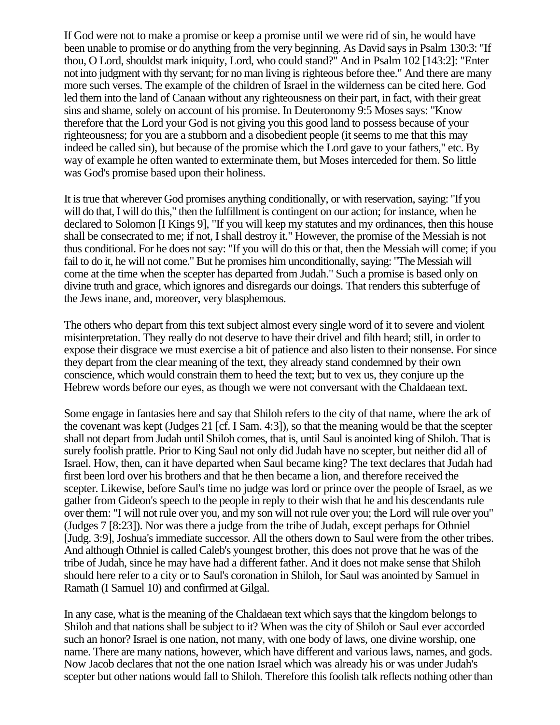If God were not to make a promise or keep a promise until we were rid of sin, he would have been unable to promise or do anything from the very beginning. As David says in Psalm 130:3: "If thou, O Lord, shouldst mark iniquity, Lord, who could stand?" And in Psalm 102 [143:2]: "Enter not into judgment with thy servant; for no man living is righteous before thee." And there are many more such verses. The example of the children of Israel in the wilderness can be cited here. God led them into the land of Canaan without any righteousness on their part, in fact, with their great sins and shame, solely on account of his promise. In Deuteronomy 9:5 Moses says: "Know therefore that the Lord your God is not giving you this good land to possess because of your righteousness; for you are a stubborn and a disobedient people (it seems to me that this may indeed be called sin), but because of the promise which the Lord gave to your fathers," etc. By way of example he often wanted to exterminate them, but Moses interceded for them. So little was God's promise based upon their holiness.

It is true that wherever God promises anything conditionally, or with reservation, saying: "If you will do that, I will do this," then the fulfillment is contingent on our action; for instance, when he declared to Solomon [I Kings 9], "If you will keep my statutes and my ordinances, then this house shall be consecrated to me; if not, I shall destroy it." However, the promise of the Messiah is not thus conditional. For he does not say: "If you will do this or that, then the Messiah will come; if you fail to do it, he will not come." But he promises him unconditionally, saying: "The Messiah will come at the time when the scepter has departed from Judah." Such a promise is based only on divine truth and grace, which ignores and disregards our doings. That renders this subterfuge of the Jews inane, and, moreover, very blasphemous.

The others who depart from this text subject almost every single word of it to severe and violent misinterpretation. They really do not deserve to have their drivel and filth heard; still, in order to expose their disgrace we must exercise a bit of patience and also listen to their nonsense. For since they depart from the clear meaning of the text, they already stand condemned by their own conscience, which would constrain them to heed the text; but to vex us, they conjure up the Hebrew words before our eyes, as though we were not conversant with the Chaldaean text.

Some engage in fantasies here and say that Shiloh refers to the city of that name, where the ark of the covenant was kept (Judges 21 [cf. I Sam. 4:3]), so that the meaning would be that the scepter shall not depart from Judah until Shiloh comes, that is, until Saul is anointed king of Shiloh. That is surely foolish prattle. Prior to King Saul not only did Judah have no scepter, but neither did all of Israel. How, then, can it have departed when Saul became king? The text declares that Judah had first been lord over his brothers and that he then became a lion, and therefore received the scepter. Likewise, before Saul's time no judge was lord or prince over the people of Israel, as we gather from Gideon's speech to the people in reply to their wish that he and his descendants rule over them: "I will not rule over you, and my son will not rule over you; the Lord will rule over you" (Judges 7 [8:23]). Nor was there a judge from the tribe of Judah, except perhaps for Othniel [Judg. 3:9], Joshua's immediate successor. All the others down to Saul were from the other tribes. And although Othniel is called Caleb's youngest brother, this does not prove that he was of the tribe of Judah, since he may have had a different father. And it does not make sense that Shiloh should here refer to a city or to Saul's coronation in Shiloh, for Saul was anointed by Samuel in Ramath (I Samuel 10) and confirmed at Gilgal.

In any case, what is the meaning of the Chaldaean text which says that the kingdom belongs to Shiloh and that nations shall be subject to it? When was the city of Shiloh or Saul ever accorded such an honor? Israel is one nation, not many, with one body of laws, one divine worship, one name. There are many nations, however, which have different and various laws, names, and gods. Now Jacob declares that not the one nation Israel which was already his or was under Judah's scepter but other nations would fall to Shiloh. Therefore this foolish talk reflects nothing other than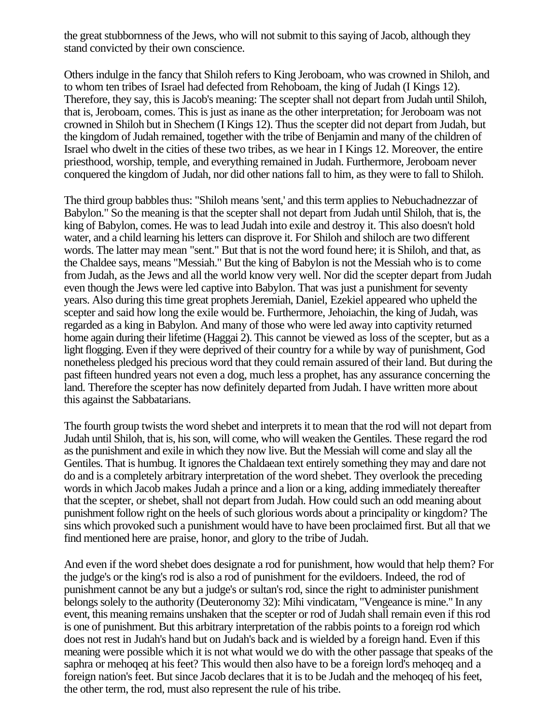the great stubbornness of the Jews, who will not submit to this saying of Jacob, although they stand convicted by their own conscience.

Others indulge in the fancy that Shiloh refers to King Jeroboam, who was crowned in Shiloh, and to whom ten tribes of Israel had defected from Rehoboam, the king of Judah (I Kings 12). Therefore, they say, this is Jacob's meaning: The scepter shall not depart from Judah until Shiloh, that is, Jeroboam, comes. This is just as inane as the other interpretation; for Jeroboam was not crowned in Shiloh but in Shechem (I Kings 12). Thus the scepter did not depart from Judah, but the kingdom of Judah remained, together with the tribe of Benjamin and many of the children of Israel who dwelt in the cities of these two tribes, as we hear in I Kings 12. Moreover, the entire priesthood, worship, temple, and everything remained in Judah. Furthermore, Jeroboam never conquered the kingdom of Judah, nor did other nations fall to him, as they were to fall to Shiloh.

The third group babbles thus: "Shiloh means 'sent,' and this term applies to Nebuchadnezzar of Babylon." So the meaning is that the scepter shall not depart from Judah until Shiloh, that is, the king of Babylon, comes. He was to lead Judah into exile and destroy it. This also doesn't hold water, and a child learning his letters can disprove it. For Shiloh and shiloch are two different words. The latter may mean "sent." But that is not the word found here; it is Shiloh, and that, as the Chaldee says, means "Messiah." But the king of Babylon is not the Messiah who is to come from Judah, as the Jews and all the world know very well. Nor did the scepter depart from Judah even though the Jews were led captive into Babylon. That was just a punishment for seventy years. Also during this time great prophets Jeremiah, Daniel, Ezekiel appeared who upheld the scepter and said how long the exile would be. Furthermore, Jehoiachin, the king of Judah, was regarded as a king in Babylon. And many of those who were led away into captivity returned home again during their lifetime (Haggai 2). This cannot be viewed as loss of the scepter, but as a light flogging. Even if they were deprived of their country for a while by way of punishment, God nonetheless pledged his precious word that they could remain assured of their land. But during the past fifteen hundred years not even a dog, much less a prophet, has any assurance concerning the land. Therefore the scepter has now definitely departed from Judah. I have written more about this against the Sabbatarians.

The fourth group twists the word shebet and interprets it to mean that the rod will not depart from Judah until Shiloh, that is, his son, will come, who will weaken the Gentiles. These regard the rod as the punishment and exile in which they now live. But the Messiah will come and slay all the Gentiles. That is humbug. It ignores the Chaldaean text entirely something they may and dare not do and is a completely arbitrary interpretation of the word shebet. They overlook the preceding words in which Jacob makes Judah a prince and a lion or a king, adding immediately thereafter that the scepter, or shebet, shall not depart from Judah. How could such an odd meaning about punishment follow right on the heels of such glorious words about a principality or kingdom? The sins which provoked such a punishment would have to have been proclaimed first. But all that we find mentioned here are praise, honor, and glory to the tribe of Judah.

And even if the word shebet does designate a rod for punishment, how would that help them? For the judge's or the king's rod is also a rod of punishment for the evildoers. Indeed, the rod of punishment cannot be any but a judge's or sultan's rod, since the right to administer punishment belongs solely to the authority (Deuteronomy 32): Mihi vindicatam, "Vengeance is mine." In any event, this meaning remains unshaken that the scepter or rod of Judah shall remain even if this rod is one of punishment. But this arbitrary interpretation of the rabbis points to a foreign rod which does not rest in Judah's hand but on Judah's back and is wielded by a foreign hand. Even if this meaning were possible which it is not what would we do with the other passage that speaks of the saphra or mehoqeq at his feet? This would then also have to be a foreign lord's mehoqeq and a foreign nation's feet. But since Jacob declares that it is to be Judah and the mehoqeq of his feet, the other term, the rod, must also represent the rule of his tribe.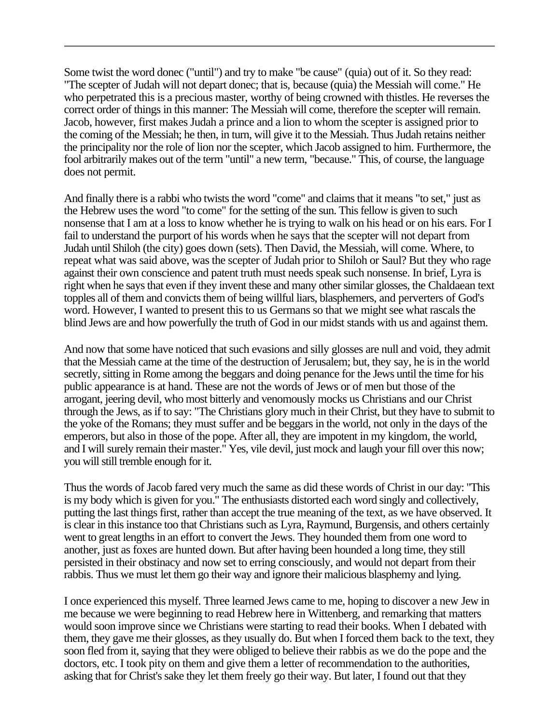Some twist the word donec ("until") and try to make "be cause" (quia) out of it. So they read: "The scepter of Judah will not depart donec; that is, because (quia) the Messiah will come." He who perpetrated this is a precious master, worthy of being crowned with thistles. He reverses the correct order of things in this manner: The Messiah will come, therefore the scepter will remain. Jacob, however, first makes Judah a prince and a lion to whom the scepter is assigned prior to the coming of the Messiah; he then, in turn, will give it to the Messiah. Thus Judah retains neither the principality nor the role of lion nor the scepter, which Jacob assigned to him. Furthermore, the fool arbitrarily makes out of the term "until" a new term, "because." This, of course, the language does not permit.

And finally there is a rabbi who twists the word "come" and claims that it means "to set," just as the Hebrew uses the word "to come" for the setting of the sun. This fellow is given to such nonsense that I am at a loss to know whether he is trying to walk on his head or on his ears. For I fail to understand the purport of his words when he says that the scepter will not depart from Judah until Shiloh (the city) goes down (sets). Then David, the Messiah, will come. Where, to repeat what was said above, was the scepter of Judah prior to Shiloh or Saul? But they who rage against their own conscience and patent truth must needs speak such nonsense. In brief, Lyra is right when he says that even if they invent these and many other similar glosses, the Chaldaean text topples all of them and convicts them of being willful liars, blasphemers, and perverters of God's word. However, I wanted to present this to us Germans so that we might see what rascals the blind Jews are and how powerfully the truth of God in our midst stands with us and against them.

And now that some have noticed that such evasions and silly glosses are null and void, they admit that the Messiah came at the time of the destruction of Jerusalem; but, they say, he is in the world secretly, sitting in Rome among the beggars and doing penance for the Jews until the time for his public appearance is at hand. These are not the words of Jews or of men but those of the arrogant, jeering devil, who most bitterly and venomously mocks us Christians and our Christ through the Jews, as if to say: "The Christians glory much in their Christ, but they have to submit to the yoke of the Romans; they must suffer and be beggars in the world, not only in the days of the emperors, but also in those of the pope. After all, they are impotent in my kingdom, the world, and I will surely remain their master." Yes, vile devil, just mock and laugh your fill over this now; you will still tremble enough for it.

Thus the words of Jacob fared very much the same as did these words of Christ in our day: "This is my body which is given for you." The enthusiasts distorted each word singly and collectively, putting the last things first, rather than accept the true meaning of the text, as we have observed. It is clear in this instance too that Christians such as Lyra, Raymund, Burgensis, and others certainly went to great lengths in an effort to convert the Jews. They hounded them from one word to another, just as foxes are hunted down. But after having been hounded a long time, they still persisted in their obstinacy and now set to erring consciously, and would not depart from their rabbis. Thus we must let them go their way and ignore their malicious blasphemy and lying.

I once experienced this myself. Three learned Jews came to me, hoping to discover a new Jew in me because we were beginning to read Hebrew here in Wittenberg, and remarking that matters would soon improve since we Christians were starting to read their books. When I debated with them, they gave me their glosses, as they usually do. But when I forced them back to the text, they soon fled from it, saying that they were obliged to believe their rabbis as we do the pope and the doctors, etc. I took pity on them and give them a letter of recommendation to the authorities, asking that for Christ's sake they let them freely go their way. But later, I found out that they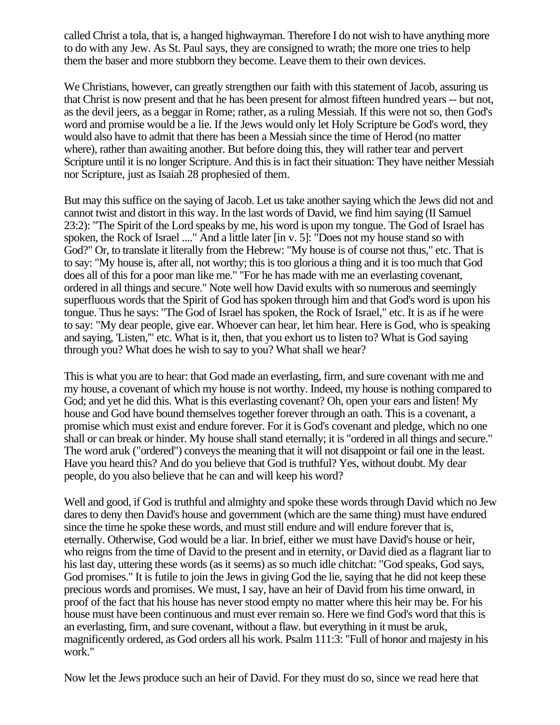called Christ a tola, that is, a hanged highwayman. Therefore I do not wish to have anything more to do with any Jew. As St. Paul says, they are consigned to wrath; the more one tries to help them the baser and more stubborn they become. Leave them to their own devices.

We Christians, however, can greatly strengthen our faith with this statement of Jacob, assuring us that Christ is now present and that he has been present for almost fifteen hundred years -- but not, as the devil jeers, as a beggar in Rome; rather, as a ruling Messiah. If this were not so, then God's word and promise would be a lie. If the Jews would only let Holy Scripture be God's word, they would also have to admit that there has been a Messiah since the time of Herod (no matter where), rather than awaiting another. But before doing this, they will rather tear and pervert Scripture until it is no longer Scripture. And this is in fact their situation: They have neither Messiah nor Scripture, just as Isaiah 28 prophesied of them.

But may this suffice on the saying of Jacob. Let us take another saying which the Jews did not and cannot twist and distort in this way. In the last words of David, we find him saying (II Samuel 23:2): "The Spirit of the Lord speaks by me, his word is upon my tongue. The God of Israel has spoken, the Rock of Israel ...." And a little later [in v. 5]: "Does not my house stand so with God?" Or, to translate it literally from the Hebrew: "My house is of course not thus," etc. That is to say: "My house is, after all, not worthy; this is too glorious a thing and it is too much that God does all of this for a poor man like me." "For he has made with me an everlasting covenant, ordered in all things and secure." Note well how David exults with so numerous and seemingly superfluous words that the Spirit of God has spoken through him and that God's word is upon his tongue. Thus he says: "The God of Israel has spoken, the Rock of Israel," etc. It is as if he were to say: "My dear people, give ear. Whoever can hear, let him hear. Here is God, who is speaking and saying, 'Listen,'" etc. What is it, then, that you exhort us to listen to? What is God saying through you? What does he wish to say to you? What shall we hear?

This is what you are to hear: that God made an everlasting, firm, and sure covenant with me and my house, a covenant of which my house is not worthy. Indeed, my house is nothing compared to God; and yet he did this. What is this everlasting covenant? Oh, open your ears and listen! My house and God have bound themselves together forever through an oath. This is a covenant, a promise which must exist and endure forever. For it is God's covenant and pledge, which no one shall or can break or hinder. My house shall stand eternally; it is "ordered in all things and secure." The word aruk ("ordered") conveys the meaning that it will not disappoint or fail one in the least. Have you heard this? And do you believe that God is truthful? Yes, without doubt. My dear people, do you also believe that he can and will keep his word?

Well and good, if God is truthful and almighty and spoke these words through David which no Jew dares to deny then David's house and government (which are the same thing) must have endured since the time he spoke these words, and must still endure and will endure forever that is, eternally. Otherwise, God would be a liar. In brief, either we must have David's house or heir, who reigns from the time of David to the present and in eternity, or David died as a flagrant liar to his last day, uttering these words (as it seems) as so much idle chitchat: "God speaks, God says, God promises." It is futile to join the Jews in giving God the lie, saying that he did not keep these precious words and promises. We must, I say, have an heir of David from his time onward, in proof of the fact that his house has never stood empty no matter where this heir may be. For his house must have been continuous and must ever remain so. Here we find God's word that this is an everlasting, firm, and sure covenant, without a flaw. but everything in it must be aruk, magnificently ordered, as God orders all his work. Psalm 111:3: "Full of honor and majesty in his work."

Now let the Jews produce such an heir of David. For they must do so, since we read here that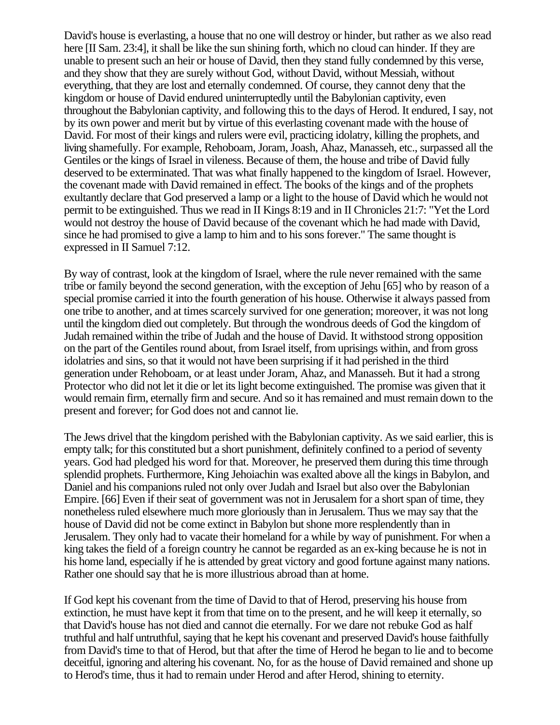David's house is everlasting, a house that no one will destroy or hinder, but rather as we also read here [II Sam. 23:4], it shall be like the sun shining forth, which no cloud can hinder. If they are unable to present such an heir or house of David, then they stand fully condemned by this verse, and they show that they are surely without God, without David, without Messiah, without everything, that they are lost and eternally condemned. Of course, they cannot deny that the kingdom or house of David endured uninterruptedly until the Babylonian captivity, even throughout the Babylonian captivity, and following this to the days of Herod. It endured, I say, not by its own power and merit but by virtue of this everlasting covenant made with the house of David. For most of their kings and rulers were evil, practicing idolatry, killing the prophets, and living shamefully. For example, Rehoboam, Joram, Joash, Ahaz, Manasseh, etc., surpassed all the Gentiles or the kings of Israel in vileness. Because of them, the house and tribe of David fully deserved to be exterminated. That was what finally happened to the kingdom of Israel. However, the covenant made with David remained in effect. The books of the kings and of the prophets exultantly declare that God preserved a lamp or a light to the house of David which he would not permit to be extinguished. Thus we read in II Kings 8:19 and in II Chronicles 21:7: "Yet the Lord would not destroy the house of David because of the covenant which he had made with David, since he had promised to give a lamp to him and to his sons forever." The same thought is expressed in II Samuel 7:12.

By way of contrast, look at the kingdom of Israel, where the rule never remained with the same tribe or family beyond the second generation, with the exception of Jehu [65] who by reason of a special promise carried it into the fourth generation of his house. Otherwise it always passed from one tribe to another, and at times scarcely survived for one generation; moreover, it was not long until the kingdom died out completely. But through the wondrous deeds of God the kingdom of Judah remained within the tribe of Judah and the house of David. It withstood strong opposition on the part of the Gentiles round about, from Israel itself, from uprisings within, and from gross idolatries and sins, so that it would not have been surprising if it had perished in the third generation under Rehoboam, or at least under Joram, Ahaz, and Manasseh. But it had a strong Protector who did not let it die or let its light become extinguished. The promise was given that it would remain firm, eternally firm and secure. And so it has remained and must remain down to the present and forever; for God does not and cannot lie.

The Jews drivel that the kingdom perished with the Babylonian captivity. As we said earlier, this is empty talk; for this constituted but a short punishment, definitely confined to a period of seventy years. God had pledged his word for that. Moreover, he preserved them during this time through splendid prophets. Furthermore, King Jehoiachin was exalted above all the kings in Babylon, and Daniel and his companions ruled not only over Judah and Israel but also over the Babylonian Empire. [66] Even if their seat of government was not in Jerusalem for a short span of time, they nonetheless ruled elsewhere much more gloriously than in Jerusalem. Thus we may say that the house of David did not be come extinct in Babylon but shone more resplendently than in Jerusalem. They only had to vacate their homeland for a while by way of punishment. For when a king takes the field of a foreign country he cannot be regarded as an ex-king because he is not in his home land, especially if he is attended by great victory and good fortune against many nations. Rather one should say that he is more illustrious abroad than at home.

If God kept his covenant from the time of David to that of Herod, preserving his house from extinction, he must have kept it from that time on to the present, and he will keep it eternally, so that David's house has not died and cannot die eternally. For we dare not rebuke God as half truthful and half untruthful, saying that he kept his covenant and preserved David's house faithfully from David's time to that of Herod, but that after the time of Herod he began to lie and to become deceitful, ignoring and altering his covenant. No, for as the house of David remained and shone up to Herod's time, thus it had to remain under Herod and after Herod, shining to eternity.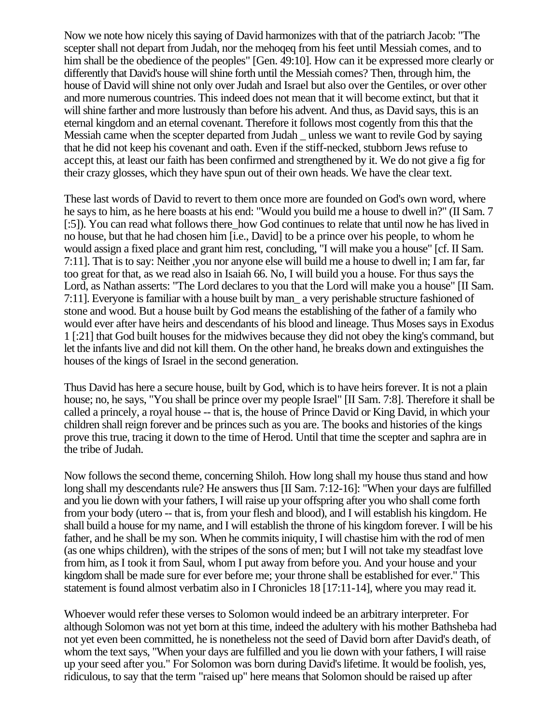Now we note how nicely this saying of David harmonizes with that of the patriarch Jacob: "The scepter shall not depart from Judah, nor the mehoqeq from his feet until Messiah comes, and to him shall be the obedience of the peoples" [Gen. 49:10]. How can it be expressed more clearly or differently that David's house will shine forth until the Messiah comes? Then, through him, the house of David will shine not only over Judah and Israel but also over the Gentiles, or over other and more numerous countries. This indeed does not mean that it will become extinct, but that it will shine farther and more lustrously than before his advent. And thus, as David says, this is an eternal kingdom and an eternal covenant. Therefore it follows most cogently from this that the Messiah came when the scepter departed from Judah \_ unless we want to revile God by saying that he did not keep his covenant and oath. Even if the stiff-necked, stubborn Jews refuse to accept this, at least our faith has been confirmed and strengthened by it. We do not give a fig for their crazy glosses, which they have spun out of their own heads. We have the clear text.

These last words of David to revert to them once more are founded on God's own word, where he says to him, as he here boasts at his end: "Would you build me a house to dwell in?" (II Sam. 7 [:5]). You can read what follows there\_how God continues to relate that until now he has lived in no house, but that he had chosen him [i.e., David] to be a prince over his people, to whom he would assign a fixed place and grant him rest, concluding, "I will make you a house" [cf. II Sam. 7:11]. That is to say: Neither ,you nor anyone else will build me a house to dwell in; I am far, far too great for that, as we read also in Isaiah 66. No, I will build you a house. For thus says the Lord, as Nathan asserts: "The Lord declares to you that the Lord will make you a house" [II Sam. 7:11]. Everyone is familiar with a house built by man\_ a very perishable structure fashioned of stone and wood. But a house built by God means the establishing of the father of a family who would ever after have heirs and descendants of his blood and lineage. Thus Moses says in Exodus 1 [:21] that God built houses for the midwives because they did not obey the king's command, but let the infants live and did not kill them. On the other hand, he breaks down and extinguishes the houses of the kings of Israel in the second generation.

Thus David has here a secure house, built by God, which is to have heirs forever. It is not a plain house; no, he says, "You shall be prince over my people Israel" [II Sam. 7:8]. Therefore it shall be called a princely, a royal house -- that is, the house of Prince David or King David, in which your children shall reign forever and be princes such as you are. The books and histories of the kings prove this true, tracing it down to the time of Herod. Until that time the scepter and saphra are in the tribe of Judah.

Now follows the second theme, concerning Shiloh. How long shall my house thus stand and how long shall my descendants rule? He answers thus [II Sam. 7:12-16]: "When your days are fulfilled and you lie down with your fathers, I will raise up your offspring after you who shall come forth from your body (utero -- that is, from your flesh and blood), and I will establish his kingdom. He shall build a house for my name, and I will establish the throne of his kingdom forever. I will be his father, and he shall be my son. When he commits iniquity, I will chastise him with the rod of men (as one whips children), with the stripes of the sons of men; but I will not take my steadfast love from him, as I took it from Saul, whom I put away from before you. And your house and your kingdom shall be made sure for ever before me; your throne shall be established for ever." This statement is found almost verbatim also in I Chronicles 18 [17:11-14], where you may read it.

Whoever would refer these verses to Solomon would indeed be an arbitrary interpreter. For although Solomon was not yet born at this time, indeed the adultery with his mother Bathsheba had not yet even been committed, he is nonetheless not the seed of David born after David's death, of whom the text says, "When your days are fulfilled and you lie down with your fathers, I will raise up your seed after you." For Solomon was born during David's lifetime. It would be foolish, yes, ridiculous, to say that the term "raised up" here means that Solomon should be raised up after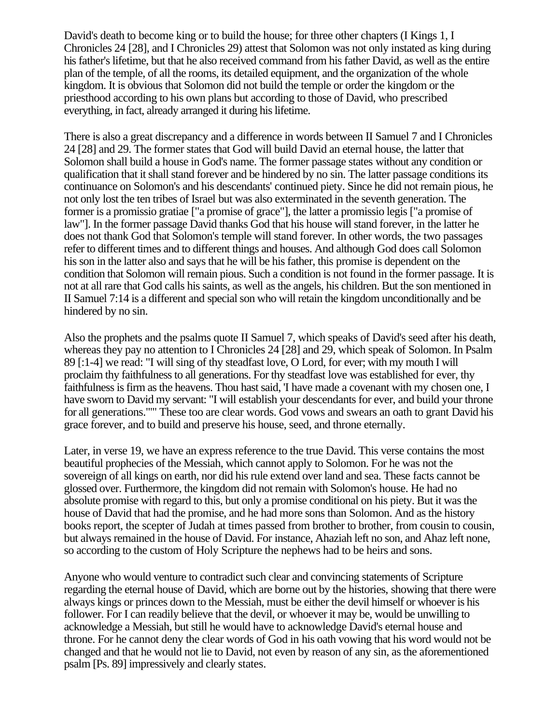David's death to become king or to build the house; for three other chapters (I Kings 1, I Chronicles 24 [28], and I Chronicles 29) attest that Solomon was not only instated as king during hisfather's lifetime, but that he also received command from his father David, as well as the entire plan of the temple, of all the rooms, its detailed equipment, and the organization of the whole kingdom. It is obvious that Solomon did not build the temple or order the kingdom or the priesthood according to his own plans but according to those of David, who prescribed everything, in fact, already arranged it during his lifetime.

There is also a great discrepancy and a difference in words between II Samuel 7 and I Chronicles 24 [28] and 29. The former states that God will build David an eternal house, the latter that Solomon shall build a house in God's name. The former passage states without any condition or qualification that it shall stand forever and be hindered by no sin. The latter passage conditions its continuance on Solomon's and his descendants' continued piety. Since he did not remain pious, he not only lost the ten tribes of Israel but was also exterminated in the seventh generation. The former is a promissio gratiae ["a promise of grace"], the latter a promissio legis ["a promise of law"]. In the former passage David thanks God that his house will stand forever, in the latter he does not thank God that Solomon's temple will stand forever. In other words, the two passages refer to different times and to different things and houses. And although God does call Solomon his son in the latter also and says that he will be his father, this promise is dependent on the condition that Solomon will remain pious. Such a condition is not found in the former passage. It is not at all rare that God calls his saints, as well as the angels, his children. But the son mentioned in II Samuel 7:14 is a different and special son who will retain the kingdom unconditionally and be hindered by no sin.

Also the prophets and the psalms quote II Samuel 7, which speaks of David's seed after his death, whereas they pay no attention to I Chronicles 24 [28] and 29, which speak of Solomon. In Psalm 89 [:1-4] we read: "I will sing of thy steadfast love, O Lord, for ever; with my mouth I will proclaim thy faithfulness to all generations. For thy steadfast love was established for ever, thy faithfulness is firm as the heavens. Thou hast said, 'I have made a covenant with my chosen one, I have sworn to David my servant: "I will establish your descendants for ever, and build your throne for all generations."'" These too are clear words. God vows and swears an oath to grant David his grace forever, and to build and preserve his house, seed, and throne eternally.

Later, in verse 19, we have an express reference to the true David. This verse contains the most beautiful prophecies of the Messiah, which cannot apply to Solomon. For he was not the sovereign of all kings on earth, nor did his rule extend over land and sea. These facts cannot be glossed over. Furthermore, the kingdom did not remain with Solomon's house. He had no absolute promise with regard to this, but only a promise conditional on his piety. But it was the house of David that had the promise, and he had more sons than Solomon. And as the history books report, the scepter of Judah at times passed from brother to brother, from cousin to cousin, but always remained in the house of David. For instance, Ahaziah left no son, and Ahaz left none, so according to the custom of Holy Scripture the nephews had to be heirs and sons.

Anyone who would venture to contradict such clear and convincing statements of Scripture regarding the eternal house of David, which are borne out by the histories, showing that there were always kings or princes down to the Messiah, must be either the devil himself or whoever is his follower. For I can readily believe that the devil, or whoever it may be, would be unwilling to acknowledge a Messiah, but still he would have to acknowledge David's eternal house and throne. For he cannot deny the clear words of God in his oath vowing that his word would not be changed and that he would not lie to David, not even by reason of any sin, as the aforementioned psalm [Ps. 89] impressively and clearly states.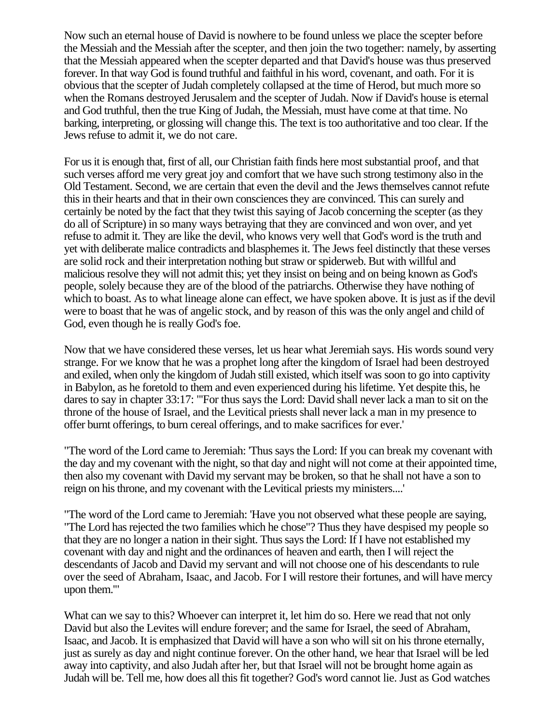Now such an eternal house of David is nowhere to be found unless we place the scepter before the Messiah and the Messiah after the scepter, and then join the two together: namely, by asserting that the Messiah appeared when the scepter departed and that David's house was thus preserved forever. In that way God is found truthful and faithful in his word, covenant, and oath. For it is obvious that the scepter of Judah completely collapsed at the time of Herod, but much more so when the Romans destroyed Jerusalem and the scepter of Judah. Now if David's house is eternal and God truthful, then the true King of Judah, the Messiah, must have come at that time. No barking, interpreting, or glossing will change this. The text is too authoritative and too clear. If the Jews refuse to admit it, we do not care.

For us it is enough that, first of all, our Christian faith finds here most substantial proof, and that such verses afford me very great joy and comfort that we have such strong testimony also in the Old Testament. Second, we are certain that even the devil and the Jews themselves cannot refute this in their hearts and that in their own consciences they are convinced. This can surely and certainly be noted by the fact that they twist this saying of Jacob concerning the scepter (as they do all of Scripture) in so many ways betraying that they are convinced and won over, and yet refuse to admit it. They are like the devil, who knows very well that God's word is the truth and yet with deliberate malice contradicts and blasphemes it. The Jews feel distinctly that these verses are solid rock and their interpretation nothing but straw or spiderweb. But with willful and malicious resolve they will not admit this; yet they insist on being and on being known as God's people, solely because they are of the blood of the patriarchs. Otherwise they have nothing of which to boast. As to what lineage alone can effect, we have spoken above. It is just as if the devil were to boast that he was of angelic stock, and by reason of this was the only angel and child of God, even though he is really God's foe.

Now that we have considered these verses, let us hear what Jeremiah says. His words sound very strange. For we know that he was a prophet long after the kingdom of Israel had been destroyed and exiled, when only the kingdom of Judah still existed, which itself was soon to go into captivity in Babylon, as he foretold to them and even experienced during his lifetime. Yet despite this, he dares to say in chapter 33:17: "'For thus says the Lord: David shall never lack a man to sit on the throne of the house of Israel, and the Levitical priests shall never lack a man in my presence to offer burnt offerings, to burn cereal offerings, and to make sacrifices for ever.'

"The word of the Lord came to Jeremiah: 'Thus says the Lord: If you can break my covenant with the day and my covenant with the night, so that day and night will not come at their appointed time, then also my covenant with David my servant may be broken, so that he shall not have a son to reign on his throne, and my covenant with the Levitical priests my ministers....'

"The word of the Lord came to Jeremiah: 'Have you not observed what these people are saying, "The Lord has rejected the two families which he chose"? Thus they have despised my people so that they are no longer a nation in their sight. Thus says the Lord: If I have not established my covenant with day and night and the ordinances of heaven and earth, then I will reject the descendants of Jacob and David my servant and will not choose one of his descendants to rule over the seed of Abraham, Isaac, and Jacob. For I will restore their fortunes, and will have mercy upon them.'"

What can we say to this? Whoever can interpret it, let him do so. Here we read that not only David but also the Levites will endure forever; and the same for Israel, the seed of Abraham, Isaac, and Jacob. It is emphasized that David will have a son who will sit on his throne eternally, just as surely as day and night continue forever. On the other hand, we hear that Israel will be led away into captivity, and also Judah after her, but that Israel will not be brought home again as Judah will be. Tell me, how does all this fit together? God's word cannot lie. Just as God watches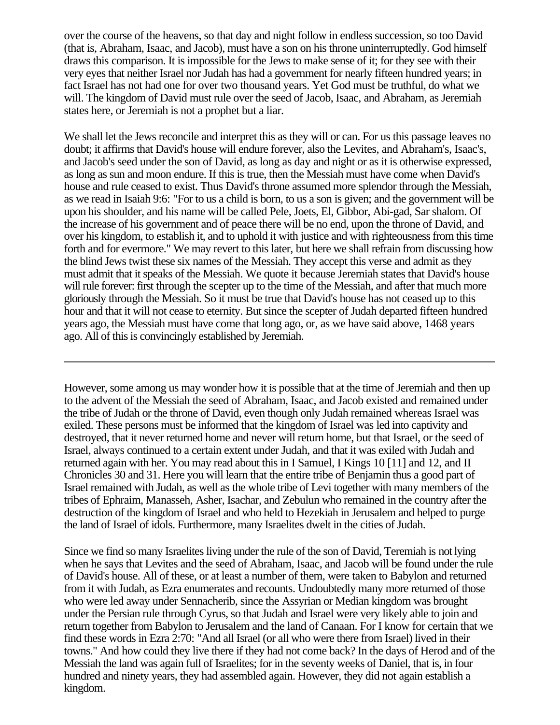over the course of the heavens, so that day and night follow in endless succession, so too David (that is, Abraham, Isaac, and Jacob), must have a son on his throne uninterruptedly. God himself draws this comparison. It is impossible for the Jews to make sense of it; for they see with their very eyes that neither Israel nor Judah has had a government for nearly fifteen hundred years; in fact Israel has not had one for over two thousand years. Yet God must be truthful, do what we will. The kingdom of David must rule over the seed of Jacob, Isaac, and Abraham, as Jeremiah states here, or Jeremiah is not a prophet but a liar.

We shall let the Jews reconcile and interpret this as they will or can. For us this passage leaves no doubt; it affirms that David's house will endure forever, also the Levites, and Abraham's, Isaac's, and Jacob's seed under the son of David, as long as day and night or as it is otherwise expressed, as long as sun and moon endure. If this is true, then the Messiah must have come when David's house and rule ceased to exist. Thus David's throne assumed more splendor through the Messiah, as we read in Isaiah 9:6: "For to us a child is born, to us a son is given; and the government will be upon his shoulder, and his name will be called Pele, Joets, El, Gibbor, Abi-gad, Sar shalom. Of the increase of his government and of peace there will be no end, upon the throne of David, and over his kingdom, to establish it, and to uphold it with justice and with righteousness from this time forth and for evermore." We may revert to this later, but here we shall refrain from discussing how the blind Jews twist these six names of the Messiah. They accept this verse and admit as they must admit that it speaks of the Messiah. We quote it because Jeremiah states that David's house will rule forever: first through the scepter up to the time of the Messiah, and after that much more gloriously through the Messiah. So it must be true that David's house has not ceased up to this hour and that it will not cease to eternity. But since the scepter of Judah departed fifteen hundred years ago, the Messiah must have come that long ago, or, as we have said above, 1468 years ago. All of this is convincingly established by Jeremiah.

However, some among us may wonder how it is possible that at the time of Jeremiah and then up to the advent of the Messiah the seed of Abraham, Isaac, and Jacob existed and remained under the tribe of Judah or the throne of David, even though only Judah remained whereas Israel was exiled. These persons must be informed that the kingdom of Israel was led into captivity and destroyed, that it never returned home and never will return home, but that Israel, or the seed of Israel, always continued to a certain extent under Judah, and that it was exiled with Judah and returned again with her. You may read about this in I Samuel, I Kings 10 [11] and 12, and II Chronicles 30 and 31. Here you will learn that the entire tribe of Benjamin thus a good part of Israel remained with Judah, as well as the whole tribe of Levi together with many members of the tribes of Ephraim, Manasseh, Asher, Isachar, and Zebulun who remained in the country after the destruction of the kingdom of Israel and who held to Hezekiah in Jerusalem and helped to purge the land of Israel of idols. Furthermore, many Israelites dwelt in the cities of Judah.

Since we find so many Israelites living under the rule of the son of David, Teremiah is not lying when he says that Levites and the seed of Abraham, Isaac, and Jacob will be found under the rule of David's house. All of these, or at least a number of them, were taken to Babylon and returned from it with Judah, as Ezra enumerates and recounts. Undoubtedly many more returned of those who were led away under Sennacherib, since the Assyrian or Median kingdom was brought under the Persian rule through Cyrus, so that Judah and Israel were very likely able to join and return together from Babylon to Jerusalem and the land of Canaan. For I know for certain that we find these words in Ezra 2:70: "And all Israel (or all who were there from Israel) lived in their towns." And how could they live there if they had not come back? In the days of Herod and of the Messiah the land was again full of Israelites; for in the seventy weeks of Daniel, that is, in four hundred and ninety years, they had assembled again. However, they did not again establish a kingdom.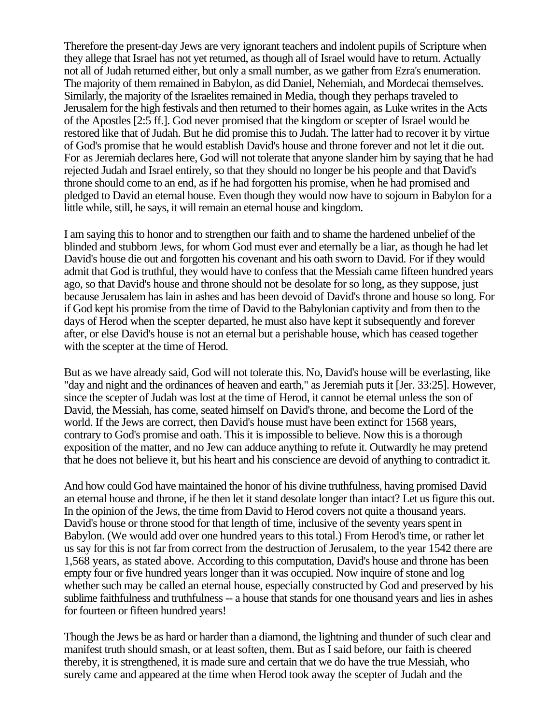Therefore the present-day Jews are very ignorant teachers and indolent pupils of Scripture when they allege that Israel has not yet returned, as though all of Israel would have to return. Actually not all of Judah returned either, but only a small number, as we gather from Ezra's enumeration. The majority of them remained in Babylon, as did Daniel, Nehemiah, and Mordecai themselves. Similarly, the majority of the Israelites remained in Media, though they perhaps traveled to Jerusalem for the high festivals and then returned to their homes again, as Luke writes in the Acts of the Apostles [2:5 ff.]. God never promised that the kingdom or scepter of Israel would be restored like that of Judah. But he did promise this to Judah. The latter had to recover it by virtue of God's promise that he would establish David's house and throne forever and not let it die out. For as Jeremiah declares here, God will not tolerate that anyone slander him by saying that he had rejected Judah and Israel entirely, so that they should no longer be his people and that David's throne should come to an end, as if he had forgotten his promise, when he had promised and pledged to David an eternal house. Even though they would now have to sojourn in Babylon for a little while, still, he says, it will remain an eternal house and kingdom.

I am saying this to honor and to strengthen our faith and to shame the hardened unbelief of the blinded and stubborn Jews, for whom God must ever and eternally be a liar, as though he had let David's house die out and forgotten his covenant and his oath sworn to David. For if they would admit that God is truthful, they would have to confess that the Messiah came fifteen hundred years ago, so that David's house and throne should not be desolate for so long, as they suppose, just because Jerusalem has lain in ashes and has been devoid of David's throne and house so long. For if God kept his promise from the time of David to the Babylonian captivity and from then to the days of Herod when the scepter departed, he must also have kept it subsequently and forever after, or else David's house is not an eternal but a perishable house, which has ceased together with the scepter at the time of Herod.

But as we have already said, God will not tolerate this. No, David's house will be everlasting, like "day and night and the ordinances of heaven and earth," as Jeremiah puts it [Jer. 33:25]. However, since the scepter of Judah was lost at the time of Herod, it cannot be eternal unless the son of David, the Messiah, has come, seated himself on David's throne, and become the Lord of the world. If the Jews are correct, then David's house must have been extinct for 1568 years, contrary to God's promise and oath. This it is impossible to believe. Now this is a thorough exposition of the matter, and no Jew can adduce anything to refute it. Outwardly he may pretend that he does not believe it, but his heart and his conscience are devoid of anything to contradict it.

And how could God have maintained the honor of his divine truthfulness, having promised David an eternal house and throne, if he then let it stand desolate longer than intact? Let us figure this out. In the opinion of the Jews, the time from David to Herod covers not quite a thousand years. David's house or throne stood for that length of time, inclusive of the seventy years spent in Babylon. (We would add over one hundred years to this total.) From Herod's time, or rather let us say for this is not far from correct from the destruction of Jerusalem, to the year 1542 there are 1,568 years, as stated above. According to this computation, David's house and throne has been empty four or five hundred years longer than it was occupied. Now inquire of stone and log whether such may be called an eternal house, especially constructed by God and preserved by his sublime faithfulness and truthfulness -- a house that stands for one thousand years and lies in ashes for fourteen or fifteen hundred years!

Though the Jews be as hard or harder than a diamond, the lightning and thunder of such clear and manifest truth should smash, or at least soften, them. But as I said before, our faith is cheered thereby, it is strengthened, it is made sure and certain that we do have the true Messiah, who surely came and appeared at the time when Herod took away the scepter of Judah and the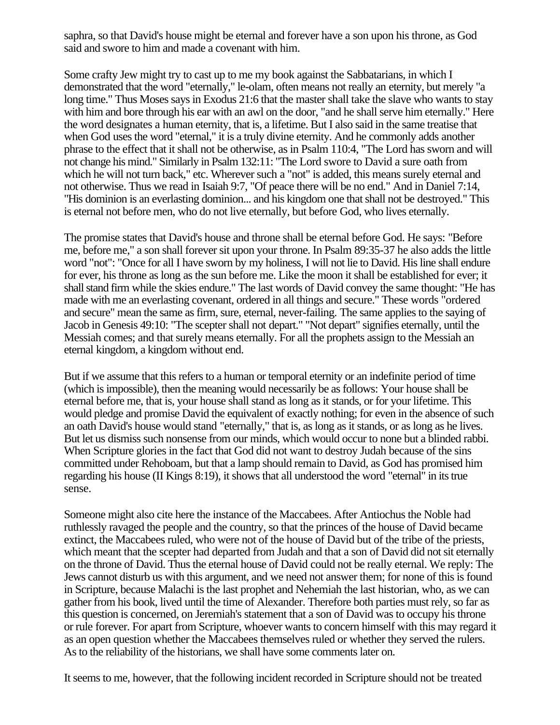saphra, so that David's house might be eternal and forever have a son upon his throne, as God said and swore to him and made a covenant with him.

Some crafty Jew might try to cast up to me my book against the Sabbatarians, in which I demonstrated that the word "eternally," le-olam, often means not really an eternity, but merely "a long time." Thus Moses says in Exodus 21:6 that the master shall take the slave who wants to stay with him and bore through his ear with an awl on the door, "and he shall serve him eternally." Here the word designates a human eternity, that is, a lifetime. But I also said in the same treatise that when God uses the word "eternal," it is a truly divine eternity. And he commonly adds another phrase to the effect that it shall not be otherwise, as in Psalm 110:4, "The Lord has sworn and will not change his mind." Similarly in Psalm 132:11: "The Lord swore to David a sure oath from which he will not turn back," etc. Wherever such a "not" is added, this means surely eternal and not otherwise. Thus we read in Isaiah 9:7, "Of peace there will be no end." And in Daniel 7:14, "His dominion is an everlasting dominion... and his kingdom one that shall not be destroyed." This is eternal not before men, who do not live eternally, but before God, who lives eternally.

The promise states that David's house and throne shall be eternal before God. He says: "Before me, before me," a son shall forever sit upon your throne. In Psalm 89:35-37 he also adds the little word "not": "Once for all I have sworn by my holiness, I will not lie to David. His line shall endure for ever, his throne as long as the sun before me. Like the moon it shall be established for ever; it shall stand firm while the skies endure." The last words of David convey the same thought: "He has made with me an everlasting covenant, ordered in all things and secure." These words "ordered and secure" mean the same as firm, sure, eternal, never-failing. The same applies to the saying of Jacob in Genesis 49:10: "The scepter shall not depart." "Not depart" signifies eternally, until the Messiah comes; and that surely means eternally. For all the prophets assign to the Messiah an eternal kingdom, a kingdom without end.

But if we assume that this refers to a human or temporal eternity or an indefinite period of time (which is impossible), then the meaning would necessarily be as follows: Your house shall be eternal before me, that is, your house shall stand as long as it stands, or for your lifetime. This would pledge and promise David the equivalent of exactly nothing; for even in the absence of such an oath David's house would stand "eternally," that is, as long as it stands, or as long as he lives. But let us dismiss such nonsense from our minds, which would occur to none but a blinded rabbi. When Scripture glories in the fact that God did not want to destroy Judah because of the sins committed under Rehoboam, but that a lamp should remain to David, as God has promised him regarding his house (II Kings 8:19), it shows that all understood the word "eternal" in its true sense.

Someone might also cite here the instance of the Maccabees. After Antiochus the Noble had ruthlessly ravaged the people and the country, so that the princes of the house of David became extinct, the Maccabees ruled, who were not of the house of David but of the tribe of the priests, which meant that the scepter had departed from Judah and that a son of David did not sit eternally on the throne of David. Thus the eternal house of David could not be really eternal. We reply: The Jews cannot disturb us with this argument, and we need not answer them; for none of this is found in Scripture, because Malachi is the last prophet and Nehemiah the last historian, who, as we can gather from his book, lived until the time of Alexander. Therefore both parties must rely, so far as this question is concerned, on Jeremiah's statement that a son of David was to occupy his throne or rule forever. For apart from Scripture, whoever wants to concern himself with this may regard it as an open question whether the Maccabees themselves ruled or whether they served the rulers. As to the reliability of the historians, we shall have some comments later on.

It seems to me, however, that the following incident recorded in Scripture should not be treated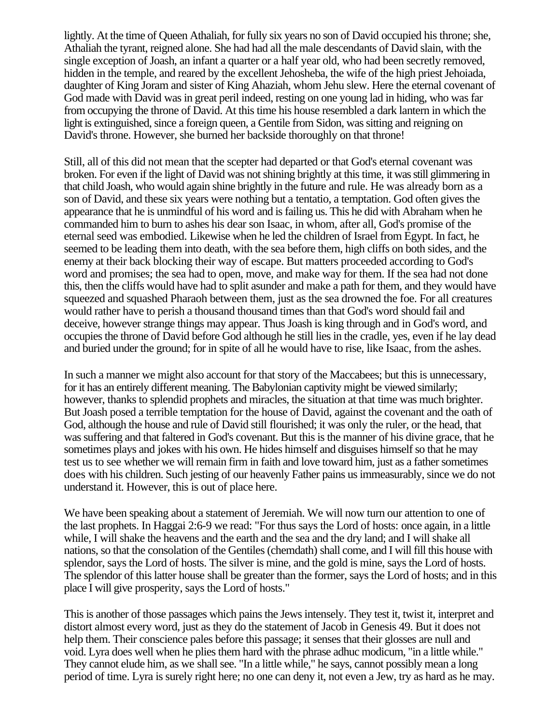lightly. At the time of Queen Athaliah, for fully six years no son of David occupied his throne; she, Athaliah the tyrant, reigned alone. She had had all the male descendants of David slain, with the single exception of Joash, an infant a quarter or a half year old, who had been secretly removed, hidden in the temple, and reared by the excellent Jehosheba, the wife of the high priest Jehoiada, daughter of King Joram and sister of King Ahaziah, whom Jehu slew. Here the eternal covenant of God made with David was in great peril indeed, resting on one young lad in hiding, who was far from occupying the throne of David. At this time his house resembled a dark lantern in which the light is extinguished, since a foreign queen, a Gentile from Sidon, was sitting and reigning on David's throne. However, she burned her backside thoroughly on that throne!

Still, all of this did not mean that the scepter had departed or that God's eternal covenant was broken. For even if the light of David was not shining brightly at this time, it was still glimmering in that child Joash, who would again shine brightly in the future and rule. He was already born as a son of David, and these six years were nothing but a tentatio, a temptation. God often gives the appearance that he is unmindful of his word and is failing us. This he did with Abraham when he commanded him to burn to ashes his dear son Isaac, in whom, after all, God's promise of the eternal seed was embodied. Likewise when he led the children of Israel from Egypt. In fact, he seemed to be leading them into death, with the sea before them, high cliffs on both sides, and the enemy at their back blocking their way of escape. But matters proceeded according to God's word and promises; the sea had to open, move, and make way for them. If the sea had not done this, then the cliffs would have had to split asunder and make a path for them, and they would have squeezed and squashed Pharaoh between them, just as the sea drowned the foe. For all creatures would rather have to perish a thousand thousand times than that God's word should fail and deceive, however strange things may appear. Thus Joash is king through and in God's word, and occupies the throne of David before God although he still lies in the cradle, yes, even if he lay dead and buried under the ground; for in spite of all he would have to rise, like Isaac, from the ashes.

In such a manner we might also account for that story of the Maccabees; but this is unnecessary, for it has an entirely different meaning. The Babylonian captivity might be viewed similarly; however, thanks to splendid prophets and miracles, the situation at that time was much brighter. But Joash posed a terrible temptation for the house of David, against the covenant and the oath of God, although the house and rule of David still flourished; it was only the ruler, or the head, that was suffering and that faltered in God's covenant. But this is the manner of his divine grace, that he sometimes plays and jokes with his own. He hides himself and disguises himself so that he may test us to see whether we will remain firm in faith and love toward him, just as a father sometimes does with his children. Such jesting of our heavenly Father pains us immeasurably, since we do not understand it. However, this is out of place here.

We have been speaking about a statement of Jeremiah. We will now turn our attention to one of the last prophets. In Haggai 2:6-9 we read: "For thus says the Lord of hosts: once again, in a little while, I will shake the heavens and the earth and the sea and the dry land; and I will shake all nations, so that the consolation of the Gentiles (chemdath) shall come, and I will fill this house with splendor, says the Lord of hosts. The silver is mine, and the gold is mine, says the Lord of hosts. The splendor of this latter house shall be greater than the former, says the Lord of hosts; and in this place I will give prosperity, says the Lord of hosts."

This is another of those passages which pains the Jews intensely. They test it, twist it, interpret and distort almost every word, just as they do the statement of Jacob in Genesis 49. But it does not help them. Their conscience pales before this passage; it senses that their glosses are null and void. Lyra does well when he plies them hard with the phrase adhuc modicum, "in a little while." They cannot elude him, as we shall see. "In a little while," he says, cannot possibly mean a long period of time. Lyra is surely right here; no one can deny it, not even a Jew, try as hard as he may.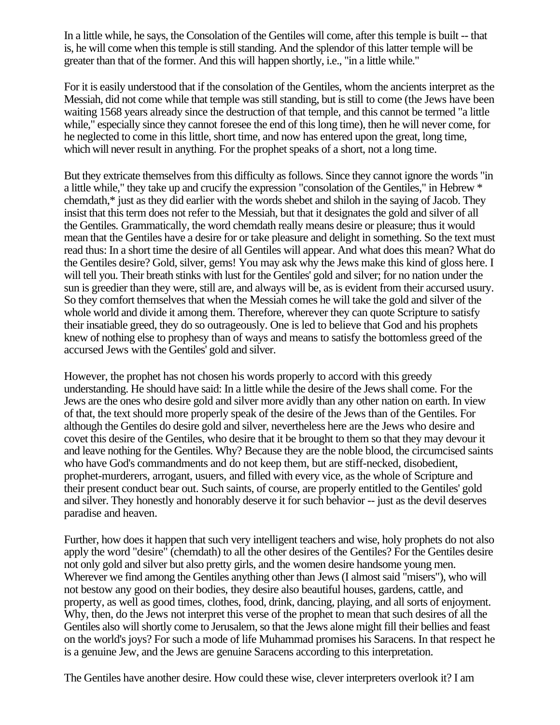In a little while, he says, the Consolation of the Gentiles will come, after this temple is built -- that is, he will come when this temple is still standing. And the splendor of this latter temple will be greater than that of the former. And this will happen shortly, i.e., "in a little while."

For it is easily understood that if the consolation of the Gentiles, whom the ancients interpret as the Messiah, did not come while that temple was still standing, but is still to come (the Jews have been waiting 1568 years already since the destruction of that temple, and this cannot be termed "a little while," especially since they cannot foresee the end of this long time), then he will never come, for he neglected to come in this little, short time, and now has entered upon the great, long time, which will never result in anything. For the prophet speaks of a short, not a long time.

But they extricate themselves from this difficulty as follows. Since they cannot ignore the words "in a little while," they take up and crucify the expression "consolation of the Gentiles," in Hebrew \* chemdath,\* just as they did earlier with the words shebet and shiloh in the saying of Jacob. They insist that this term does not refer to the Messiah, but that it designates the gold and silver of all the Gentiles. Grammatically, the word chemdath really means desire or pleasure; thus it would mean that the Gentiles have a desire for or take pleasure and delight in something. So the text must read thus: In a short time the desire of all Gentiles will appear. And what does this mean? What do the Gentiles desire? Gold, silver, gems! You may ask why the Jews make this kind of gloss here. I will tell you. Their breath stinks with lust for the Gentiles' gold and silver; for no nation under the sun is greedier than they were, still are, and always will be, as is evident from their accursed usury. So they comfort themselves that when the Messiah comes he will take the gold and silver of the whole world and divide it among them. Therefore, wherever they can quote Scripture to satisfy their insatiable greed, they do so outrageously. One is led to believe that God and his prophets knew of nothing else to prophesy than of ways and means to satisfy the bottomless greed of the accursed Jews with the Gentiles' gold and silver.

However, the prophet has not chosen his words properly to accord with this greedy understanding. He should have said: In a little while the desire of the Jews shall come. For the Jews are the ones who desire gold and silver more avidly than any other nation on earth. In view of that, the text should more properly speak of the desire of the Jews than of the Gentiles. For although the Gentiles do desire gold and silver, nevertheless here are the Jews who desire and covet this desire of the Gentiles, who desire that it be brought to them so that they may devour it and leave nothing for the Gentiles. Why? Because they are the noble blood, the circumcised saints who have God's commandments and do not keep them, but are stiff-necked, disobedient, prophet-murderers, arrogant, usuers, and filled with every vice, as the whole of Scripture and their present conduct bear out. Such saints, of course, are properly entitled to the Gentiles' gold and silver. They honestly and honorably deserve it for such behavior -- just as the devil deserves paradise and heaven.

Further, how does it happen that such very intelligent teachers and wise, holy prophets do not also apply the word "desire" (chemdath) to all the other desires of the Gentiles? For the Gentiles desire not only gold and silver but also pretty girls, and the women desire handsome young men. Wherever we find among the Gentiles anything other than Jews (I almost said "misers"), who will not bestow any good on their bodies, they desire also beautiful houses, gardens, cattle, and property, as well as good times, clothes, food, drink, dancing, playing, and all sorts of enjoyment. Why, then, do the Jews not interpret this verse of the prophet to mean that such desires of all the Gentiles also will shortly come to Jerusalem, so that the Jews alone might fill their bellies and feast on the world's joys? For such a mode of life Muhammad promises his Saracens. In that respect he is a genuine Jew, and the Jews are genuine Saracens according to this interpretation.

The Gentiles have another desire. How could these wise, clever interpreters overlook it? I am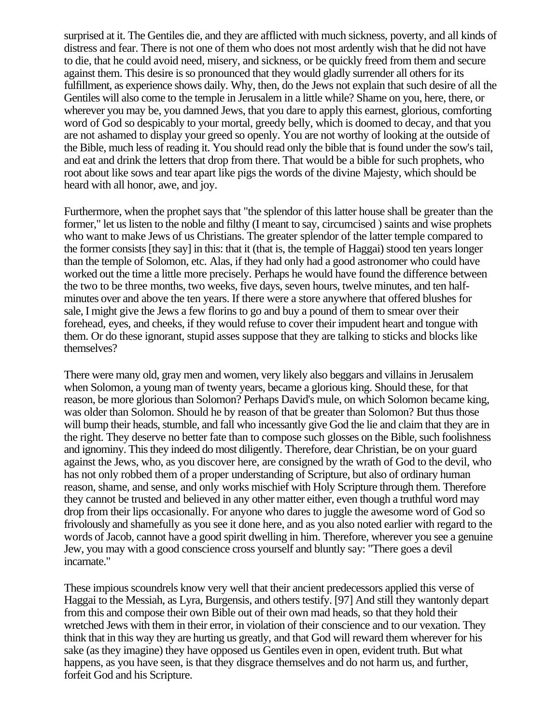surprised at it. The Gentiles die, and they are afflicted with much sickness, poverty, and all kinds of distress and fear. There is not one of them who does not most ardently wish that he did not have to die, that he could avoid need, misery, and sickness, or be quickly freed from them and secure against them. This desire is so pronounced that they would gladly surrender all others for its fulfillment, as experience shows daily. Why, then, do the Jews not explain that such desire of all the Gentiles will also come to the temple in Jerusalem in a little while? Shame on you, here, there, or wherever you may be, you damned Jews, that you dare to apply this earnest, glorious, comforting word of God so despicably to your mortal, greedy belly, which is doomed to decay, and that you are not ashamed to display your greed so openly. You are not worthy of looking at the outside of the Bible, much less of reading it. You should read only the bible that is found under the sow's tail, and eat and drink the letters that drop from there. That would be a bible for such prophets, who root about like sows and tear apart like pigs the words of the divine Majesty, which should be heard with all honor, awe, and joy.

Furthermore, when the prophet says that "the splendor of this latter house shall be greater than the former," let us listen to the noble and filthy (I meant to say, circumcised ) saints and wise prophets who want to make Jews of us Christians. The greater splendor of the latter temple compared to the former consists [they say] in this: that it (that is, the temple of Haggai) stood ten years longer than the temple of Solomon, etc. Alas, if they had only had a good astronomer who could have worked out the time a little more precisely. Perhaps he would have found the difference between the two to be three months, two weeks, five days, seven hours, twelve minutes, and ten halfminutes over and above the ten years. If there were a store anywhere that offered blushes for sale, I might give the Jews a few florins to go and buy a pound of them to smear over their forehead, eyes, and cheeks, if they would refuse to cover their impudent heart and tongue with them. Or do these ignorant, stupid asses suppose that they are talking to sticks and blocks like themselves?

There were many old, gray men and women, very likely also beggars and villains in Jerusalem when Solomon, a young man of twenty years, became a glorious king. Should these, for that reason, be more glorious than Solomon? Perhaps David's mule, on which Solomon became king, was older than Solomon. Should he by reason of that be greater than Solomon? But thus those will bump their heads, stumble, and fall who incessantly give God the lie and claim that they are in the right. They deserve no better fate than to compose such glosses on the Bible, such foolishness and ignominy. This they indeed do most diligently. Therefore, dear Christian, be on your guard against the Jews, who, as you discover here, are consigned by the wrath of God to the devil, who has not only robbed them of a proper understanding of Scripture, but also of ordinary human reason, shame, and sense, and only works mischief with Holy Scripture through them. Therefore they cannot be trusted and believed in any other matter either, even though a truthful word may drop from their lips occasionally. For anyone who dares to juggle the awesome word of God so frivolously and shamefully as you see it done here, and as you also noted earlier with regard to the words of Jacob, cannot have a good spirit dwelling in him. Therefore, wherever you see a genuine Jew, you may with a good conscience cross yourself and bluntly say: "There goes a devil incarnate."

These impious scoundrels know very well that their ancient predecessors applied this verse of Haggai to the Messiah, as Lyra, Burgensis, and others testify. [97] And still they wantonly depart from this and compose their own Bible out of their own mad heads, so that they hold their wretched Jews with them in their error, in violation of their conscience and to our vexation. They think that in this way they are hurting us greatly, and that God will reward them wherever for his sake (as they imagine) they have opposed us Gentiles even in open, evident truth. But what happens, as you have seen, is that they disgrace themselves and do not harm us, and further, forfeit God and his Scripture.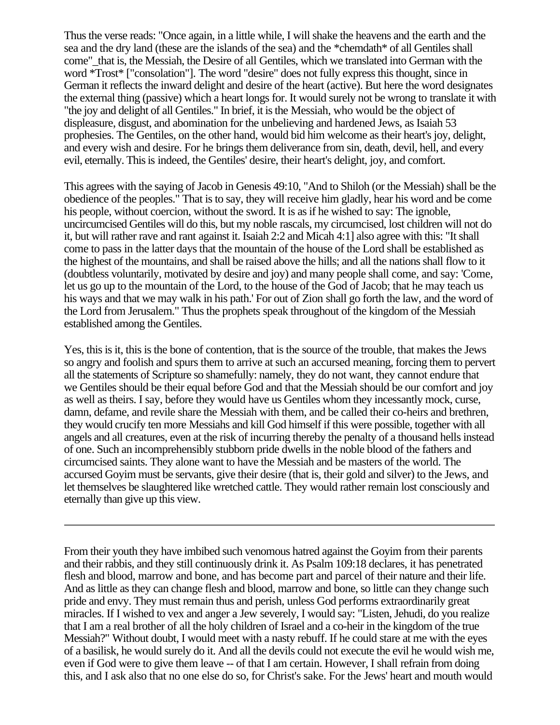Thus the verse reads: "Once again, in a little while, I will shake the heavens and the earth and the sea and the dry land (these are the islands of the sea) and the \*chemdath\* of all Gentiles shall come" that is, the Messiah, the Desire of all Gentiles, which we translated into German with the word \*Trost\* ["consolation"]. The word "desire" does not fully express this thought, since in German it reflects the inward delight and desire of the heart (active). But here the word designates the external thing (passive) which a heart longs for. It would surely not be wrong to translate it with "the joy and delight of all Gentiles." In brief, it is the Messiah, who would be the object of displeasure, disgust, and abomination for the unbelieving and hardened Jews, as Isaiah 53 prophesies. The Gentiles, on the other hand, would bid him welcome as their heart's joy, delight, and every wish and desire. For he brings them deliverance from sin, death, devil, hell, and every evil, eternally. This is indeed, the Gentiles' desire, their heart's delight, joy, and comfort.

This agrees with the saying of Jacob in Genesis 49:10, "And to Shiloh (or the Messiah) shall be the obedience of the peoples." That is to say, they will receive him gladly, hear his word and be come his people, without coercion, without the sword. It is as if he wished to say: The ignoble, uncircumcised Gentiles will do this, but my noble rascals, my circumcised, lost children will not do it, but will rather rave and rant against it. Isaiah 2:2 and Micah 4:1] also agree with this: "It shall come to pass in the latter days that the mountain of the house of the Lord shall be established as the highest of the mountains, and shall be raised above the hills; and all the nations shall flow to it (doubtless voluntarily, motivated by desire and joy) and many people shall come, and say: 'Come, let us go up to the mountain of the Lord, to the house of the God of Jacob; that he may teach us his ways and that we may walk in his path.' For out of Zion shall go forth the law, and the word of the Lord from Jerusalem." Thus the prophets speak throughout of the kingdom of the Messiah established among the Gentiles.

Yes, this is it, this is the bone of contention, that is the source of the trouble, that makes the Jews so angry and foolish and spurs them to arrive at such an accursed meaning, forcing them to pervert all the statements of Scripture so shamefully: namely, they do not want, they cannot endure that we Gentiles should be their equal before God and that the Messiah should be our comfort and joy as well as theirs. I say, before they would have us Gentiles whom they incessantly mock, curse, damn, defame, and revile share the Messiah with them, and be called their co-heirs and brethren, they would crucify ten more Messiahs and kill God himself if this were possible, together with all angels and all creatures, even at the risk of incurring thereby the penalty of a thousand hells instead of one. Such an incomprehensibly stubborn pride dwells in the noble blood of the fathers and circumcised saints. They alone want to have the Messiah and be masters of the world. The accursed Goyim must be servants, give their desire (that is, their gold and silver) to the Jews, and let themselves be slaughtered like wretched cattle. They would rather remain lost consciously and eternally than give up this view.

From their youth they have imbibed such venomous hatred against the Goyim from their parents and their rabbis, and they still continuously drink it. As Psalm 109:18 declares, it has penetrated flesh and blood, marrow and bone, and has become part and parcel of their nature and their life. And as little as they can change flesh and blood, marrow and bone, so little can they change such pride and envy. They must remain thus and perish, unless God performs extraordinarily great miracles. If I wished to vex and anger a Jew severely, I would say: "Listen, Jehudi, do you realize that I am a real brother of all the holy children of Israel and a co-heir in the kingdom of the true Messiah?" Without doubt, I would meet with a nasty rebuff. If he could stare at me with the eyes of a basilisk, he would surely do it. And all the devils could not execute the evil he would wish me, even if God were to give them leave -- of that I am certain. However, I shall refrain from doing this, and I ask also that no one else do so, for Christ's sake. For the Jews' heart and mouth would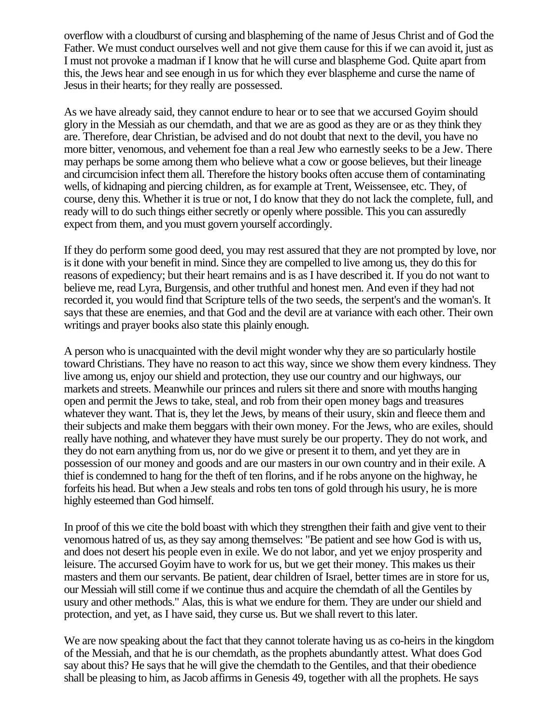overflow with a cloudburst of cursing and blaspheming of the name of Jesus Christ and of God the Father. We must conduct ourselves well and not give them cause for this if we can avoid it, just as I must not provoke a madman if I know that he will curse and blaspheme God. Quite apart from this, the Jews hear and see enough in us for which they ever blaspheme and curse the name of Jesus in their hearts; for they really are possessed.

As we have already said, they cannot endure to hear or to see that we accursed Goyim should glory in the Messiah as our chemdath, and that we are as good as they are or as they think they are. Therefore, dear Christian, be advised and do not doubt that next to the devil, you have no more bitter, venomous, and vehement foe than a real Jew who earnestly seeks to be a Jew. There may perhaps be some among them who believe what a cow or goose believes, but their lineage and circumcision infect them all. Therefore the history books often accuse them of contaminating wells, of kidnaping and piercing children, as for example at Trent, Weissensee, etc. They, of course, deny this. Whether it is true or not, I do know that they do not lack the complete, full, and ready will to do such things either secretly or openly where possible. This you can assuredly expect from them, and you must govern yourself accordingly.

If they do perform some good deed, you may rest assured that they are not prompted by love, nor is it done with your benefit in mind. Since they are compelled to live among us, they do this for reasons of expediency; but their heart remains and is as I have described it. If you do not want to believe me, read Lyra, Burgensis, and other truthful and honest men. And even if they had not recorded it, you would find that Scripture tells of the two seeds, the serpent's and the woman's. It says that these are enemies, and that God and the devil are at variance with each other. Their own writings and prayer books also state this plainly enough.

A person who is unacquainted with the devil might wonder why they are so particularly hostile toward Christians. They have no reason to act this way, since we show them every kindness. They live among us, enjoy our shield and protection, they use our country and our highways, our markets and streets. Meanwhile our princes and rulers sit there and snore with mouths hanging open and permit the Jews to take, steal, and rob from their open money bags and treasures whatever they want. That is, they let the Jews, by means of their usury, skin and fleece them and their subjects and make them beggars with their own money. For the Jews, who are exiles, should really have nothing, and whatever they have must surely be our property. They do not work, and they do not earn anything from us, nor do we give or present it to them, and yet they are in possession of our money and goods and are our masters in our own country and in their exile. A thief is condemned to hang for the theft of ten florins, and if he robs anyone on the highway, he forfeits his head. But when a Jew steals and robs ten tons of gold through his usury, he is more highly esteemed than God himself.

In proof of this we cite the bold boast with which they strengthen their faith and give vent to their venomous hatred of us, as they say among themselves: "Be patient and see how God is with us, and does not desert his people even in exile. We do not labor, and yet we enjoy prosperity and leisure. The accursed Goyim have to work for us, but we get their money. This makes us their masters and them our servants. Be patient, dear children of Israel, better times are in store for us, our Messiah will still come if we continue thus and acquire the chemdath of all the Gentiles by usury and other methods." Alas, this is what we endure for them. They are under our shield and protection, and yet, as I have said, they curse us. But we shall revert to this later.

We are now speaking about the fact that they cannot tolerate having us as co-heirs in the kingdom of the Messiah, and that he is our chemdath, as the prophets abundantly attest. What does God say about this? He says that he will give the chemdath to the Gentiles, and that their obedience shall be pleasing to him, as Jacob affirms in Genesis 49, together with all the prophets. He says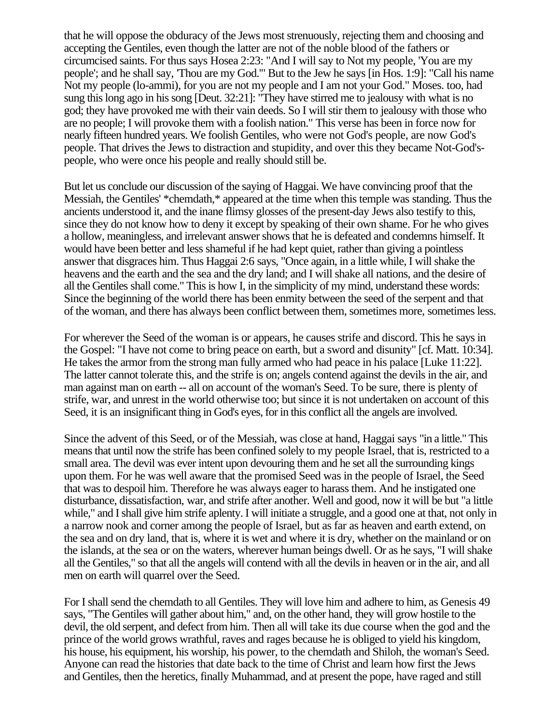that he will oppose the obduracy of the Jews most strenuously, rejecting them and choosing and accepting the Gentiles, even though the latter are not of the noble blood of the fathers or circumcised saints. For thus says Hosea 2:23: "And I will say to Not my people, 'You are my people'; and he shall say, 'Thou are my God.'" But to the Jew he says [in Hos. 1:9]: "Call his name Not my people (lo-ammi), for you are not my people and I am not your God." Moses. too, had sung this long ago in his song [Deut. 32:21]: "They have stirred me to jealousy with what is no god; they have provoked me with their vain deeds. So I will stir them to jealousy with those who are no people; I will provoke them with a foolish nation." This verse has been in force now for nearly fifteen hundred years. We foolish Gentiles, who were not God's people, are now God's people. That drives the Jews to distraction and stupidity, and over this they became Not-God'speople, who were once his people and really should still be.

But let us conclude our discussion of the saying of Haggai. We have convincing proof that the Messiah, the Gentiles' \*chemdath,\* appeared at the time when this temple was standing. Thus the ancients understood it, and the inane flimsy glosses of the present-day Jews also testify to this, since they do not know how to deny it except by speaking of their own shame. For he who gives a hollow, meaningless, and irrelevant answer shows that he is defeated and condemns himself. It would have been better and less shameful if he had kept quiet, rather than giving a pointless answer that disgraces him. Thus Haggai 2:6 says, "Once again, in a little while, I will shake the heavens and the earth and the sea and the dry land; and I will shake all nations, and the desire of all the Gentiles shall come." This is how I, in the simplicity of my mind, understand these words: Since the beginning of the world there has been enmity between the seed of the serpent and that of the woman, and there has always been conflict between them, sometimes more, sometimes less.

For wherever the Seed of the woman is or appears, he causes strife and discord. This he says in the Gospel: "I have not come to bring peace on earth, but a sword and disunity" [cf. Matt. 10:34]. He takes the armor from the strong man fully armed who had peace in his palace [Luke 11:22]. The latter cannot tolerate this, and the strife is on; angels contend against the devils in the air, and man against man on earth -- all on account of the woman's Seed. To be sure, there is plenty of strife, war, and unrest in the world otherwise too; but since it is not undertaken on account of this Seed, it is an insignificant thing in God's eyes, for in this conflict all the angels are involved.

Since the advent of this Seed, or of the Messiah, was close at hand, Haggai says "in a little." This means that until now the strife has been confined solely to my people Israel, that is, restricted to a small area. The devil was ever intent upon devouring them and he set all the surrounding kings upon them. For he was well aware that the promised Seed was in the people of Israel, the Seed that was to despoil him. Therefore he was always eager to harass them. And he instigated one disturbance, dissatisfaction, war, and strife after another. Well and good, now it will be but "a little while," and I shall give him strife aplenty. I will initiate a struggle, and a good one at that, not only in a narrow nook and corner among the people of Israel, but as far as heaven and earth extend, on the sea and on dry land, that is, where it is wet and where it is dry, whether on the mainland or on the islands, at the sea or on the waters, wherever human beings dwell. Or as he says, "I will shake all the Gentiles," so that all the angels will contend with all the devils in heaven or in the air, and all men on earth will quarrel over the Seed.

For I shall send the chemdath to all Gentiles. They will love him and adhere to him, as Genesis 49 says, "The Gentiles will gather about him," and, on the other hand, they will grow hostile to the devil, the old serpent, and defect from him. Then all will take its due course when the god and the prince of the world grows wrathful, raves and rages because he is obliged to yield his kingdom, his house, his equipment, his worship, his power, to the chemdath and Shiloh, the woman's Seed. Anyone can read the histories that date back to the time of Christ and learn how first the Jews and Gentiles, then the heretics, finally Muhammad, and at present the pope, have raged and still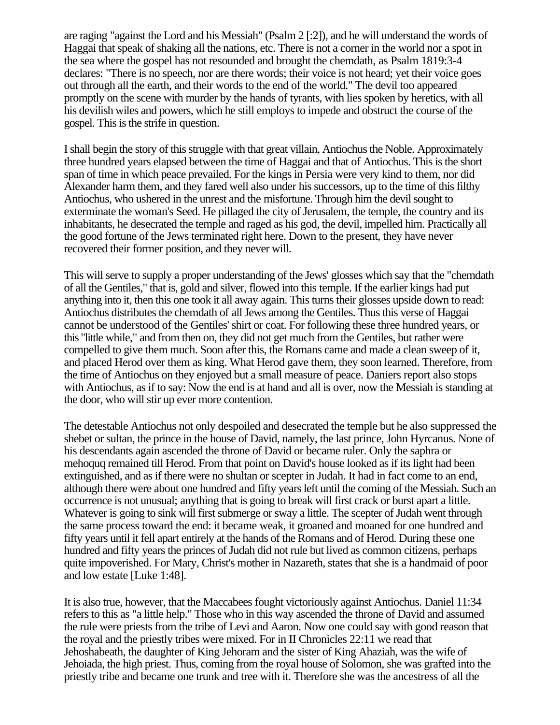are raging "against the Lord and his Messiah" (Psalm 2 [:2]), and he will understand the words of Haggai that speak of shaking all the nations, etc. There is not a corner in the world nor a spot in the sea where the gospel has not resounded and brought the chemdath, as Psalm 1819:3-4 declares: "There is no speech, nor are there words; their voice is not heard; yet their voice goes out through all the earth, and their words to the end of the world." The devil too appeared promptly on the scene with murder by the hands of tyrants, with lies spoken by heretics, with all his devilish wiles and powers, which he still employs to impede and obstruct the course of the gospel. This is the strife in question.

I shall begin the story of this struggle with that great villain, Antiochus the Noble. Approximately three hundred years elapsed between the time of Haggai and that of Antiochus. This is the short span of time in which peace prevailed. For the kings in Persia were very kind to them, nor did Alexander harm them, and they fared well also under his successors, up to the time of this filthy Antiochus, who ushered in the unrest and the misfortune. Through him the devil sought to exterminate the woman's Seed. He pillaged the city of Jerusalem, the temple, the country and its inhabitants, he desecrated the temple and raged as his god, the devil, impelled him. Practically all the good fortune of the Jews terminated right here. Down to the present, they have never recovered their former position, and they never will.

This will serve to supply a proper understanding of the Jews' glosses which say that the "chemdath of all the Gentiles," that is, gold and silver, flowed into this temple. If the earlier kings had put anything into it, then this one took it all away again. This turns their glosses upside down to read: Antiochus distributes the chemdath of all Jews among the Gentiles. Thus this verse of Haggai cannot be understood of the Gentiles' shirt or coat. For following these three hundred years, or this "little while," and from then on, they did not get much from the Gentiles, but rather were compelled to give them much. Soon after this, the Romans came and made a clean sweep of it, and placed Herod over them as king. What Herod gave them, they soon learned. Therefore, from the time of Antiochus on they enjoyed but a small measure of peace. Daniers report also stops with Antiochus, as if to say: Now the end is at hand and all is over, now the Messiah is standing at the door, who will stir up ever more contention.

The detestable Antiochus not only despoiled and desecrated the temple but he also suppressed the shebet or sultan, the prince in the house of David, namely, the last prince, John Hyrcanus. None of his descendants again ascended the throne of David or became ruler. Only the saphra or mehoquq remained till Herod. From that point on David's house looked as if its light had been extinguished, and as if there were no shultan or scepter in Judah. It had in fact come to an end, although there were about one hundred and fifty years left until the coming of the Messiah. Such an occurrence is not unusual; anything that is going to break will first crack or burst apart a little. Whatever is going to sink will first submerge or sway a little. The scepter of Judah went through the same process toward the end: it became weak, it groaned and moaned for one hundred and fifty years until it fell apart entirely at the hands of the Romans and of Herod. During these one hundred and fifty years the princes of Judah did not rule but lived as common citizens, perhaps quite impoverished. For Mary, Christ's mother in Nazareth, states that she is a handmaid of poor and low estate [Luke 1:48].

It is also true, however, that the Maccabees fought victoriously against Antiochus. Daniel 11:34 refers to this as "a little help." Those who in this way ascended the throne of David and assumed the rule were priests from the tribe of Levi and Aaron. Now one could say with good reason that the royal and the priestly tribes were mixed. For in II Chronicles 22:11 we read that Jehoshabeath, the daughter of King Jehoram and the sister of King Ahaziah, was the wife of Jehoiada, the high priest. Thus, coming from the royal house of Solomon, she was grafted into the priestly tribe and became one trunk and tree with it. Therefore she was the ancestress of all the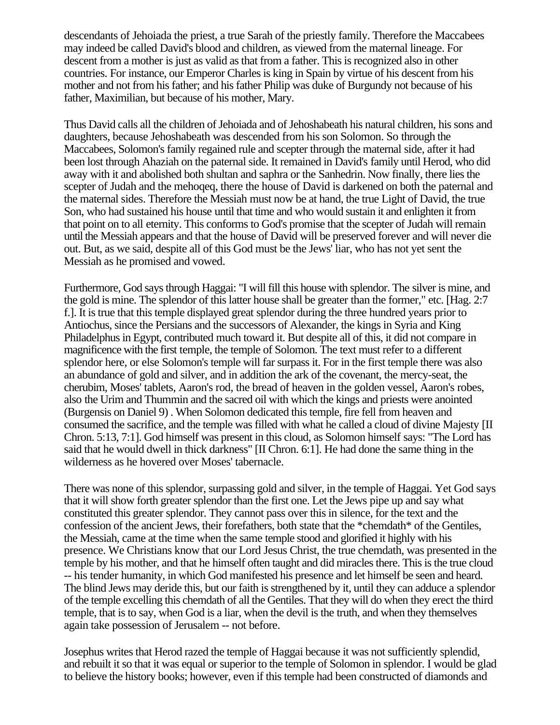descendants of Jehoiada the priest, a true Sarah of the priestly family. Therefore the Maccabees may indeed be called David's blood and children, as viewed from the maternal lineage. For descent from a mother is just as valid as that from a father. This is recognized also in other countries. For instance, our Emperor Charles is king in Spain by virtue of his descent from his mother and not from his father; and his father Philip was duke of Burgundy not because of his father, Maximilian, but because of his mother, Mary.

Thus David calls all the children of Jehoiada and of Jehoshabeath his natural children, his sons and daughters, because Jehoshabeath was descended from his son Solomon. So through the Maccabees, Solomon's family regained rule and scepter through the maternal side, after it had been lost through Ahaziah on the paternal side. It remained in David's family until Herod, who did away with it and abolished both shultan and saphra or the Sanhedrin. Now finally, there lies the scepter of Judah and the mehoqeq, there the house of David is darkened on both the paternal and the maternal sides. Therefore the Messiah must now be at hand, the true Light of David, the true Son, who had sustained his house until that time and who would sustain it and enlighten it from that point on to all eternity. This conforms to God's promise that the scepter of Judah will remain until the Messiah appears and that the house of David will be preserved forever and will never die out. But, as we said, despite all of this God must be the Jews' liar, who has not yet sent the Messiah as he promised and vowed.

Furthermore, God says through Haggai: "I will fill this house with splendor. The silver is mine, and the gold is mine. The splendor of this latter house shall be greater than the former," etc. [Hag. 2:7 f.]. It is true that this temple displayed great splendor during the three hundred years prior to Antiochus, since the Persians and the successors of Alexander, the kings in Syria and King Philadelphus in Egypt, contributed much toward it. But despite all of this, it did not compare in magnificence with the first temple, the temple of Solomon. The text must refer to a different splendor here, or else Solomon's temple will far surpass it. For in the first temple there was also an abundance of gold and silver, and in addition the ark of the covenant, the mercy-seat, the cherubim, Moses' tablets, Aaron's rod, the bread of heaven in the golden vessel, Aaron's robes, also the Urim and Thummin and the sacred oil with which the kings and priests were anointed (Burgensis on Daniel 9) . When Solomon dedicated this temple, fire fell from heaven and consumed the sacrifice, and the temple was filled with what he called a cloud of divine Majesty [II Chron. 5:13, 7:1]. God himself was present in this cloud, as Solomon himself says: "The Lord has said that he would dwell in thick darkness" [II Chron. 6:1]. He had done the same thing in the wilderness as he hovered over Moses' tabernacle.

There was none of this splendor, surpassing gold and silver, in the temple of Haggai. Yet God says that it will show forth greater splendor than the first one. Let the Jews pipe up and say what constituted this greater splendor. They cannot pass over this in silence, for the text and the confession of the ancient Jews, their forefathers, both state that the \*chemdath\* of the Gentiles, the Messiah, came at the time when the same temple stood and glorified it highly with his presence. We Christians know that our Lord Jesus Christ, the true chemdath, was presented in the temple by his mother, and that he himself often taught and did miracles there. This is the true cloud -- his tender humanity, in which God manifested his presence and let himself be seen and heard. The blind Jews may deride this, but our faith is strengthened by it, until they can adduce a splendor of the temple excelling this chemdath of all the Gentiles. That they will do when they erect the third temple, that is to say, when God is a liar, when the devil is the truth, and when they themselves again take possession of Jerusalem -- not before.

Josephus writes that Herod razed the temple of Haggai because it was not sufficiently splendid, and rebuilt it so that it was equal or superior to the temple of Solomon in splendor. I would be glad to believe the history books; however, even if this temple had been constructed of diamonds and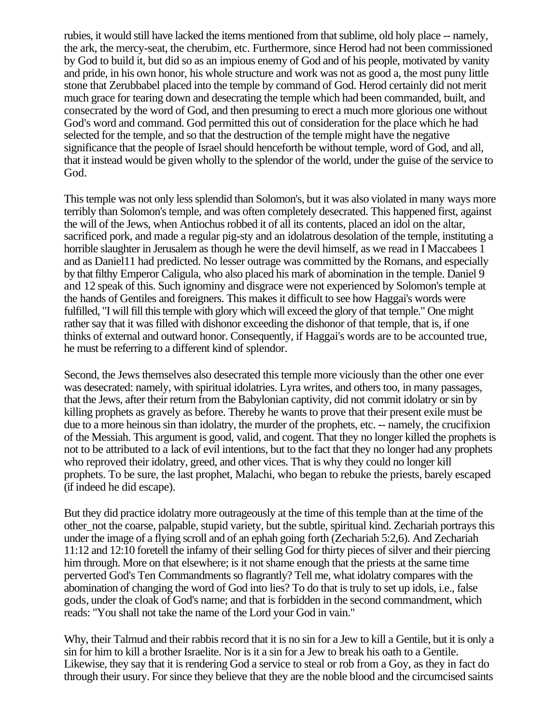rubies, it would still have lacked the items mentioned from that sublime, old holy place -- namely, the ark, the mercy-seat, the cherubim, etc. Furthermore, since Herod had not been commissioned by God to build it, but did so as an impious enemy of God and of his people, motivated by vanity and pride, in his own honor, his whole structure and work was not as good a, the most puny little stone that Zerubbabel placed into the temple by command of God. Herod certainly did not merit much grace for tearing down and desecrating the temple which had been commanded, built, and consecrated by the word of God, and then presuming to erect a much more glorious one without God's word and command. God permitted this out of consideration for the place which he had selected for the temple, and so that the destruction of the temple might have the negative significance that the people of Israel should henceforth be without temple, word of God, and all, that it instead would be given wholly to the splendor of the world, under the guise of the service to God.

This temple was not only less splendid than Solomon's, but it was also violated in many ways more terribly than Solomon's temple, and was often completely desecrated. This happened first, against the will of the Jews, when Antiochus robbed it of all its contents, placed an idol on the altar, sacrificed pork, and made a regular pig-sty and an idolatrous desolation of the temple, instituting a horrible slaughter in Jerusalem as though he were the devil himself, as we read in I Maccabees 1 and as Daniel11 had predicted. No lesser outrage was committed by the Romans, and especially by that filthy Emperor Caligula, who also placed his mark of abomination in the temple. Daniel 9 and 12 speak of this. Such ignominy and disgrace were not experienced by Solomon's temple at the hands of Gentiles and foreigners. This makes it difficult to see how Haggai's words were fulfilled, "I will fill this temple with glory which will exceed the glory of that temple." One might rather say that it was filled with dishonor exceeding the dishonor of that temple, that is, if one thinks of external and outward honor. Consequently, if Haggai's words are to be accounted true, he must be referring to a different kind of splendor.

Second, the Jews themselves also desecrated this temple more viciously than the other one ever was desecrated: namely, with spiritual idolatries. Lyra writes, and others too, in many passages, that the Jews, after their return from the Babylonian captivity, did not commit idolatry or sin by killing prophets as gravely as before. Thereby he wants to prove that their present exile must be due to a more heinous sin than idolatry, the murder of the prophets, etc. -- namely, the crucifixion of the Messiah. This argument is good, valid, and cogent. That they no longer killed the prophets is not to be attributed to a lack of evil intentions, but to the fact that they no longer had any prophets who reproved their idolatry, greed, and other vices. That is why they could no longer kill prophets. To be sure, the last prophet, Malachi, who began to rebuke the priests, barely escaped (if indeed he did escape).

But they did practice idolatry more outrageously at the time of this temple than at the time of the other\_not the coarse, palpable, stupid variety, but the subtle, spiritual kind. Zechariah portrays this under the image of a flying scroll and of an ephah going forth (Zechariah 5:2,6). And Zechariah 11:12 and 12:10 foretell the infamy of their selling God for thirty pieces of silver and their piercing him through. More on that elsewhere; is it not shame enough that the priests at the same time perverted God's Ten Commandments so flagrantly? Tell me, what idolatry compares with the abomination of changing the word of God into lies? To do that is truly to set up idols, i.e., false gods, under the cloak of God's name; and that is forbidden in the second commandment, which reads: "You shall not take the name of the Lord your God in vain."

Why, their Talmud and their rabbis record that it is no sin for a Jew to kill a Gentile, but it is only a sin for him to kill a brother Israelite. Nor is it a sin for a Jew to break his oath to a Gentile. Likewise, they say that it is rendering God a service to steal or rob from a Goy, as they in fact do through their usury. For since they believe that they are the noble blood and the circumcised saints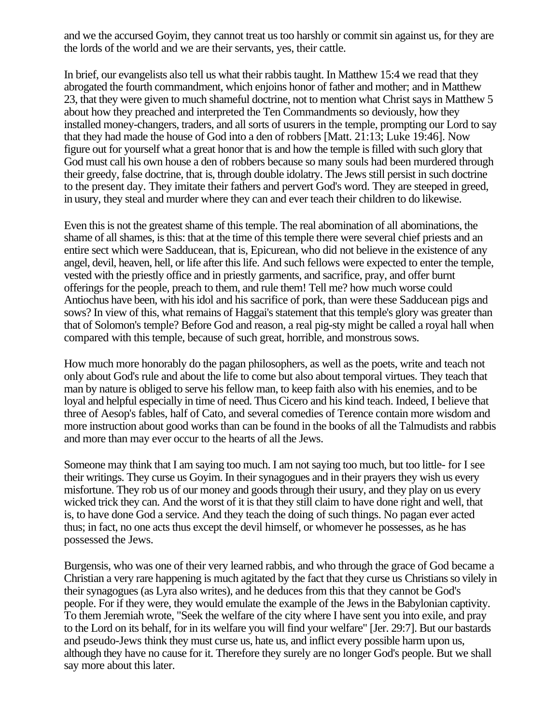and we the accursed Goyim, they cannot treat us too harshly or commit sin against us, for they are the lords of the world and we are their servants, yes, their cattle.

In brief, our evangelists also tell us what their rabbis taught. In Matthew 15:4 we read that they abrogated the fourth commandment, which enjoins honor of father and mother; and in Matthew 23, that they were given to much shameful doctrine, not to mention what Christ says in Matthew 5 about how they preached and interpreted the Ten Commandments so deviously, how they installed money-changers, traders, and all sorts of usurers in the temple, prompting our Lord to say that they had made the house of God into a den of robbers [Matt. 21:13; Luke 19:46]. Now figure out for yourself what a great honor that is and how the temple is filled with such glory that God must call his own house a den of robbers because so many souls had been murdered through their greedy, false doctrine, that is, through double idolatry. The Jews still persist in such doctrine to the present day. They imitate their fathers and pervert God's word. They are steeped in greed, in usury, they steal and murder where they can and ever teach their children to do likewise.

Even this is not the greatest shame of this temple. The real abomination of all abominations, the shame of all shames, is this: that at the time of this temple there were several chief priests and an entire sect which were Sadducean, that is, Epicurean, who did not believe in the existence of any angel, devil, heaven, hell, or life after this life. And such fellows were expected to enter the temple, vested with the priestly office and in priestly garments, and sacrifice, pray, and offer burnt offerings for the people, preach to them, and rule them! Tell me? how much worse could Antiochus have been, with his idol and his sacrifice of pork, than were these Sadducean pigs and sows? In view of this, what remains of Haggai's statement that this temple's glory was greater than that of Solomon's temple? Before God and reason, a real pig-sty might be called a royal hall when compared with this temple, because of such great, horrible, and monstrous sows.

How much more honorably do the pagan philosophers, as well as the poets, write and teach not only about God's rule and about the life to come but also about temporal virtues. They teach that man by nature is obliged to serve his fellow man, to keep faith also with his enemies, and to be loyal and helpful especially in time of need. Thus Cicero and his kind teach. Indeed, I believe that three of Aesop's fables, half of Cato, and several comedies of Terence contain more wisdom and more instruction about good works than can be found in the books of all the Talmudists and rabbis and more than may ever occur to the hearts of all the Jews.

Someone may think that I am saying too much. I am not saying too much, but too little- for I see their writings. They curse us Goyim. In their synagogues and in their prayers they wish us every misfortune. They rob us of our money and goods through their usury, and they play on us every wicked trick they can. And the worst of it is that they still claim to have done right and well, that is, to have done God a service. And they teach the doing of such things. No pagan ever acted thus; in fact, no one acts thus except the devil himself, or whomever he possesses, as he has possessed the Jews.

Burgensis, who was one of their very learned rabbis, and who through the grace of God became a Christian a very rare happening is much agitated by the fact that they curse us Christians so vilely in their synagogues (as Lyra also writes), and he deduces from this that they cannot be God's people. For if they were, they would emulate the example of the Jews in the Babylonian captivity. To them Jeremiah wrote, "Seek the welfare of the city where I have sent you into exile, and pray to the Lord on its behalf, for in its welfare you will find your welfare" [Jer. 29:7]. But our bastards and pseudo-Jews think they must curse us, hate us, and inflict every possible harm upon us, although they have no cause for it. Therefore they surely are no longer God's people. But we shall say more about this later.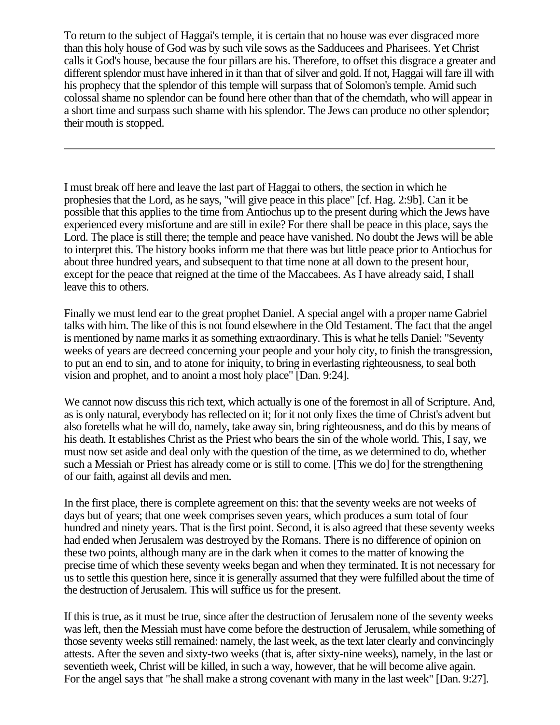To return to the subject of Haggai's temple, it is certain that no house was ever disgraced more than this holy house of God was by such vile sows as the Sadducees and Pharisees. Yet Christ calls it God's house, because the four pillars are his. Therefore, to offset this disgrace a greater and different splendor must have inhered in it than that of silver and gold. If not, Haggai will fare ill with his prophecy that the splendor of this temple will surpass that of Solomon's temple. Amid such colossal shame no splendor can be found here other than that of the chemdath, who will appear in a short time and surpass such shame with his splendor. The Jews can produce no other splendor; their mouth is stopped.

I must break off here and leave the last part of Haggai to others, the section in which he prophesies that the Lord, as he says, "will give peace in this place" [cf. Hag. 2:9b]. Can it be possible that this applies to the time from Antiochus up to the present during which the Jews have experienced every misfortune and are still in exile? For there shall be peace in this place, says the Lord. The place is still there; the temple and peace have vanished. No doubt the Jews will be able to interpret this. The history books inform me that there was but little peace prior to Antiochus for about three hundred years, and subsequent to that time none at all down to the present hour, except for the peace that reigned at the time of the Maccabees. As I have already said, I shall leave this to others.

Finally we must lend ear to the great prophet Daniel. A special angel with a proper name Gabriel talks with him. The like of this is not found elsewhere in the Old Testament. The fact that the angel is mentioned by name marks it as something extraordinary. This is what he tells Daniel: "Seventy weeks of years are decreed concerning your people and your holy city, to finish the transgression, to put an end to sin, and to atone for iniquity, to bring in everlasting righteousness, to seal both vision and prophet, and to anoint a most holy place" [Dan. 9:24].

We cannot now discuss this rich text, which actually is one of the foremost in all of Scripture. And, as is only natural, everybody has reflected on it; for it not only fixes the time of Christ's advent but also foretells what he will do, namely, take away sin, bring righteousness, and do this by means of his death. It establishes Christ as the Priest who bears the sin of the whole world. This, I say, we must now set aside and deal only with the question of the time, as we determined to do, whether such a Messiah or Priest has already come or is still to come. [This we do] for the strengthening of our faith, against all devils and men.

In the first place, there is complete agreement on this: that the seventy weeks are not weeks of days but of years; that one week comprises seven years, which produces a sum total of four hundred and ninety years. That is the first point. Second, it is also agreed that these seventy weeks had ended when Jerusalem was destroyed by the Romans. There is no difference of opinion on these two points, although many are in the dark when it comes to the matter of knowing the precise time of which these seventy weeks began and when they terminated. It is not necessary for us to settle this question here, since it is generally assumed that they were fulfilled about the time of the destruction of Jerusalem. This will suffice us for the present.

If this is true, as it must be true, since after the destruction of Jerusalem none of the seventy weeks was left, then the Messiah must have come before the destruction of Jerusalem, while something of those seventy weeks still remained: namely, the last week, as the text later clearly and convincingly attests. After the seven and sixty-two weeks (that is, after sixty-nine weeks), namely, in the last or seventieth week, Christ will be killed, in such a way, however, that he will become alive again. For the angel says that "he shall make a strong covenant with many in the last week" [Dan. 9:27].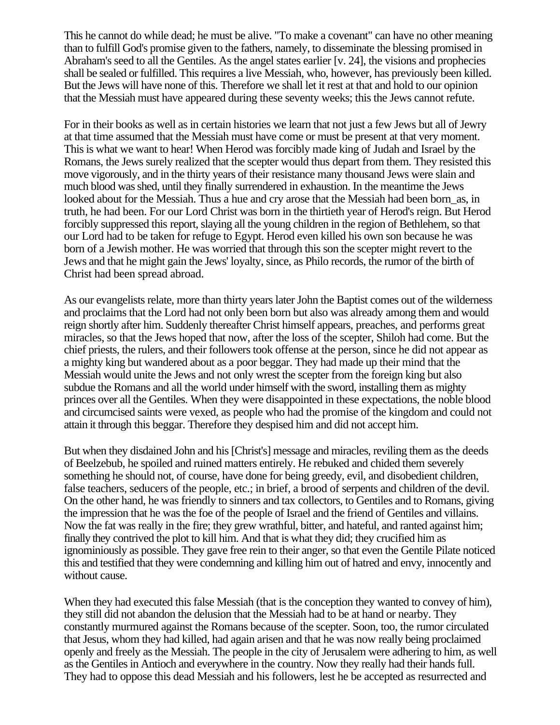This he cannot do while dead; he must be alive. "To make a covenant" can have no other meaning than to fulfill God's promise given to the fathers, namely, to disseminate the blessing promised in Abraham's seed to all the Gentiles. As the angel states earlier [v. 24], the visions and prophecies shall be sealed or fulfilled. This requires a live Messiah, who, however, has previously been killed. But the Jews will have none of this. Therefore we shall let it rest at that and hold to our opinion that the Messiah must have appeared during these seventy weeks; this the Jews cannot refute.

For in their books as well as in certain histories we learn that not just a few Jews but all of Jewry at that time assumed that the Messiah must have come or must be present at that very moment. This is what we want to hear! When Herod was forcibly made king of Judah and Israel by the Romans, the Jews surely realized that the scepter would thus depart from them. They resisted this move vigorously, and in the thirty years of their resistance many thousand Jews were slain and much blood was shed, until they finally surrendered in exhaustion. In the meantime the Jews looked about for the Messiah. Thus a hue and cry arose that the Messiah had been born\_as, in truth, he had been. For our Lord Christ was born in the thirtieth year of Herod's reign. But Herod forcibly suppressed this report, slaying all the young children in the region of Bethlehem, so that our Lord had to be taken for refuge to Egypt. Herod even killed his own son because he was born of a Jewish mother. He was worried that through this son the scepter might revert to the Jews and that he might gain the Jews' loyalty, since, as Philo records, the rumor of the birth of Christ had been spread abroad.

As our evangelists relate, more than thirty years later John the Baptist comes out of the wilderness and proclaims that the Lord had not only been born but also was already among them and would reign shortly after him. Suddenly thereafter Christ himself appears, preaches, and performs great miracles, so that the Jews hoped that now, after the loss of the scepter, Shiloh had come. But the chief priests, the rulers, and their followers took offense at the person, since he did not appear as a mighty king but wandered about as a poor beggar. They had made up their mind that the Messiah would unite the Jews and not only wrest the scepter from the foreign king but also subdue the Romans and all the world under himself with the sword, installing them as mighty princes over all the Gentiles. When they were disappointed in these expectations, the noble blood and circumcised saints were vexed, as people who had the promise of the kingdom and could not attain it through this beggar. Therefore they despised him and did not accept him.

But when they disdained John and his [Christ's] message and miracles, reviling them as the deeds of Beelzebub, he spoiled and ruined matters entirely. He rebuked and chided them severely something he should not, of course, have done for being greedy, evil, and disobedient children, false teachers, seducers of the people, etc.; in brief, a brood of serpents and children of the devil. On the other hand, he was friendly to sinners and tax collectors, to Gentiles and to Romans, giving the impression that he was the foe of the people of Israel and the friend of Gentiles and villains. Now the fat was really in the fire; they grew wrathful, bitter, and hateful, and ranted against him; finally they contrived the plot to kill him. And that is what they did; they crucified him as ignominiously as possible. They gave free rein to their anger, so that even the Gentile Pilate noticed this and testified that they were condemning and killing him out of hatred and envy, innocently and without cause.

When they had executed this false Messiah (that is the conception they wanted to convey of him), they still did not abandon the delusion that the Messiah had to be at hand or nearby. They constantly murmured against the Romans because of the scepter. Soon, too, the rumor circulated that Jesus, whom they had killed, had again arisen and that he was now really being proclaimed openly and freely as the Messiah. The people in the city of Jerusalem were adhering to him, as well as the Gentiles in Antioch and everywhere in the country. Now they really had their hands full. They had to oppose this dead Messiah and his followers, lest he be accepted as resurrected and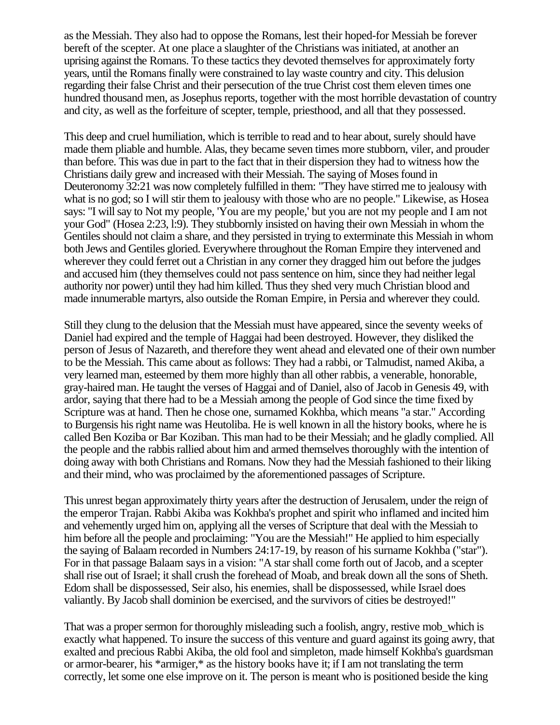as the Messiah. They also had to oppose the Romans, lest their hoped-for Messiah be forever bereft of the scepter. At one place a slaughter of the Christians was initiated, at another an uprising against the Romans. To these tactics they devoted themselves for approximately forty years, until the Romans finally were constrained to lay waste country and city. This delusion regarding their false Christ and their persecution of the true Christ cost them eleven times one hundred thousand men, as Josephus reports, together with the most horrible devastation of country and city, as well as the forfeiture of scepter, temple, priesthood, and all that they possessed.

This deep and cruel humiliation, which is terrible to read and to hear about, surely should have made them pliable and humble. Alas, they became seven times more stubborn, viler, and prouder than before. This was due in part to the fact that in their dispersion they had to witness how the Christians daily grew and increased with their Messiah. The saying of Moses found in Deuteronomy 32:21 was now completely fulfilled in them: "They have stirred me to jealousy with what is no god; so I will stir them to jealousy with those who are no people." Likewise, as Hosea says: "I will say to Not my people, 'You are my people,' but you are not my people and I am not your God" (Hosea 2:23, l:9). They stubbornly insisted on having their own Messiah in whom the Gentiles should not claim a share, and they persisted in trying to exterminate this Messiah in whom both Jews and Gentiles gloried. Everywhere throughout the Roman Empire they intervened and wherever they could ferret out a Christian in any corner they dragged him out before the judges and accused him (they themselves could not pass sentence on him, since they had neither legal authority nor power) until they had him killed. Thus they shed very much Christian blood and made innumerable martyrs, also outside the Roman Empire, in Persia and wherever they could.

Still they clung to the delusion that the Messiah must have appeared, since the seventy weeks of Daniel had expired and the temple of Haggai had been destroyed. However, they disliked the person of Jesus of Nazareth, and therefore they went ahead and elevated one of their own number to be the Messiah. This came about as follows: They had a rabbi, or Talmudist, named Akiba, a very learned man, esteemed by them more highly than all other rabbis, a venerable, honorable, gray-haired man. He taught the verses of Haggai and of Daniel, also of Jacob in Genesis 49, with ardor, saying that there had to be a Messiah among the people of God since the time fixed by Scripture was at hand. Then he chose one, surnamed Kokhba, which means "a star." According to Burgensis his right name was Heutoliba. He is well known in all the history books, where he is called Ben Koziba or Bar Koziban. This man had to be their Messiah; and he gladly complied. All the people and the rabbis rallied about him and armed themselves thoroughly with the intention of doing away with both Christians and Romans. Now they had the Messiah fashioned to their liking and their mind, who was proclaimed by the aforementioned passages of Scripture.

This unrest began approximately thirty years after the destruction of Jerusalem, under the reign of the emperor Trajan. Rabbi Akiba was Kokhba's prophet and spirit who inflamed and incited him and vehemently urged him on, applying all the verses of Scripture that deal with the Messiah to him before all the people and proclaiming: "You are the Messiah!" He applied to him especially the saying of Balaam recorded in Numbers 24:17-19, by reason of his surname Kokhba ("star"). For in that passage Balaam says in a vision: "A star shall come forth out of Jacob, and a scepter shall rise out of Israel; it shall crush the forehead of Moab, and break down all the sons of Sheth. Edom shall be dispossessed, Seir also, his enemies, shall be dispossessed, while Israel does valiantly. By Jacob shall dominion be exercised, and the survivors of cities be destroyed!"

That was a proper sermon for thoroughly misleading such a foolish, angry, restive mob\_which is exactly what happened. To insure the success of this venture and guard against its going awry, that exalted and precious Rabbi Akiba, the old fool and simpleton, made himself Kokhba's guardsman or armor-bearer, his \*armiger,\* as the history books have it; if I am not translating the term correctly, let some one else improve on it. The person is meant who is positioned beside the king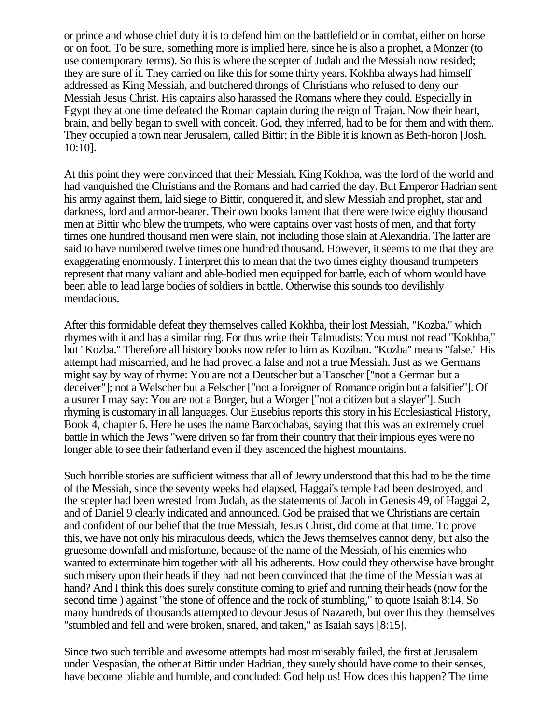or prince and whose chief duty it is to defend him on the battlefield or in combat, either on horse or on foot. To be sure, something more is implied here, since he is also a prophet, a Monzer (to use contemporary terms). So this is where the scepter of Judah and the Messiah now resided; they are sure of it. They carried on like this for some thirty years. Kokhba always had himself addressed as King Messiah, and butchered throngs of Christians who refused to deny our Messiah Jesus Christ. His captains also harassed the Romans where they could. Especially in Egypt they at one time defeated the Roman captain during the reign of Trajan. Now their heart, brain, and belly began to swell with conceit. God, they inferred, had to be for them and with them. They occupied a town near Jerusalem, called Bittir; in the Bible it is known as Beth-horon [Josh. 10:10].

At this point they were convinced that their Messiah, King Kokhba, was the lord of the world and had vanquished the Christians and the Romans and had carried the day. But Emperor Hadrian sent his army against them, laid siege to Bittir, conquered it, and slew Messiah and prophet, star and darkness, lord and armor-bearer. Their own books lament that there were twice eighty thousand men at Bittir who blew the trumpets, who were captains over vast hosts of men, and that forty times one hundred thousand men were slain, not including those slain at Alexandria. The latter are said to have numbered twelve times one hundred thousand. However, it seems to me that they are exaggerating enormously. I interpret this to mean that the two times eighty thousand trumpeters represent that many valiant and able-bodied men equipped for battle, each of whom would have been able to lead large bodies of soldiers in battle. Otherwise this sounds too devilishly mendacious.

After this formidable defeat they themselves called Kokhba, their lost Messiah, "Kozba," which rhymes with it and has a similar ring. For thus write their Talmudists: You must not read "Kokhba," but "Kozba." Therefore all history books now refer to him as Koziban. "Kozba" means "false." His attempt had miscarried, and he had proved a false and not a true Messiah. Just as we Germans might say by way of rhyme: You are not a Deutscher but a Taoscher ["not a German but a deceiver"]; not a Welscher but a Felscher ["not a foreigner of Romance origin but a falsifier"]. Of a usurer I may say: You are not a Borger, but a Worger ["not a citizen but a slayer"]. Such rhyming is customary in all languages. Our Eusebius reports this story in his Ecclesiastical History, Book 4, chapter 6. Here he uses the name Barcochabas, saying that this was an extremely cruel battle in which the Jews "were driven so far from their country that their impious eyes were no longer able to see their fatherland even if they ascended the highest mountains.

Such horrible stories are sufficient witness that all of Jewry understood that this had to be the time of the Messiah, since the seventy weeks had elapsed, Haggai's temple had been destroyed, and the scepter had been wrested from Judah, as the statements of Jacob in Genesis 49, of Haggai 2, and of Daniel 9 clearly indicated and announced. God be praised that we Christians are certain and confident of our belief that the true Messiah, Jesus Christ, did come at that time. To prove this, we have not only his miraculous deeds, which the Jews themselves cannot deny, but also the gruesome downfall and misfortune, because of the name of the Messiah, of his enemies who wanted to exterminate him together with all his adherents. How could they otherwise have brought such misery upon their heads if they had not been convinced that the time of the Messiah was at hand? And I think this does surely constitute coming to grief and running their heads (now for the second time ) against "the stone of offence and the rock of stumbling," to quote Isaiah 8:14. So many hundreds of thousands attempted to devour Jesus of Nazareth, but over this they themselves "stumbled and fell and were broken, snared, and taken," as Isaiah says [8:15].

Since two such terrible and awesome attempts had most miserably failed, the first at Jerusalem under Vespasian, the other at Bittir under Hadrian, they surely should have come to their senses, have become pliable and humble, and concluded: God help us! How does this happen? The time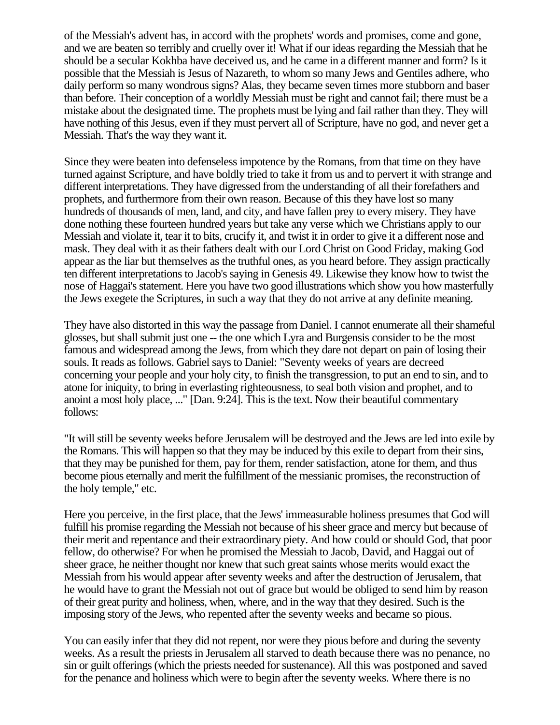of the Messiah's advent has, in accord with the prophets' words and promises, come and gone, and we are beaten so terribly and cruelly over it! What if our ideas regarding the Messiah that he should be a secular Kokhba have deceived us, and he came in a different manner and form? Is it possible that the Messiah is Jesus of Nazareth, to whom so many Jews and Gentiles adhere, who daily perform so many wondrous signs? Alas, they became seven times more stubborn and baser than before. Their conception of a worldly Messiah must be right and cannot fail; there must be a mistake about the designated time. The prophets must be lying and fail rather than they. They will have nothing of this Jesus, even if they must pervert all of Scripture, have no god, and never get a Messiah. That's the way they want it.

Since they were beaten into defenseless impotence by the Romans, from that time on they have turned against Scripture, and have boldly tried to take it from us and to pervert it with strange and different interpretations. They have digressed from the understanding of all their forefathers and prophets, and furthermore from their own reason. Because of this they have lost so many hundreds of thousands of men, land, and city, and have fallen prey to every misery. They have done nothing these fourteen hundred years but take any verse which we Christians apply to our Messiah and violate it, tear it to bits, crucify it, and twist it in order to give it a different nose and mask. They deal with it as their fathers dealt with our Lord Christ on Good Friday, making God appear as the liar but themselves as the truthful ones, as you heard before. They assign practically ten different interpretations to Jacob's saying in Genesis 49. Likewise they know how to twist the nose of Haggai's statement. Here you have two good illustrations which show you how masterfully the Jews exegete the Scriptures, in such a way that they do not arrive at any definite meaning.

They have also distorted in this way the passage from Daniel. I cannot enumerate all their shameful glosses, but shall submit just one -- the one which Lyra and Burgensis consider to be the most famous and widespread among the Jews, from which they dare not depart on pain of losing their souls. It reads as follows. Gabriel says to Daniel: "Seventy weeks of years are decreed concerning your people and your holy city, to finish the transgression, to put an end to sin, and to atone for iniquity, to bring in everlasting righteousness, to seal both vision and prophet, and to anoint a most holy place, ..." [Dan. 9:24]. This is the text. Now their beautiful commentary follows:

"It will still be seventy weeks before Jerusalem will be destroyed and the Jews are led into exile by the Romans. This will happen so that they may be induced by this exile to depart from their sins, that they may be punished for them, pay for them, render satisfaction, atone for them, and thus become pious eternally and merit the fulfillment of the messianic promises, the reconstruction of the holy temple," etc.

Here you perceive, in the first place, that the Jews' immeasurable holiness presumes that God will fulfill his promise regarding the Messiah not because of his sheer grace and mercy but because of their merit and repentance and their extraordinary piety. And how could or should God, that poor fellow, do otherwise? For when he promised the Messiah to Jacob, David, and Haggai out of sheer grace, he neither thought nor knew that such great saints whose merits would exact the Messiah from his would appear after seventy weeks and after the destruction of Jerusalem, that he would have to grant the Messiah not out of grace but would be obliged to send him by reason of their great purity and holiness, when, where, and in the way that they desired. Such is the imposing story of the Jews, who repented after the seventy weeks and became so pious.

You can easily infer that they did not repent, nor were they pious before and during the seventy weeks. As a result the priests in Jerusalem all starved to death because there was no penance, no sin or guilt offerings (which the priests needed for sustenance). All this was postponed and saved for the penance and holiness which were to begin after the seventy weeks. Where there is no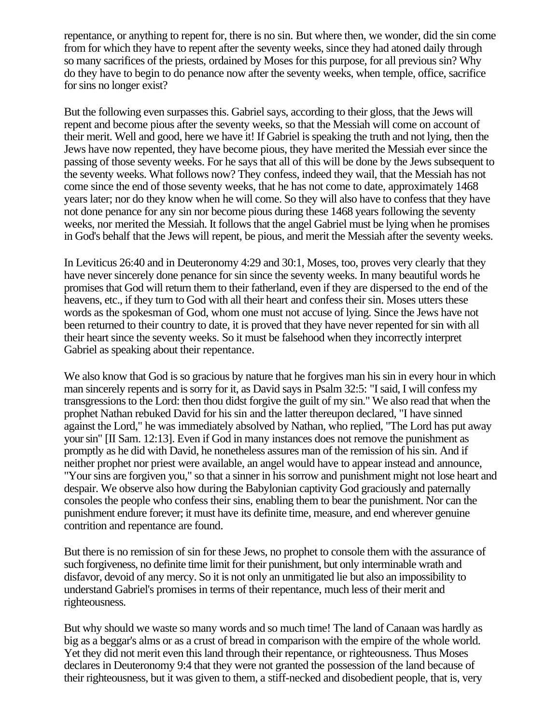repentance, or anything to repent for, there is no sin. But where then, we wonder, did the sin come from for which they have to repent after the seventy weeks, since they had atoned daily through so many sacrifices of the priests, ordained by Moses for this purpose, for all previous sin? Why do they have to begin to do penance now after the seventy weeks, when temple, office, sacrifice for sins no longer exist?

But the following even surpasses this. Gabriel says, according to their gloss, that the Jews will repent and become pious after the seventy weeks, so that the Messiah will come on account of their merit. Well and good, here we have it! If Gabriel is speaking the truth and not lying, then the Jews have now repented, they have become pious, they have merited the Messiah ever since the passing of those seventy weeks. For he says that all of this will be done by the Jews subsequent to the seventy weeks. What follows now? They confess, indeed they wail, that the Messiah has not come since the end of those seventy weeks, that he has not come to date, approximately 1468 years later; nor do they know when he will come. So they will also have to confess that they have not done penance for any sin nor become pious during these 1468 years following the seventy weeks, nor merited the Messiah. It follows that the angel Gabriel must be lying when he promises in God's behalf that the Jews will repent, be pious, and merit the Messiah after the seventy weeks.

In Leviticus 26:40 and in Deuteronomy 4:29 and 30:1, Moses, too, proves very clearly that they have never sincerely done penance for sin since the seventy weeks. In many beautiful words he promises that God will return them to their fatherland, even if they are dispersed to the end of the heavens, etc., if they turn to God with all their heart and confess their sin. Moses utters these words as the spokesman of God, whom one must not accuse of lying. Since the Jews have not been returned to their country to date, it is proved that they have never repented for sin with all their heart since the seventy weeks. So it must be falsehood when they incorrectly interpret Gabriel as speaking about their repentance.

We also know that God is so gracious by nature that he forgives man his sin in every hour in which man sincerely repents and is sorry for it, as David says in Psalm 32:5: "I said, I will confess my transgressions to the Lord: then thou didst forgive the guilt of my sin." We also read that when the prophet Nathan rebuked David for his sin and the latter thereupon declared, "I have sinned against the Lord," he was immediately absolved by Nathan, who replied, "The Lord has put away your sin" [II Sam. 12:13]. Even if God in many instances does not remove the punishment as promptly as he did with David, he nonetheless assures man of the remission of his sin. And if neither prophet nor priest were available, an angel would have to appear instead and announce, "Your sins are forgiven you," so that a sinner in his sorrow and punishment might not lose heart and despair. We observe also how during the Babylonian captivity God graciously and paternally consoles the people who confess their sins, enabling them to bear the punishment. Nor can the punishment endure forever; it must have its definite time, measure, and end wherever genuine contrition and repentance are found.

But there is no remission of sin for these Jews, no prophet to console them with the assurance of such forgiveness, no definite time limit for their punishment, but only interminable wrath and disfavor, devoid of any mercy. So it is not only an unmitigated lie but also an impossibility to understand Gabriel's promises in terms of their repentance, much less of their merit and righteousness.

But why should we waste so many words and so much time! The land of Canaan was hardly as big as a beggar's alms or as a crust of bread in comparison with the empire of the whole world. Yet they did not merit even this land through their repentance, or righteousness. Thus Moses declares in Deuteronomy 9:4 that they were not granted the possession of the land because of their righteousness, but it was given to them, a stiff-necked and disobedient people, that is, very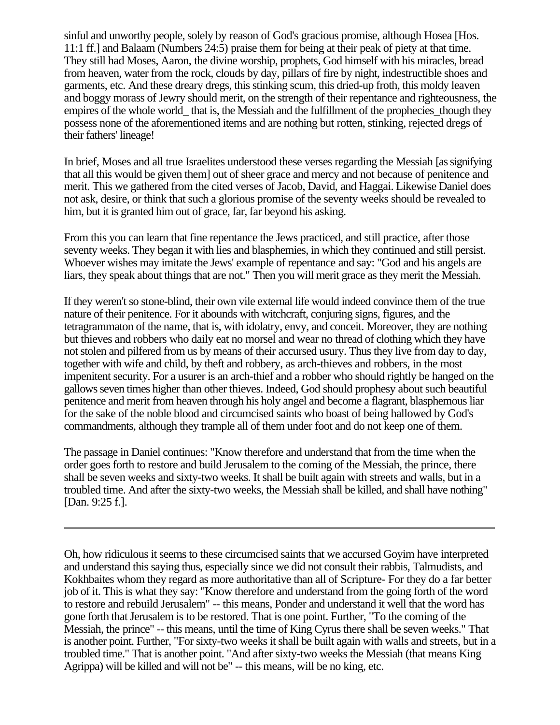sinful and unworthy people, solely by reason of God's gracious promise, although Hosea [Hos. 11:1 ff.] and Balaam (Numbers 24:5) praise them for being at their peak of piety at that time. They still had Moses, Aaron, the divine worship, prophets, God himself with his miracles, bread from heaven, water from the rock, clouds by day, pillars of fire by night, indestructible shoes and garments, etc. And these dreary dregs, this stinking scum, this dried-up froth, this moldy leaven and boggy morass of Jewry should merit, on the strength of their repentance and righteousness, the empires of the whole world\_ that is, the Messiah and the fulfillment of the prophecies\_though they possess none of the aforementioned items and are nothing but rotten, stinking, rejected dregs of their fathers' lineage!

In brief, Moses and all true Israelites understood these verses regarding the Messiah [as signifying that all this would be given them] out of sheer grace and mercy and not because of penitence and merit. This we gathered from the cited verses of Jacob, David, and Haggai. Likewise Daniel does not ask, desire, or think that such a glorious promise of the seventy weeks should be revealed to him, but it is granted him out of grace, far, far beyond his asking.

From this you can learn that fine repentance the Jews practiced, and still practice, after those seventy weeks. They began it with lies and blasphemies, in which they continued and still persist. Whoever wishes may imitate the Jews' example of repentance and say: "God and his angels are liars, they speak about things that are not." Then you will merit grace as they merit the Messiah.

If they weren't so stone-blind, their own vile external life would indeed convince them of the true nature of their penitence. For it abounds with witchcraft, conjuring signs, figures, and the tetragrammaton of the name, that is, with idolatry, envy, and conceit. Moreover, they are nothing but thieves and robbers who daily eat no morsel and wear no thread of clothing which they have not stolen and pilfered from us by means of their accursed usury. Thus they live from day to day, together with wife and child, by theft and robbery, as arch-thieves and robbers, in the most impenitent security. For a usurer is an arch-thief and a robber who should rightly be hanged on the gallows seven times higher than other thieves. Indeed, God should prophesy about such beautiful penitence and merit from heaven through his holy angel and become a flagrant, blasphemous liar for the sake of the noble blood and circumcised saints who boast of being hallowed by God's commandments, although they trample all of them under foot and do not keep one of them.

The passage in Daniel continues: "Know therefore and understand that from the time when the order goes forth to restore and build Jerusalem to the coming of the Messiah, the prince, there shall be seven weeks and sixty-two weeks. It shall be built again with streets and walls, but in a troubled time. And after the sixty-two weeks, the Messiah shall be killed, and shall have nothing" [Dan. 9:25 f.].

Oh, how ridiculous it seems to these circumcised saints that we accursed Goyim have interpreted and understand this saying thus, especially since we did not consult their rabbis, Talmudists, and Kokhbaites whom they regard as more authoritative than all of Scripture- For they do a far better job of it. This is what they say: "Know therefore and understand from the going forth of the word to restore and rebuild Jerusalem" -- this means, Ponder and understand it well that the word has gone forth that Jerusalem is to be restored. That is one point. Further, "To the coming of the Messiah, the prince" -- this means, until the time of King Cyrus there shall be seven weeks." That is another point. Further, "For sixty-two weeks it shall be built again with walls and streets, but in a troubled time." That is another point. "And after sixty-two weeks the Messiah (that means King Agrippa) will be killed and will not be" -- this means, will be no king, etc.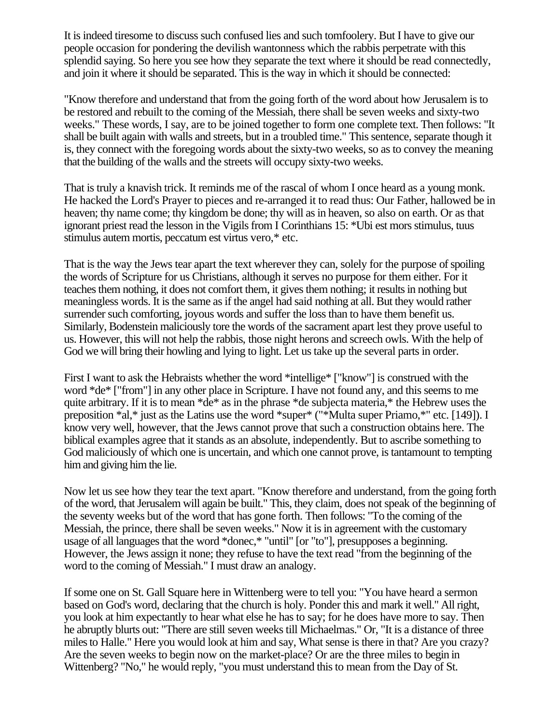It is indeed tiresome to discuss such confused lies and such tomfoolery. But I have to give our people occasion for pondering the devilish wantonness which the rabbis perpetrate with this splendid saying. So here you see how they separate the text where it should be read connectedly, and join it where it should be separated. This is the way in which it should be connected:

"Know therefore and understand that from the going forth of the word about how Jerusalem is to be restored and rebuilt to the coming of the Messiah, there shall be seven weeks and sixty-two weeks." These words, I say, are to be joined together to form one complete text. Then follows: "It shall be built again with walls and streets, but in a troubled time." This sentence, separate though it is, they connect with the foregoing words about the sixty-two weeks, so as to convey the meaning that the building of the walls and the streets will occupy sixty-two weeks.

That is truly a knavish trick. It reminds me of the rascal of whom I once heard as a young monk. He hacked the Lord's Prayer to pieces and re-arranged it to read thus: Our Father, hallowed be in heaven; thy name come; thy kingdom be done; thy will as in heaven, so also on earth. Or as that ignorant priest read the lesson in the Vigils from I Corinthians 15: \*Ubi est mors stimulus, tuus stimulus autem mortis, peccatum est virtus vero,\* etc.

That is the way the Jews tear apart the text wherever they can, solely for the purpose of spoiling the words of Scripture for us Christians, although it serves no purpose for them either. For it teaches them nothing, it does not comfort them, it gives them nothing; it results in nothing but meaningless words. It is the same as if the angel had said nothing at all. But they would rather surrender such comforting, joyous words and suffer the loss than to have them benefit us. Similarly, Bodenstein maliciously tore the words of the sacrament apart lest they prove useful to us. However, this will not help the rabbis, those night herons and screech owls. With the help of God we will bring their howling and lying to light. Let us take up the several parts in order.

First I want to ask the Hebraists whether the word \*intellige\* ["know"] is construed with the word \*de\* ["from"] in any other place in Scripture. I have not found any, and this seems to me quite arbitrary. If it is to mean \*de\* as in the phrase \*de subjecta materia,\* the Hebrew uses the preposition \*al,\* just as the Latins use the word \*super\* ("\*Multa super Priamo,\*" etc. [149]). I know very well, however, that the Jews cannot prove that such a construction obtains here. The biblical examples agree that it stands as an absolute, independently. But to ascribe something to God maliciously of which one is uncertain, and which one cannot prove, is tantamount to tempting him and giving him the lie.

Now let us see how they tear the text apart. "Know therefore and understand, from the going forth of the word, that Jerusalem will again be built." This, they claim, does not speak of the beginning of the seventy weeks but of the word that has gone forth. Then follows: "To the coming of the Messiah, the prince, there shall be seven weeks." Now it is in agreement with the customary usage of all languages that the word \*donec,\* "until" [or "to"], presupposes a beginning. However, the Jews assign it none; they refuse to have the text read "from the beginning of the word to the coming of Messiah." I must draw an analogy.

If some one on St. Gall Square here in Wittenberg were to tell you: "You have heard a sermon based on God's word, declaring that the church is holy. Ponder this and mark it well." All right, you look at him expectantly to hear what else he has to say; for he does have more to say. Then he abruptly blurts out: "There are still seven weeks till Michaelmas." Or, "It is a distance of three miles to Halle." Here you would look at him and say, What sense is there in that? Are you crazy? Are the seven weeks to begin now on the market-place? Or are the three miles to begin in Wittenberg? "No," he would reply, "you must understand this to mean from the Day of St.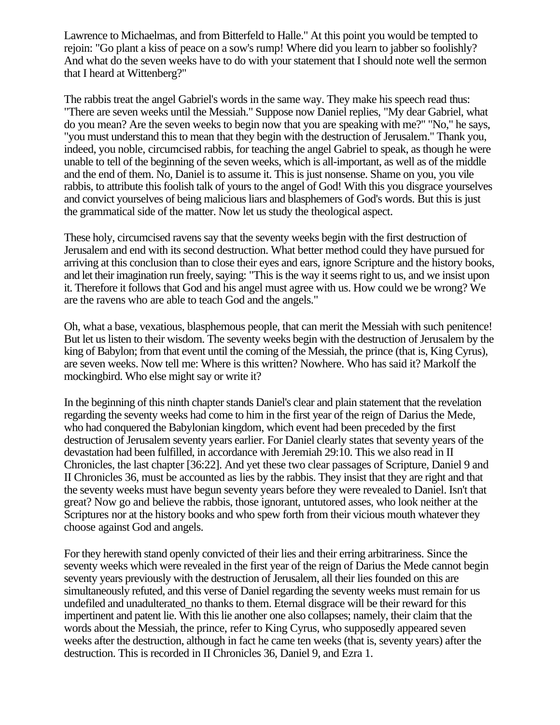Lawrence to Michaelmas, and from Bitterfeld to Halle." At this point you would be tempted to rejoin: "Go plant a kiss of peace on a sow's rump! Where did you learn to jabber so foolishly? And what do the seven weeks have to do with your statement that I should note well the sermon that I heard at Wittenberg?"

The rabbis treat the angel Gabriel's words in the same way. They make his speech read thus: "There are seven weeks until the Messiah." Suppose now Daniel replies, "My dear Gabriel, what do you mean? Are the seven weeks to begin now that you are speaking with me?" "No," he says, "you must understand this to mean that they begin with the destruction of Jerusalem." Thank you, indeed, you noble, circumcised rabbis, for teaching the angel Gabriel to speak, as though he were unable to tell of the beginning of the seven weeks, which is all-important, as well as of the middle and the end of them. No, Daniel is to assume it. This is just nonsense. Shame on you, you vile rabbis, to attribute this foolish talk of yours to the angel of God! With this you disgrace yourselves and convict yourselves of being malicious liars and blasphemers of God's words. But this is just the grammatical side of the matter. Now let us study the theological aspect.

These holy, circumcised ravens say that the seventy weeks begin with the first destruction of Jerusalem and end with its second destruction. What better method could they have pursued for arriving at this conclusion than to close their eyes and ears, ignore Scripture and the history books, and let their imagination run freely, saying: "This is the way it seems right to us, and we insist upon it. Therefore it follows that God and his angel must agree with us. How could we be wrong? We are the ravens who are able to teach God and the angels."

Oh, what a base, vexatious, blasphemous people, that can merit the Messiah with such penitence! But let us listen to their wisdom. The seventy weeks begin with the destruction of Jerusalem by the king of Babylon; from that event until the coming of the Messiah, the prince (that is, King Cyrus), are seven weeks. Now tell me: Where is this written? Nowhere. Who has said it? Markolf the mockingbird. Who else might say or write it?

In the beginning of this ninth chapter stands Daniel's clear and plain statement that the revelation regarding the seventy weeks had come to him in the first year of the reign of Darius the Mede, who had conquered the Babylonian kingdom, which event had been preceded by the first destruction of Jerusalem seventy years earlier. For Daniel clearly states that seventy years of the devastation had been fulfilled, in accordance with Jeremiah 29:10. This we also read in II Chronicles, the last chapter [36:22]. And yet these two clear passages of Scripture, Daniel 9 and II Chronicles 36, must be accounted as lies by the rabbis. They insist that they are right and that the seventy weeks must have begun seventy years before they were revealed to Daniel. Isn't that great? Now go and believe the rabbis, those ignorant, untutored asses, who look neither at the Scriptures nor at the history books and who spew forth from their vicious mouth whatever they choose against God and angels.

For they herewith stand openly convicted of their lies and their erring arbitrariness. Since the seventy weeks which were revealed in the first year of the reign of Darius the Mede cannot begin seventy years previously with the destruction of Jerusalem, all their lies founded on this are simultaneously refuted, and this verse of Daniel regarding the seventy weeks must remain for us undefiled and unadulterated\_no thanks to them. Eternal disgrace will be their reward for this impertinent and patent lie. With this lie another one also collapses; namely, their claim that the words about the Messiah, the prince, refer to King Cyrus, who supposedly appeared seven weeks after the destruction, although in fact he came ten weeks (that is, seventy years) after the destruction. This is recorded in II Chronicles 36, Daniel 9, and Ezra 1.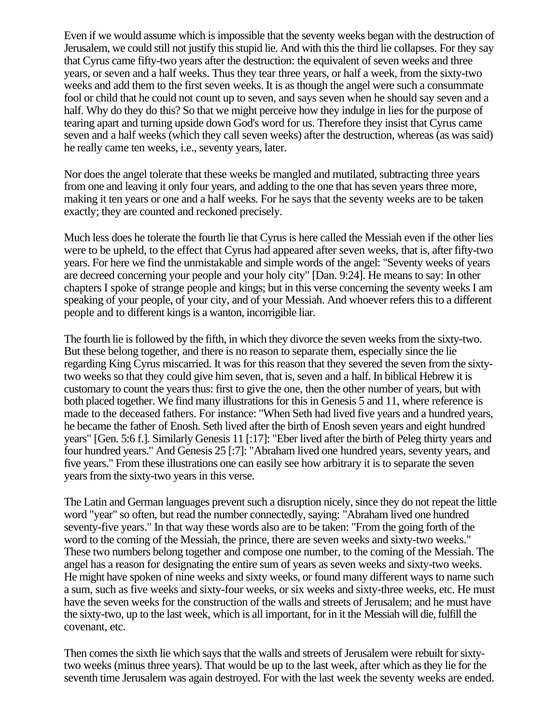Even if we would assume which is impossible that the seventy weeks began with the destruction of Jerusalem, we could still not justify this stupid lie. And with this the third lie collapses. For they say that Cyrus came fifty-two years after the destruction: the equivalent of seven weeks and three years, or seven and a half weeks. Thus they tear three years, or half a week, from the sixty-two weeks and add them to the first seven weeks. It is as though the angel were such a consummate fool or child that he could not count up to seven, and says seven when he should say seven and a half. Why do they do this? So that we might perceive how they indulge in lies for the purpose of tearing apart and turning upside down God's word for us. Therefore they insist that Cyrus came seven and a half weeks (which they call seven weeks) after the destruction, whereas (as was said) he really came ten weeks, i.e., seventy years, later.

Nor does the angel tolerate that these weeks be mangled and mutilated, subtracting three years from one and leaving it only four years, and adding to the one that has seven years three more, making it ten years or one and a half weeks. For he says that the seventy weeks are to be taken exactly; they are counted and reckoned precisely.

Much less does he tolerate the fourth lie that Cyrus is here called the Messiah even if the other lies were to be upheld, to the effect that Cyrus had appeared after seven weeks, that is, after fifty-two years. For here we find the unmistakable and simple words of the angel: "Seventy weeks of years are decreed concerning your people and your holy city" [Dan. 9:24]. He means to say: In other chapters I spoke of strange people and kings; but in this verse concerning the seventy weeks I am speaking of your people, of your city, and of your Messiah. And whoever refers this to a different people and to different kings is a wanton, incorrigible liar.

The fourth lie is followed by the fifth, in which they divorce the seven weeks from the sixty-two. But these belong together, and there is no reason to separate them, especially since the lie regarding King Cyrus miscarried. It was for this reason that they severed the seven from the sixtytwo weeks so that they could give him seven, that is, seven and a half. In biblical Hebrew it is customary to count the years thus: first to give the one, then the other number of years, but with both placed together. We find many illustrations for this in Genesis 5 and 11, where reference is made to the deceased fathers. For instance: "When Seth had lived five years and a hundred years, he became the father of Enosh. Seth lived after the birth of Enosh seven years and eight hundred years" [Gen. 5:6 f.]. Similarly Genesis 11 [:17]: "Eber lived after the birth of Peleg thirty years and four hundred years." And Genesis 25 [:7]: "Abraham lived one hundred years, seventy years, and five years." From these illustrations one can easily see how arbitrary it is to separate the seven years from the sixty-two years in this verse.

The Latin and German languages prevent such a disruption nicely, since they do not repeat the little word "year" so often, but read the number connectedly, saying: "Abraham lived one hundred seventy-five years." In that way these words also are to be taken: "From the going forth of the word to the coming of the Messiah, the prince, there are seven weeks and sixty-two weeks." These two numbers belong together and compose one number, to the coming of the Messiah. The angel has a reason for designating the entire sum of years as seven weeks and sixty-two weeks. He might have spoken of nine weeks and sixty weeks, or found many different ways to name such a sum, such as five weeks and sixty-four weeks, or six weeks and sixty-three weeks, etc. He must have the seven weeks for the construction of the walls and streets of Jerusalem; and he must have the sixty-two, up to the last week, which is all important, for in it the Messiah will die, fulfill the covenant, etc.

Then comes the sixth lie which says that the walls and streets of Jerusalem were rebuilt for sixtytwo weeks (minus three years). That would be up to the last week, after which as they lie for the seventh time Jerusalem was again destroyed. For with the last week the seventy weeks are ended.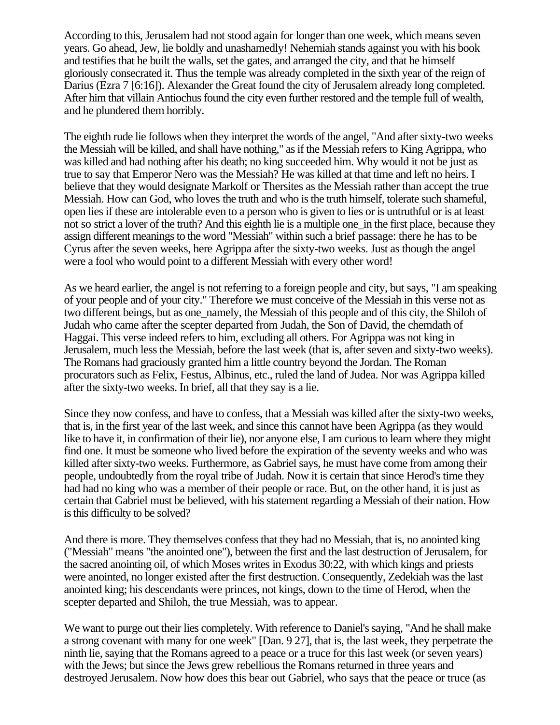According to this, Jerusalem had not stood again for longer than one week, which means seven years. Go ahead, Jew, lie boldly and unashamedly! Nehemiah stands against you with his book and testifies that he built the walls, set the gates, and arranged the city, and that he himself gloriously consecrated it. Thus the temple was already completed in the sixth year of the reign of Darius (Ezra 7 [6:16]). Alexander the Great found the city of Jerusalem already long completed. After him that villain Antiochus found the city even further restored and the temple full of wealth, and he plundered them horribly.

The eighth rude lie follows when they interpret the words of the angel, "And after sixty-two weeks the Messiah will be killed, and shall have nothing," as if the Messiah refers to King Agrippa, who was killed and had nothing after his death; no king succeeded him. Why would it not be just as true to say that Emperor Nero was the Messiah? He was killed at that time and left no heirs. I believe that they would designate Markolf or Thersites as the Messiah rather than accept the true Messiah. How can God, who loves the truth and who is the truth himself, tolerate such shameful, open lies if these are intolerable even to a person who is given to lies or is untruthful or is at least not so strict a lover of the truth? And this eighth lie is a multiple one\_in the first place, because they assign different meanings to the word "Messiah" within such a brief passage: there he has to be Cyrus after the seven weeks, here Agrippa after the sixty-two weeks. Just as though the angel were a fool who would point to a different Messiah with every other word!

As we heard earlier, the angel is not referring to a foreign people and city, but says, "I am speaking of your people and of your city." Therefore we must conceive of the Messiah in this verse not as two different beings, but as one\_namely, the Messiah of this people and of this city, the Shiloh of Judah who came after the scepter departed from Judah, the Son of David, the chemdath of Haggai. This verse indeed refers to him, excluding all others. For Agrippa was not king in Jerusalem, much less the Messiah, before the last week (that is, after seven and sixty-two weeks). The Romans had graciously granted him a little country beyond the Jordan. The Roman procurators such as Felix, Festus, Albinus, etc., ruled the land of Judea. Nor was Agrippa killed after the sixty-two weeks. In brief, all that they say is a lie.

Since they now confess, and have to confess, that a Messiah was killed after the sixty-two weeks, that is, in the first year of the last week, and since this cannot have been Agrippa (as they would like to have it, in confirmation of their lie), nor anyone else, I am curious to learn where they might find one. It must be someone who lived before the expiration of the seventy weeks and who was killed after sixty-two weeks. Furthermore, as Gabriel says, he must have come from among their people, undoubtedly from the royal tribe of Judah. Now it is certain that since Herod's time they had had no king who was a member of their people or race. But, on the other hand, it is just as certain that Gabriel must be believed, with his statement regarding a Messiah of their nation. How is this difficulty to be solved?

And there is more. They themselves confess that they had no Messiah, that is, no anointed king ("Messiah" means "the anointed one"), between the first and the last destruction of Jerusalem, for the sacred anointing oil, of which Moses writes in Exodus 30:22, with which kings and priests were anointed, no longer existed after the first destruction. Consequently, Zedekiah was the last anointed king; his descendants were princes, not kings, down to the time of Herod, when the scepter departed and Shiloh, the true Messiah, was to appear.

We want to purge out their lies completely. With reference to Daniel's saying, "And he shall make a strong covenant with many for one week" [Dan. 9 27], that is, the last week, they perpetrate the ninth lie, saying that the Romans agreed to a peace or a truce for this last week (or seven years) with the Jews; but since the Jews grew rebellious the Romans returned in three years and destroyed Jerusalem. Now how does this bear out Gabriel, who says that the peace or truce (as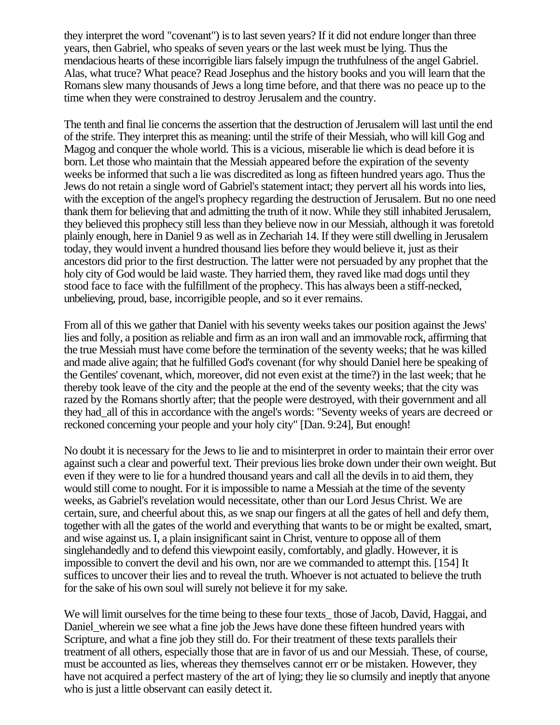they interpret the word "covenant") is to last seven years? If it did not endure longer than three years, then Gabriel, who speaks of seven years or the last week must be lying. Thus the mendacious hearts of these incorrigible liars falsely impugn the truthfulness of the angel Gabriel. Alas, what truce? What peace? Read Josephus and the history books and you will learn that the Romans slew many thousands of Jews a long time before, and that there was no peace up to the time when they were constrained to destroy Jerusalem and the country.

The tenth and final lie concerns the assertion that the destruction of Jerusalem will last until the end of the strife. They interpret this as meaning: until the strife of their Messiah, who will kill Gog and Magog and conquer the whole world. This is a vicious, miserable lie which is dead before it is born. Let those who maintain that the Messiah appeared before the expiration of the seventy weeks be informed that such a lie was discredited as long as fifteen hundred years ago. Thus the Jews do not retain a single word of Gabriel's statement intact; they pervert all his words into lies, with the exception of the angel's prophecy regarding the destruction of Jerusalem. But no one need thank them for believing that and admitting the truth of it now. While they still inhabited Jerusalem, they believed this prophecy still less than they believe now in our Messiah, although it was foretold plainly enough, here in Daniel 9 as well as in Zechariah 14. If they were still dwelling in Jerusalem today, they would invent a hundred thousand lies before they would believe it, just as their ancestors did prior to the first destruction. The latter were not persuaded by any prophet that the holy city of God would be laid waste. They harried them, they raved like mad dogs until they stood face to face with the fulfillment of the prophecy. This has always been a stiff-necked, unbelieving, proud, base, incorrigible people, and so it ever remains.

From all of this we gather that Daniel with his seventy weeks takes our position against the Jews' lies and folly, a position as reliable and firm as an iron wall and an immovable rock, affirming that the true Messiah must have come before the termination of the seventy weeks; that he was killed and made alive again; that he fulfilled God's covenant (for why should Daniel here be speaking of the Gentiles' covenant, which, moreover, did not even exist at the time?) in the last week; that he thereby took leave of the city and the people at the end of the seventy weeks; that the city was razed by the Romans shortly after; that the people were destroyed, with their government and all they had\_all of this in accordance with the angel's words: "Seventy weeks of years are decreed or reckoned concerning your people and your holy city" [Dan. 9:24], But enough!

No doubt it is necessary for the Jews to lie and to misinterpret in order to maintain their error over against such a clear and powerful text. Their previous lies broke down under their own weight. But even if they were to lie for a hundred thousand years and call all the devils in to aid them, they would still come to nought. For it is impossible to name a Messiah at the time of the seventy weeks, as Gabriel's revelation would necessitate, other than our Lord Jesus Christ. We are certain, sure, and cheerful about this, as we snap our fingers at all the gates of hell and defy them, together with all the gates of the world and everything that wants to be or might be exalted, smart, and wise against us. I, a plain insignificant saint in Christ, venture to oppose all of them singlehandedly and to defend this viewpoint easily, comfortably, and gladly. However, it is impossible to convert the devil and his own, nor are we commanded to attempt this. [154] It suffices to uncover their lies and to reveal the truth. Whoever is not actuated to believe the truth for the sake of his own soul will surely not believe it for my sake.

We will limit ourselves for the time being to these four texts\_those of Jacob, David, Haggai, and Daniel\_wherein we see what a fine job the Jews have done these fifteen hundred years with Scripture, and what a fine job they still do. For their treatment of these texts parallels their treatment of all others, especially those that are in favor of us and our Messiah. These, of course, must be accounted as lies, whereas they themselves cannot err or be mistaken. However, they have not acquired a perfect mastery of the art of lying; they lie so clumsily and ineptly that anyone who is just a little observant can easily detect it.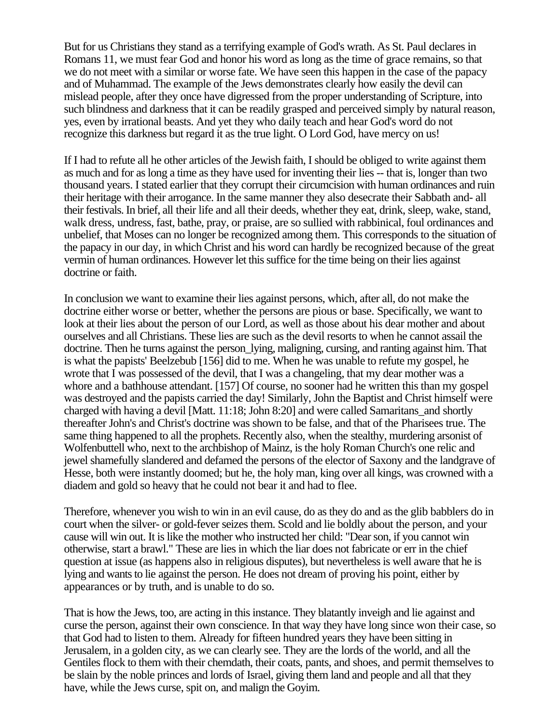But for us Christians they stand as a terrifying example of God's wrath. As St. Paul declares in Romans 11, we must fear God and honor his word as long as the time of grace remains, so that we do not meet with a similar or worse fate. We have seen this happen in the case of the papacy and of Muhammad. The example of the Jews demonstrates clearly how easily the devil can mislead people, after they once have digressed from the proper understanding of Scripture, into such blindness and darkness that it can be readily grasped and perceived simply by natural reason, yes, even by irrational beasts. And yet they who daily teach and hear God's word do not recognize this darkness but regard it as the true light. O Lord God, have mercy on us!

If I had to refute all he other articles of the Jewish faith, I should be obliged to write against them as much and for as long a time as they have used for inventing their lies -- that is, longer than two thousand years. I stated earlier that they corrupt their circumcision with human ordinances and ruin their heritage with their arrogance. In the same manner they also desecrate their Sabbath and- all their festivals. In brief, all their life and all their deeds, whether they eat, drink, sleep, wake, stand, walk dress, undress, fast, bathe, pray, or praise, are so sullied with rabbinical, foul ordinances and unbelief, that Moses can no longer be recognized among them. This corresponds to the situation of the papacy in our day, in which Christ and his word can hardly be recognized because of the great vermin of human ordinances. However let this suffice for the time being on their lies against doctrine or faith.

In conclusion we want to examine their lies against persons, which, after all, do not make the doctrine either worse or better, whether the persons are pious or base. Specifically, we want to look at their lies about the person of our Lord, as well as those about his dear mother and about ourselves and all Christians. These lies are such as the devil resorts to when he cannot assail the doctrine. Then he turns against the person [ving, maligning, cursing, and ranting against him. That is what the papists' Beelzebub [156] did to me. When he was unable to refute my gospel, he wrote that I was possessed of the devil, that I was a changeling, that my dear mother was a whore and a bathhouse attendant. [157] Of course, no sooner had he written this than my gospel was destroyed and the papists carried the day! Similarly, John the Baptist and Christ himself were charged with having a devil [Matt. 11:18; John 8:20] and were called Samaritans\_and shortly thereafter John's and Christ's doctrine was shown to be false, and that of the Pharisees true. The same thing happened to all the prophets. Recently also, when the stealthy, murdering arsonist of Wolfenbuttell who, next to the archbishop of Mainz, is the holy Roman Church's one relic and jewel shamefully slandered and defamed the persons of the elector of Saxony and the landgrave of Hesse, both were instantly doomed; but he, the holy man, king over all kings, was crowned with a diadem and gold so heavy that he could not bear it and had to flee.

Therefore, whenever you wish to win in an evil cause, do as they do and as the glib babblers do in court when the silver- or gold-fever seizes them. Scold and lie boldly about the person, and your cause will win out. It is like the mother who instructed her child: "Dear son, if you cannot win otherwise, start a brawl." These are lies in which the liar does not fabricate or err in the chief question at issue (as happens also in religious disputes), but nevertheless is well aware that he is lying and wants to lie against the person. He does not dream of proving his point, either by appearances or by truth, and is unable to do so.

That is how the Jews, too, are acting in this instance. They blatantly inveigh and lie against and curse the person, against their own conscience. In that way they have long since won their case, so that God had to listen to them. Already for fifteen hundred years they have been sitting in Jerusalem, in a golden city, as we can clearly see. They are the lords of the world, and all the Gentiles flock to them with their chemdath, their coats, pants, and shoes, and permit themselves to be slain by the noble princes and lords of Israel, giving them land and people and all that they have, while the Jews curse, spit on, and malign the Goyim.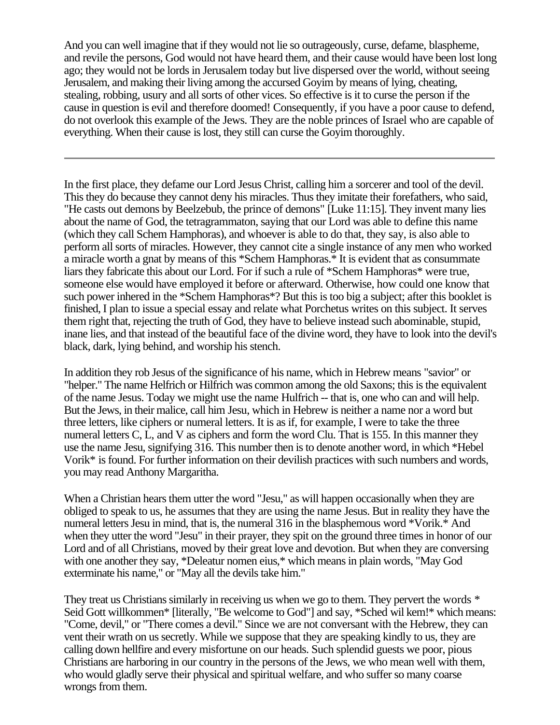And you can well imagine that if they would not lie so outrageously, curse, defame, blaspheme, and revile the persons, God would not have heard them, and their cause would have been lost long ago; they would not be lords in Jerusalem today but live dispersed over the world, without seeing Jerusalem, and making their living among the accursed Goyim by means of lying, cheating, stealing, robbing, usury and all sorts of other vices. So effective is it to curse the person if the cause in question is evil and therefore doomed! Consequently, if you have a poor cause to defend, do not overlook this example of the Jews. They are the noble princes of Israel who are capable of everything. When their cause is lost, they still can curse the Goyim thoroughly.

In the first place, they defame our Lord Jesus Christ, calling him a sorcerer and tool of the devil. This they do because they cannot deny his miracles. Thus they imitate their forefathers, who said, "He casts out demons by Beelzebub, the prince of demons" [Luke 11:15]. They invent many lies about the name of God, the tetragrammaton, saying that our Lord was able to define this name (which they call Schem Hamphoras), and whoever is able to do that, they say, is also able to perform all sorts of miracles. However, they cannot cite a single instance of any men who worked a miracle worth a gnat by means of this \*Schem Hamphoras.\* It is evident that as consummate liars they fabricate this about our Lord. For if such a rule of \*Schem Hamphoras\* were true, someone else would have employed it before or afterward. Otherwise, how could one know that such power inhered in the \*Schem Hamphoras\*? But this is too big a subject; after this booklet is finished, I plan to issue a special essay and relate what Porchetus writes on this subject. It serves them right that, rejecting the truth of God, they have to believe instead such abominable, stupid, inane lies, and that instead of the beautiful face of the divine word, they have to look into the devil's black, dark, lying behind, and worship his stench.

In addition they rob Jesus of the significance of his name, which in Hebrew means "savior" or "helper." The name Helfrich or Hilfrich was common among the old Saxons; this is the equivalent of the name Jesus. Today we might use the name Hulfrich -- that is, one who can and will help. But the Jews, in their malice, call him Jesu, which in Hebrew is neither a name nor a word but three letters, like ciphers or numeral letters. It is as if, for example, I were to take the three numeral letters C, L, and V as ciphers and form the word Clu. That is 155. In this manner they use the name Jesu, signifying 316. This number then is to denote another word, in which \*Hebel Vorik\* is found. For further information on their devilish practices with such numbers and words, you may read Anthony Margaritha.

When a Christian hears them utter the word "Jesu," as will happen occasionally when they are obliged to speak to us, he assumes that they are using the name Jesus. But in reality they have the numeral letters Jesu in mind, that is, the numeral 316 in the blasphemous word \*Vorik.\* And when they utter the word "Jesu" in their prayer, they spit on the ground three times in honor of our Lord and of all Christians, moved by their great love and devotion. But when they are conversing with one another they say, \*Deleatur nomen eius,\* which means in plain words, "May God exterminate his name," or "May all the devils take him."

They treat us Christians similarly in receiving us when we go to them. They pervert the words  $*$ Seid Gott willkommen\* [literally, "Be welcome to God"] and say, \*Sched wil kem!\* which means: "Come, devil," or "There comes a devil." Since we are not conversant with the Hebrew, they can vent their wrath on us secretly. While we suppose that they are speaking kindly to us, they are calling down hellfire and every misfortune on our heads. Such splendid guests we poor, pious Christians are harboring in our country in the persons of the Jews, we who mean well with them, who would gladly serve their physical and spiritual welfare, and who suffer so many coarse wrongs from them.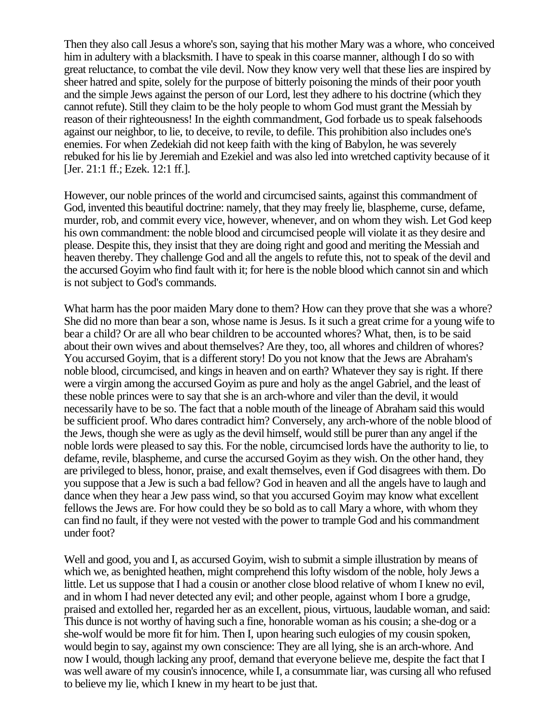Then they also call Jesus a whore's son, saying that his mother Mary was a whore, who conceived him in adultery with a blacksmith. I have to speak in this coarse manner, although I do so with great reluctance, to combat the vile devil. Now they know very well that these lies are inspired by sheer hatred and spite, solely for the purpose of bitterly poisoning the minds of their poor youth and the simple Jews against the person of our Lord, lest they adhere to his doctrine (which they cannot refute). Still they claim to be the holy people to whom God must grant the Messiah by reason of their righteousness! In the eighth commandment, God forbade us to speak falsehoods against our neighbor, to lie, to deceive, to revile, to defile. This prohibition also includes one's enemies. For when Zedekiah did not keep faith with the king of Babylon, he was severely rebuked for his lie by Jeremiah and Ezekiel and was also led into wretched captivity because of it [Jer. 21:1 ff.; Ezek. 12:1 ff.].

However, our noble princes of the world and circumcised saints, against this commandment of God, invented this beautiful doctrine: namely, that they may freely lie, blaspheme, curse, defame, murder, rob, and commit every vice, however, whenever, and on whom they wish. Let God keep his own commandment: the noble blood and circumcised people will violate it as they desire and please. Despite this, they insist that they are doing right and good and meriting the Messiah and heaven thereby. They challenge God and all the angels to refute this, not to speak of the devil and the accursed Goyim who find fault with it; for here is the noble blood which cannot sin and which is not subject to God's commands.

What harm has the poor maiden Mary done to them? How can they prove that she was a whore? She did no more than bear a son, whose name is Jesus. Is it such a great crime for a young wife to bear a child? Or are all who bear children to be accounted whores? What, then, is to be said about their own wives and about themselves? Are they, too, all whores and children of whores? You accursed Goyim, that is a different story! Do you not know that the Jews are Abraham's noble blood, circumcised, and kings in heaven and on earth? Whatever they say is right. If there were a virgin among the accursed Goyim as pure and holy as the angel Gabriel, and the least of these noble princes were to say that she is an arch-whore and viler than the devil, it would necessarily have to be so. The fact that a noble mouth of the lineage of Abraham said this would be sufficient proof. Who dares contradict him? Conversely, any arch-whore of the noble blood of the Jews, though she were as ugly as the devil himself, would still be purer than any angel if the noble lords were pleased to say this. For the noble, circumcised lords have the authority to lie, to defame, revile, blaspheme, and curse the accursed Goyim as they wish. On the other hand, they are privileged to bless, honor, praise, and exalt themselves, even if God disagrees with them. Do you suppose that a Jew is such a bad fellow? God in heaven and all the angels have to laugh and dance when they hear a Jew pass wind, so that you accursed Goyim may know what excellent fellows the Jews are. For how could they be so bold as to call Mary a whore, with whom they can find no fault, if they were not vested with the power to trample God and his commandment under foot?

Well and good, you and I, as accursed Goyim, wish to submit a simple illustration by means of which we, as benighted heathen, might comprehend this lofty wisdom of the noble, holy Jews a little. Let us suppose that I had a cousin or another close blood relative of whom I knew no evil, and in whom I had never detected any evil; and other people, against whom I bore a grudge, praised and extolled her, regarded her as an excellent, pious, virtuous, laudable woman, and said: This dunce is not worthy of having such a fine, honorable woman as his cousin; a she-dog or a she-wolf would be more fit for him. Then I, upon hearing such eulogies of my cousin spoken, would begin to say, against my own conscience: They are all lying, she is an arch-whore. And now I would, though lacking any proof, demand that everyone believe me, despite the fact that I was well aware of my cousin's innocence, while I, a consummate liar, was cursing all who refused to believe my lie, which I knew in my heart to be just that.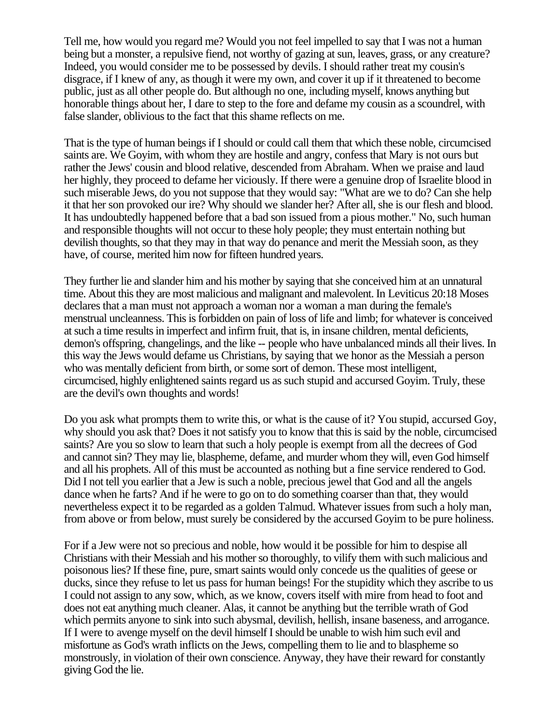Tell me, how would you regard me? Would you not feel impelled to say that I was not a human being but a monster, a repulsive fiend, not worthy of gazing at sun, leaves, grass, or any creature? Indeed, you would consider me to be possessed by devils. I should rather treat my cousin's disgrace, if I knew of any, as though it were my own, and cover it up if it threatened to become public, just as all other people do. But although no one, including myself, knows anything but honorable things about her, I dare to step to the fore and defame my cousin as a scoundrel, with false slander, oblivious to the fact that this shame reflects on me.

That is the type of human beings if I should or could call them that which these noble, circumcised saints are. We Goyim, with whom they are hostile and angry, confess that Mary is not ours but rather the Jews' cousin and blood relative, descended from Abraham. When we praise and laud her highly, they proceed to defame her viciously. If there were a genuine drop of Israelite blood in such miserable Jews, do you not suppose that they would say: "What are we to do? Can she help it that her son provoked our ire? Why should we slander her? After all, she is our flesh and blood. It has undoubtedly happened before that a bad son issued from a pious mother." No, such human and responsible thoughts will not occur to these holy people; they must entertain nothing but devilish thoughts, so that they may in that way do penance and merit the Messiah soon, as they have, of course, merited him now for fifteen hundred years.

They further lie and slander him and his mother by saying that she conceived him at an unnatural time. About this they are most malicious and malignant and malevolent. In Leviticus 20:18 Moses declares that a man must not approach a woman nor a woman a man during the female's menstrual uncleanness. This is forbidden on pain of loss of life and limb; for whatever is conceived at such a time results in imperfect and infirm fruit, that is, in insane children, mental deficients, demon's offspring, changelings, and the like -- people who have unbalanced minds all their lives. In this way the Jews would defame us Christians, by saying that we honor as the Messiah a person who was mentally deficient from birth, or some sort of demon. These most intelligent, circumcised, highly enlightened saints regard us as such stupid and accursed Goyim. Truly, these are the devil's own thoughts and words!

Do you ask what prompts them to write this, or what is the cause of it? You stupid, accursed Goy, why should you ask that? Does it not satisfy you to know that this is said by the noble, circumcised saints? Are you so slow to learn that such a holy people is exempt from all the decrees of God and cannot sin? They may lie, blaspheme, defame, and murder whom they will, even God himself and all his prophets. All of this must be accounted as nothing but a fine service rendered to God. Did I not tell you earlier that a Jew is such a noble, precious jewel that God and all the angels dance when he farts? And if he were to go on to do something coarser than that, they would nevertheless expect it to be regarded as a golden Talmud. Whatever issues from such a holy man, from above or from below, must surely be considered by the accursed Goyim to be pure holiness.

For if a Jew were not so precious and noble, how would it be possible for him to despise all Christians with their Messiah and his mother so thoroughly, to vilify them with such malicious and poisonous lies? If these fine, pure, smart saints would only concede us the qualities of geese or ducks, since they refuse to let us pass for human beings! For the stupidity which they ascribe to us I could not assign to any sow, which, as we know, covers itself with mire from head to foot and does not eat anything much cleaner. Alas, it cannot be anything but the terrible wrath of God which permits anyone to sink into such abysmal, devilish, hellish, insane baseness, and arrogance. If I were to avenge myself on the devil himself I should be unable to wish him such evil and misfortune as God's wrath inflicts on the Jews, compelling them to lie and to blaspheme so monstrously, in violation of their own conscience. Anyway, they have their reward for constantly giving God the lie.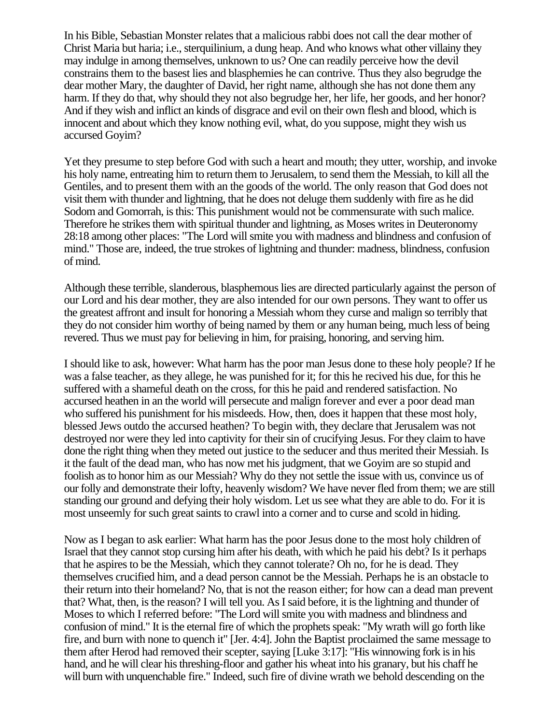In his Bible, Sebastian Monster relates that a malicious rabbi does not call the dear mother of Christ Maria but haria; i.e., sterquilinium, a dung heap. And who knows what other villainy they may indulge in among themselves, unknown to us? One can readily perceive how the devil constrains them to the basest lies and blasphemies he can contrive. Thus they also begrudge the dear mother Mary, the daughter of David, her right name, although she has not done them any harm. If they do that, why should they not also begrudge her, her life, her goods, and her honor? And if they wish and inflict an kinds of disgrace and evil on their own flesh and blood, which is innocent and about which they know nothing evil, what, do you suppose, might they wish us accursed Goyim?

Yet they presume to step before God with such a heart and mouth; they utter, worship, and invoke his holy name, entreating him to return them to Jerusalem, to send them the Messiah, to kill all the Gentiles, and to present them with an the goods of the world. The only reason that God does not visit them with thunder and lightning, that he does not deluge them suddenly with fire as he did Sodom and Gomorrah, is this: This punishment would not be commensurate with such malice. Therefore he strikes them with spiritual thunder and lightning, as Moses writes in Deuteronomy 28:18 among other places: "The Lord will smite you with madness and blindness and confusion of mind." Those are, indeed, the true strokes of lightning and thunder: madness, blindness, confusion of mind.

Although these terrible, slanderous, blasphemous lies are directed particularly against the person of our Lord and his dear mother, they are also intended for our own persons. They want to offer us the greatest affront and insult for honoring a Messiah whom they curse and malign so terribly that they do not consider him worthy of being named by them or any human being, much less of being revered. Thus we must pay for believing in him, for praising, honoring, and serving him.

I should like to ask, however: What harm has the poor man Jesus done to these holy people? If he was a false teacher, as they allege, he was punished for it; for this he recived his due, for this he suffered with a shameful death on the cross, for this he paid and rendered satisfaction. No accursed heathen in an the world will persecute and malign forever and ever a poor dead man who suffered his punishment for his misdeeds. How, then, does it happen that these most holy, blessed Jews outdo the accursed heathen? To begin with, they declare that Jerusalem was not destroyed nor were they led into captivity for their sin of crucifying Jesus. For they claim to have done the right thing when they meted out justice to the seducer and thus merited their Messiah. Is it the fault of the dead man, who has now met his judgment, that we Goyim are so stupid and foolish as to honor him as our Messiah? Why do they not settle the issue with us, convince us of our folly and demonstrate their lofty, heavenly wisdom? We have never fled from them; we are still standing our ground and defying their holy wisdom. Let us see what they are able to do. For it is most unseemly for such great saints to crawl into a corner and to curse and scold in hiding.

Now as I began to ask earlier: What harm has the poor Jesus done to the most holy children of Israel that they cannot stop cursing him after his death, with which he paid his debt? Is it perhaps that he aspires to be the Messiah, which they cannot tolerate? Oh no, for he is dead. They themselves crucified him, and a dead person cannot be the Messiah. Perhaps he is an obstacle to their return into their homeland? No, that is not the reason either; for how can a dead man prevent that? What, then, is the reason? I will tell you. As I said before, it is the lightning and thunder of Moses to which I referred before: "The Lord will smite you with madness and blindness and confusion of mind." It is the eternal fire of which the prophets speak: "My wrath will go forth like fire, and burn with none to quench it" [Jer. 4:4]. John the Baptist proclaimed the same message to them after Herod had removed their scepter, saying [Luke 3:17]: "His winnowing fork is in his hand, and he will clear his threshing-floor and gather his wheat into his granary, but his chaff he will burn with unquenchable fire." Indeed, such fire of divine wrath we behold descending on the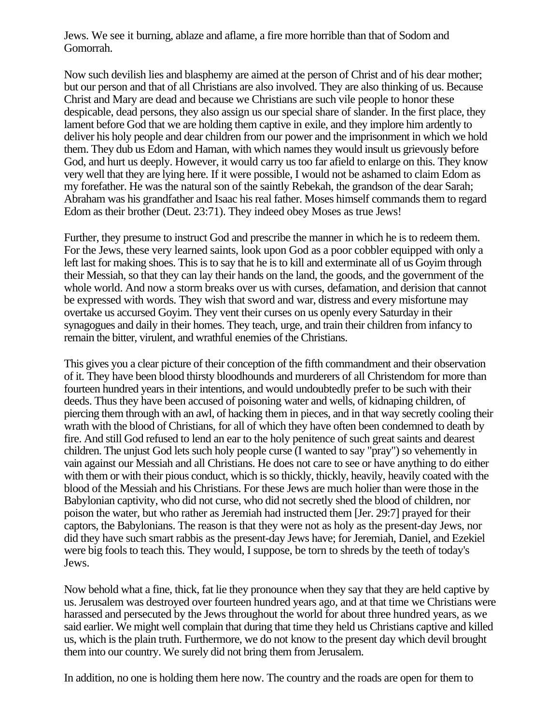Jews. We see it burning, ablaze and aflame, a fire more horrible than that of Sodom and Gomorrah.

Now such devilish lies and blasphemy are aimed at the person of Christ and of his dear mother; but our person and that of all Christians are also involved. They are also thinking of us. Because Christ and Mary are dead and because we Christians are such vile people to honor these despicable, dead persons, they also assign us our special share of slander. In the first place, they lament before God that we are holding them captive in exile, and they implore him ardently to deliver his holy people and dear children from our power and the imprisonment in which we hold them. They dub us Edom and Haman, with which names they would insult us grievously before God, and hurt us deeply. However, it would carry us too far afield to enlarge on this. They know very well that they are lying here. If it were possible, I would not be ashamed to claim Edom as my forefather. He was the natural son of the saintly Rebekah, the grandson of the dear Sarah; Abraham was his grandfather and Isaac his real father. Moses himself commands them to regard Edom as their brother (Deut. 23:71). They indeed obey Moses as true Jews!

Further, they presume to instruct God and prescribe the manner in which he is to redeem them. For the Jews, these very learned saints, look upon God as a poor cobbler equipped with only a left last for making shoes. This is to say that he is to kill and exterminate all of us Goyim through their Messiah, so that they can lay their hands on the land, the goods, and the government of the whole world. And now a storm breaks over us with curses, defamation, and derision that cannot be expressed with words. They wish that sword and war, distress and every misfortune may overtake us accursed Goyim. They vent their curses on us openly every Saturday in their synagogues and daily in their homes. They teach, urge, and train their children from infancy to remain the bitter, virulent, and wrathful enemies of the Christians.

This gives you a clear picture of their conception of the fifth commandment and their observation of it. They have been blood thirsty bloodhounds and murderers of all Christendom for more than fourteen hundred years in their intentions, and would undoubtedly prefer to be such with their deeds. Thus they have been accused of poisoning water and wells, of kidnaping children, of piercing them through with an awl, of hacking them in pieces, and in that way secretly cooling their wrath with the blood of Christians, for all of which they have often been condemned to death by fire. And still God refused to lend an ear to the holy penitence of such great saints and dearest children. The unjust God lets such holy people curse (I wanted to say "pray") so vehemently in vain against our Messiah and all Christians. He does not care to see or have anything to do either with them or with their pious conduct, which is so thickly, thickly, heavily, heavily coated with the blood of the Messiah and his Christians. For these Jews are much holier than were those in the Babylonian captivity, who did not curse, who did not secretly shed the blood of children, nor poison the water, but who rather as Jeremiah had instructed them [Jer. 29:7] prayed for their captors, the Babylonians. The reason is that they were not as holy as the present-day Jews, nor did they have such smart rabbis as the present-day Jews have; for Jeremiah, Daniel, and Ezekiel were big fools to teach this. They would, I suppose, be torn to shreds by the teeth of today's Jews.

Now behold what a fine, thick, fat lie they pronounce when they say that they are held captive by us. Jerusalem was destroyed over fourteen hundred years ago, and at that time we Christians were harassed and persecuted by the Jews throughout the world for about three hundred years, as we said earlier. We might well complain that during that time they held us Christians captive and killed us, which is the plain truth. Furthermore, we do not know to the present day which devil brought them into our country. We surely did not bring them from Jerusalem.

In addition, no one is holding them here now. The country and the roads are open for them to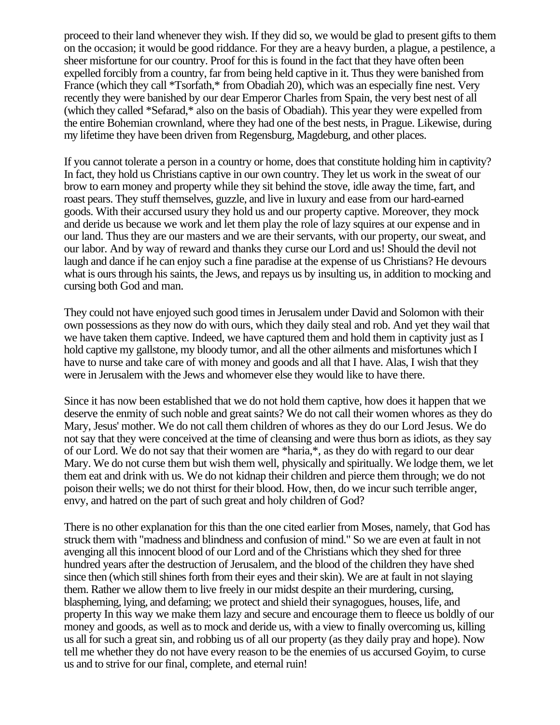proceed to their land whenever they wish. If they did so, we would be glad to present gifts to them on the occasion; it would be good riddance. For they are a heavy burden, a plague, a pestilence, a sheer misfortune for our country. Proof for this is found in the fact that they have often been expelled forcibly from a country, far from being held captive in it. Thus they were banished from France (which they call \*Tsorfath,\* from Obadiah 20), which was an especially fine nest. Very recently they were banished by our dear Emperor Charles from Spain, the very best nest of all (which they called \*Sefarad,\* also on the basis of Obadiah). This year they were expelled from the entire Bohemian crownland, where they had one of the best nests, in Prague. Likewise, during my lifetime they have been driven from Regensburg, Magdeburg, and other places.

If you cannot tolerate a person in a country or home, does that constitute holding him in captivity? In fact, they hold us Christians captive in our own country. They let us work in the sweat of our brow to earn money and property while they sit behind the stove, idle away the time, fart, and roast pears. They stuff themselves, guzzle, and live in luxury and ease from our hard-earned goods. With their accursed usury they hold us and our property captive. Moreover, they mock and deride us because we work and let them play the role of lazy squires at our expense and in our land. Thus they are our masters and we are their servants, with our property, our sweat, and our labor. And by way of reward and thanks they curse our Lord and us! Should the devil not laugh and dance if he can enjoy such a fine paradise at the expense of us Christians? He devours what is ours through his saints, the Jews, and repays us by insulting us, in addition to mocking and cursing both God and man.

They could not have enjoyed such good times in Jerusalem under David and Solomon with their own possessions as they now do with ours, which they daily steal and rob. And yet they wail that we have taken them captive. Indeed, we have captured them and hold them in captivity just as I hold captive my gallstone, my bloody tumor, and all the other ailments and misfortunes which I have to nurse and take care of with money and goods and all that I have. Alas, I wish that they were in Jerusalem with the Jews and whomever else they would like to have there.

Since it has now been established that we do not hold them captive, how does it happen that we deserve the enmity of such noble and great saints? We do not call their women whores as they do Mary, Jesus' mother. We do not call them children of whores as they do our Lord Jesus. We do not say that they were conceived at the time of cleansing and were thus born as idiots, as they say of our Lord. We do not say that their women are \*haria,\*, as they do with regard to our dear Mary. We do not curse them but wish them well, physically and spiritually. We lodge them, we let them eat and drink with us. We do not kidnap their children and pierce them through; we do not poison their wells; we do not thirst for their blood. How, then, do we incur such terrible anger, envy, and hatred on the part of such great and holy children of God?

There is no other explanation for this than the one cited earlier from Moses, namely, that God has struck them with "madness and blindness and confusion of mind." So we are even at fault in not avenging all this innocent blood of our Lord and of the Christians which they shed for three hundred years after the destruction of Jerusalem, and the blood of the children they have shed since then (which still shines forth from their eyes and their skin). We are at fault in not slaying them. Rather we allow them to live freely in our midst despite an their murdering, cursing, blaspheming, lying, and defaming; we protect and shield their synagogues, houses, life, and property In this way we make them lazy and secure and encourage them to fleece us boldly of our money and goods, as well as to mock and deride us, with a view to finally overcoming us, killing us all for such a great sin, and robbing us of all our property (as they daily pray and hope). Now tell me whether they do not have every reason to be the enemies of us accursed Goyim, to curse us and to strive for our final, complete, and eternal ruin!